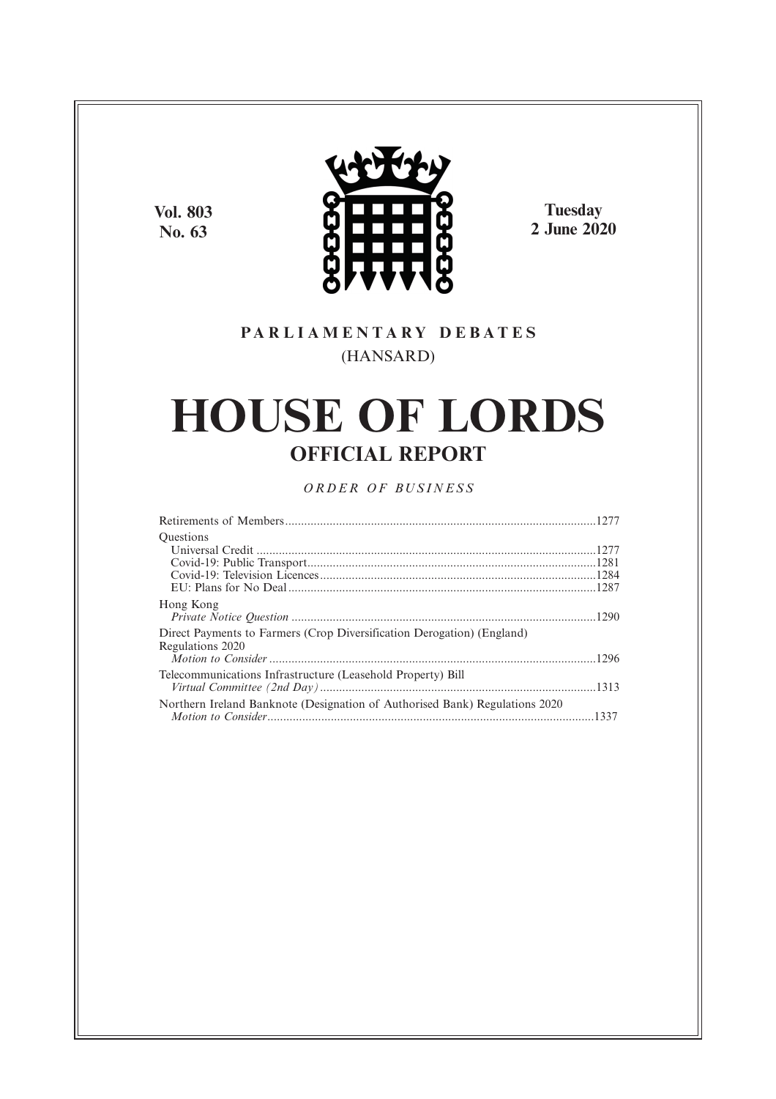**Vol. 803 No. 63**



**Tuesday 2 June 2020**

## **P A R L I A M E N T A R Y D E B A T E S** (HANSARD)

# **HOUSE OF LORDS OFFICIAL REPORT**

## *O R D E R O F BU S I N E S S*

| <b>Ouestions</b>                                                                           |  |
|--------------------------------------------------------------------------------------------|--|
|                                                                                            |  |
|                                                                                            |  |
|                                                                                            |  |
|                                                                                            |  |
| Hong Kong                                                                                  |  |
|                                                                                            |  |
| Direct Payments to Farmers (Crop Diversification Derogation) (England)<br>Regulations 2020 |  |
|                                                                                            |  |
| Telecommunications Infrastructure (Leasehold Property) Bill                                |  |
|                                                                                            |  |
| Northern Ireland Banknote (Designation of Authorised Bank) Regulations 2020                |  |
|                                                                                            |  |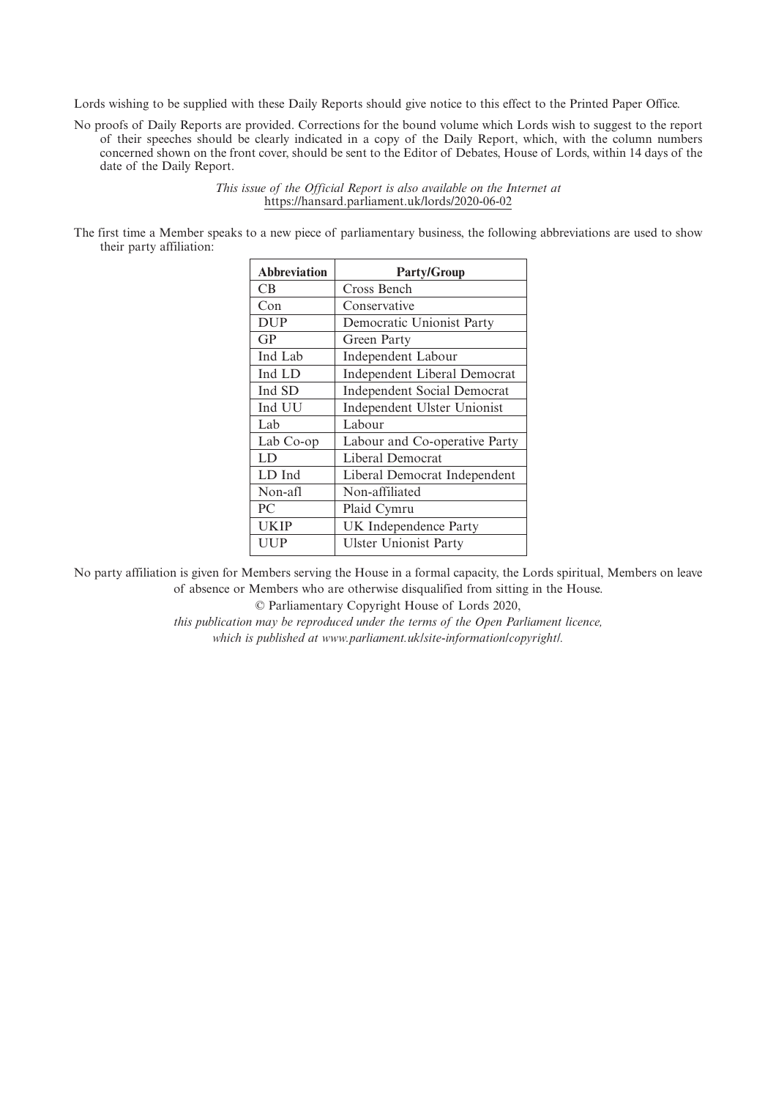Lords wishing to be supplied with these Daily Reports should give notice to this effect to the Printed Paper Office.

No proofs of Daily Reports are provided. Corrections for the bound volume which Lords wish to suggest to the report of their speeches should be clearly indicated in a copy of the Daily Report, which, with the column numbers concerned shown on the front cover, should be sent to the Editor of Debates, House of Lords, within 14 days of the date of the Daily Report.

> *This issue of the Official Report is also available on the Internet at* https://hansard.parliament.uk/lords/2020-06-02

The first time a Member speaks to a new piece of parliamentary business, the following abbreviations are used to show their party affiliation:

| <b>Abbreviation</b> | <b>Party/Group</b>                 |
|---------------------|------------------------------------|
| <b>CB</b>           | Cross Bench                        |
| Con                 | Conservative                       |
| <b>DUP</b>          | Democratic Unionist Party          |
| GP                  | Green Party                        |
| Ind Lab             | <b>Independent Labour</b>          |
| Ind LD              | Independent Liberal Democrat       |
| Ind SD              | <b>Independent Social Democrat</b> |
| Ind UU              | Independent Ulster Unionist        |
| Lab                 | Labour                             |
| Lab Co-op           | Labour and Co-operative Party      |
| LD                  | Liberal Democrat                   |
| LD Ind              | Liberal Democrat Independent       |
| Non-afl             | Non-affiliated                     |
| PC                  | Plaid Cymru                        |
| UKIP                | UK Independence Party              |
| UUP                 | <b>Ulster Unionist Party</b>       |

No party affiliation is given for Members serving the House in a formal capacity, the Lords spiritual, Members on leave of absence or Members who are otherwise disqualified from sitting in the House.

© Parliamentary Copyright House of Lords 2020,

*this publication may be reproduced under the terms of the Open Parliament licence, which is published at www.parliament.uk/site-information/copyright/.*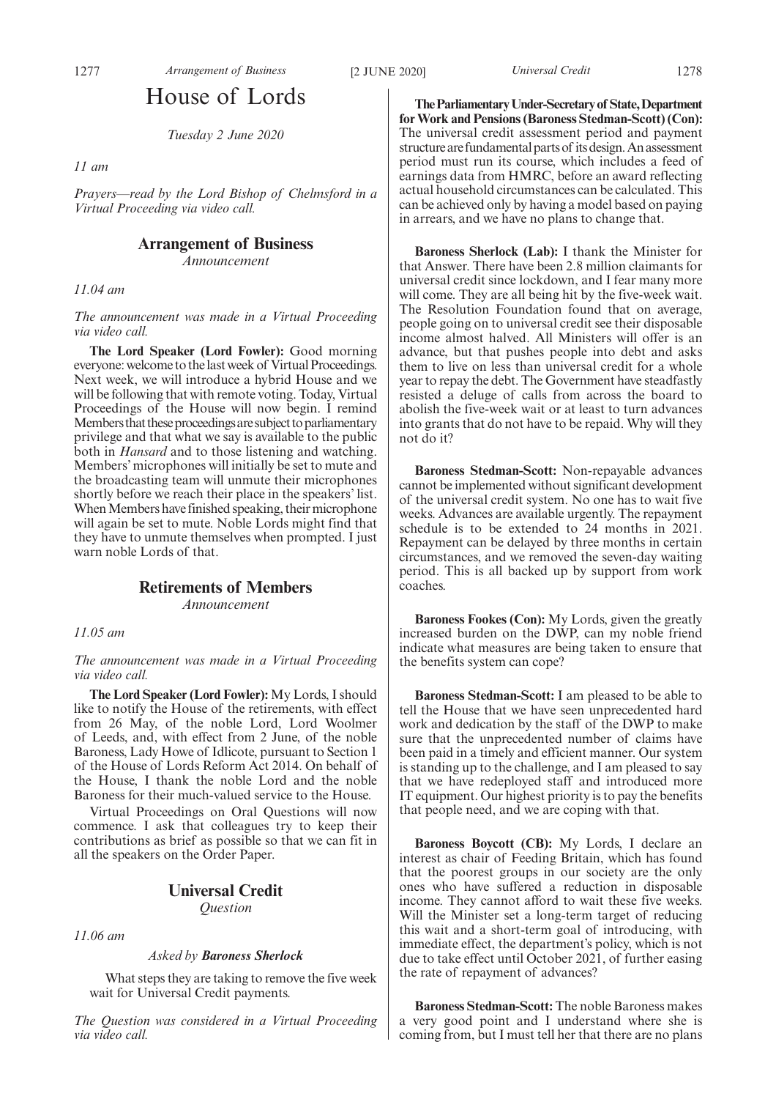## House of Lords

*Tuesday 2 June 2020*

*11 am*

*Prayers—read by the Lord Bishop of Chelmsford in a Virtual Proceeding via video call.*

## **Arrangement of Business**

*Announcement*

*11.04 am*

*The announcement was made in a Virtual Proceeding via video call.*

**The Lord Speaker (Lord Fowler):** Good morning everyone: welcome to the last week of Virtual Proceedings. Next week, we will introduce a hybrid House and we will be following that with remote voting. Today, Virtual Proceedings of the House will now begin. I remind Members that these proceedings are subject to parliamentary privilege and that what we say is available to the public both in *Hansard* and to those listening and watching. Members' microphones will initially be set to mute and the broadcasting team will unmute their microphones shortly before we reach their place in the speakers' list. When Members have finished speaking, their microphone will again be set to mute. Noble Lords might find that they have to unmute themselves when prompted. I just warn noble Lords of that.

#### **Retirements of Members**

*Announcement*

*11.05 am*

*The announcement was made in a Virtual Proceeding via video call.*

**The Lord Speaker (Lord Fowler):** My Lords, I should like to notify the House of the retirements, with effect from 26 May, of the noble Lord, Lord Woolmer of Leeds, and, with effect from 2 June, of the noble Baroness, Lady Howe of Idlicote, pursuant to Section 1 of the House of Lords Reform Act 2014. On behalf of the House, I thank the noble Lord and the noble Baroness for their much-valued service to the House.

Virtual Proceedings on Oral Questions will now commence. I ask that colleagues try to keep their contributions as brief as possible so that we can fit in all the speakers on the Order Paper.

## **Universal Credit**

*Question*

*11.06 am*

#### *Asked by Baroness Sherlock*

What steps they are taking to remove the five week wait for Universal Credit payments.

*The Question was considered in a Virtual Proceeding via video call.*

**TheParliamentaryUnder-Secretaryof State,Department for Work and Pensions (Baroness Stedman-Scott) (Con):** The universal credit assessment period and payment structure are fundamental parts of its design. An assessment period must run its course, which includes a feed of earnings data from HMRC, before an award reflecting actual household circumstances can be calculated. This can be achieved only by having a model based on paying in arrears, and we have no plans to change that.

**Baroness Sherlock (Lab):** I thank the Minister for that Answer. There have been 2.8 million claimants for universal credit since lockdown, and I fear many more will come. They are all being hit by the five-week wait. The Resolution Foundation found that on average, people going on to universal credit see their disposable income almost halved. All Ministers will offer is an advance, but that pushes people into debt and asks them to live on less than universal credit for a whole year to repay the debt. The Government have steadfastly resisted a deluge of calls from across the board to abolish the five-week wait or at least to turn advances into grants that do not have to be repaid. Why will they not do it?

**Baroness Stedman-Scott:** Non-repayable advances cannot be implemented without significant development of the universal credit system. No one has to wait five weeks. Advances are available urgently. The repayment schedule is to be extended to 24 months in 2021. Repayment can be delayed by three months in certain circumstances, and we removed the seven-day waiting period. This is all backed up by support from work coaches.

**Baroness Fookes (Con):** My Lords, given the greatly increased burden on the DWP, can my noble friend indicate what measures are being taken to ensure that the benefits system can cope?

**Baroness Stedman-Scott:** I am pleased to be able to tell the House that we have seen unprecedented hard work and dedication by the staff of the DWP to make sure that the unprecedented number of claims have been paid in a timely and efficient manner. Our system is standing up to the challenge, and I am pleased to say that we have redeployed staff and introduced more IT equipment. Our highest priority is to pay the benefits that people need, and we are coping with that.

**Baroness Boycott (CB):** My Lords, I declare an interest as chair of Feeding Britain, which has found that the poorest groups in our society are the only ones who have suffered a reduction in disposable income. They cannot afford to wait these five weeks. Will the Minister set a long-term target of reducing this wait and a short-term goal of introducing, with immediate effect, the department's policy, which is not due to take effect until October 2021, of further easing the rate of repayment of advances?

**Baroness Stedman-Scott:** The noble Baroness makes a very good point and I understand where she is coming from, but I must tell her that there are no plans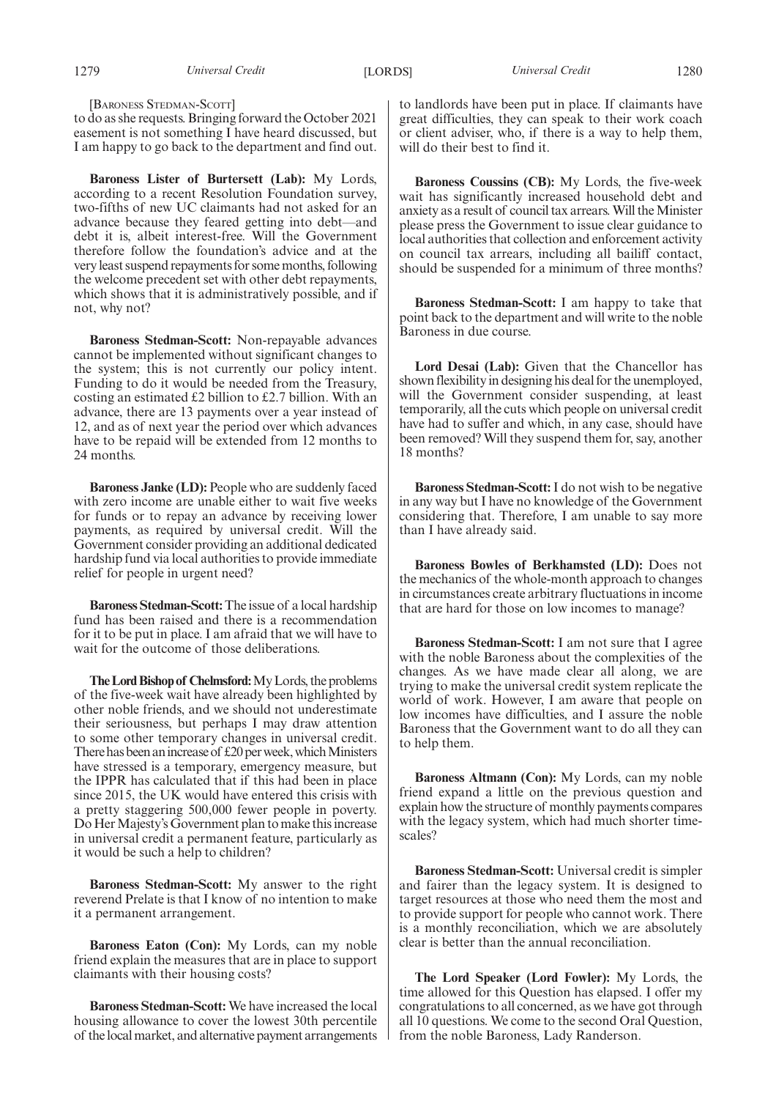[BARONESS STEDMAN-SCOTT]

to do as she requests. Bringing forward the October 2021 easement is not something I have heard discussed, but I am happy to go back to the department and find out.

**Baroness Lister of Burtersett (Lab):** My Lords, according to a recent Resolution Foundation survey, two-fifths of new UC claimants had not asked for an advance because they feared getting into debt—and debt it is, albeit interest-free. Will the Government therefore follow the foundation's advice and at the very least suspend repayments for some months, following the welcome precedent set with other debt repayments, which shows that it is administratively possible, and if not, why not?

**Baroness Stedman-Scott:** Non-repayable advances cannot be implemented without significant changes to the system; this is not currently our policy intent. Funding to do it would be needed from the Treasury, costing an estimated £2 billion to £2.7 billion. With an advance, there are 13 payments over a year instead of 12, and as of next year the period over which advances have to be repaid will be extended from 12 months to 24 months.

**Baroness Janke (LD):** People who are suddenly faced with zero income are unable either to wait five weeks for funds or to repay an advance by receiving lower payments, as required by universal credit. Will the Government consider providing an additional dedicated hardship fund via local authorities to provide immediate relief for people in urgent need?

**Baroness Stedman-Scott:**The issue of a local hardship fund has been raised and there is a recommendation for it to be put in place. I am afraid that we will have to wait for the outcome of those deliberations.

The Lord Bishop of Chelmsford: My Lords, the problems of the five-week wait have already been highlighted by other noble friends, and we should not underestimate their seriousness, but perhaps I may draw attention to some other temporary changes in universal credit. There has been an increase of £20 per week, which Ministers have stressed is a temporary, emergency measure, but the IPPR has calculated that if this had been in place since 2015, the UK would have entered this crisis with a pretty staggering 500,000 fewer people in poverty. Do Her Majesty's Government plan to make this increase in universal credit a permanent feature, particularly as it would be such a help to children?

**Baroness Stedman-Scott:** My answer to the right reverend Prelate is that I know of no intention to make it a permanent arrangement.

**Baroness Eaton (Con):** My Lords, can my noble friend explain the measures that are in place to support claimants with their housing costs?

**Baroness Stedman-Scott:** We have increased the local housing allowance to cover the lowest 30th percentile of the local market, and alternative payment arrangements to landlords have been put in place. If claimants have great difficulties, they can speak to their work coach or client adviser, who, if there is a way to help them, will do their best to find it.

**Baroness Coussins (CB):** My Lords, the five-week wait has significantly increased household debt and anxiety as a result of council tax arrears. Will the Minister please press the Government to issue clear guidance to local authorities that collection and enforcement activity on council tax arrears, including all bailiff contact, should be suspended for a minimum of three months?

**Baroness Stedman-Scott:** I am happy to take that point back to the department and will write to the noble Baroness in due course.

**Lord Desai (Lab):** Given that the Chancellor has shown flexibility in designing his deal for the unemployed, will the Government consider suspending, at least temporarily, all the cuts which people on universal credit have had to suffer and which, in any case, should have been removed? Will they suspend them for, say, another 18 months?

**Baroness Stedman-Scott:**I do not wish to be negative in any way but I have no knowledge of the Government considering that. Therefore, I am unable to say more than I have already said.

**Baroness Bowles of Berkhamsted (LD):** Does not the mechanics of the whole-month approach to changes in circumstances create arbitrary fluctuations in income that are hard for those on low incomes to manage?

**Baroness Stedman-Scott:** I am not sure that I agree with the noble Baroness about the complexities of the changes. As we have made clear all along, we are trying to make the universal credit system replicate the world of work. However, I am aware that people on low incomes have difficulties, and I assure the noble Baroness that the Government want to do all they can to help them.

**Baroness Altmann (Con):** My Lords, can my noble friend expand a little on the previous question and explain how the structure of monthly payments compares with the legacy system, which had much shorter timescales?

**Baroness Stedman-Scott:** Universal credit is simpler and fairer than the legacy system. It is designed to target resources at those who need them the most and to provide support for people who cannot work. There is a monthly reconciliation, which we are absolutely clear is better than the annual reconciliation.

**The Lord Speaker (Lord Fowler):** My Lords, the time allowed for this Question has elapsed. I offer my congratulations to all concerned, as we have got through all 10 questions. We come to the second Oral Question, from the noble Baroness, Lady Randerson.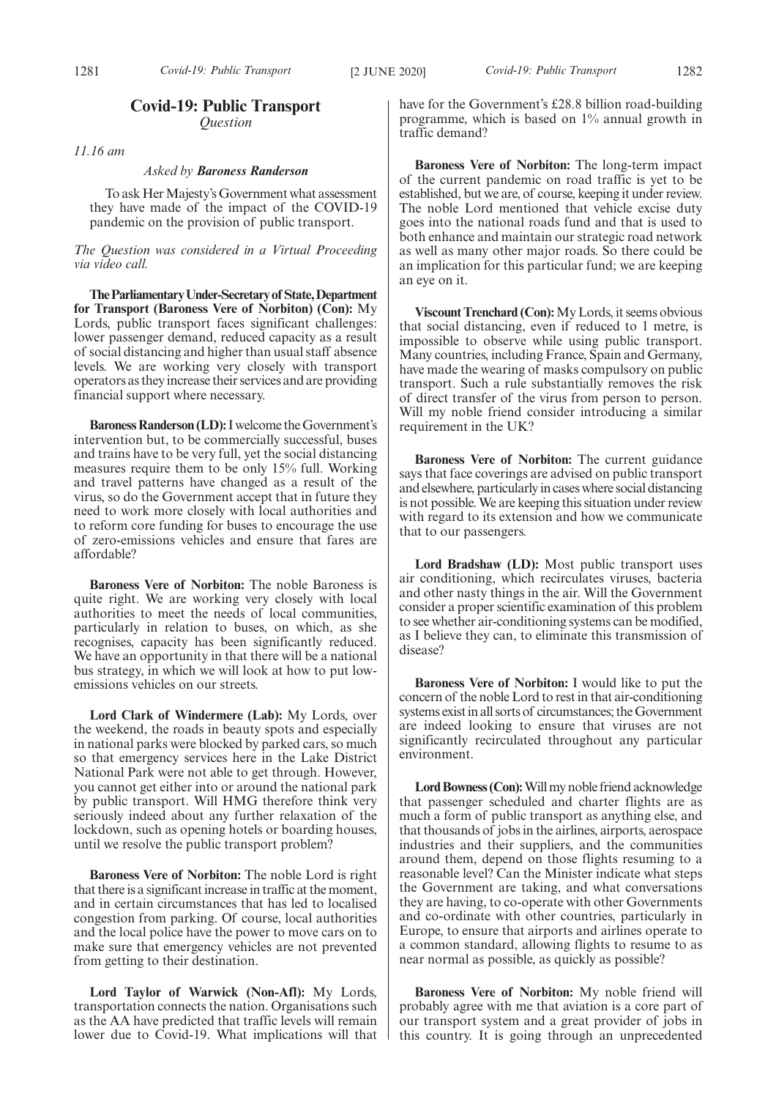### **Covid-19: Public Transport** *Question*

*11.16 am*

#### *Asked by Baroness Randerson*

To ask Her Majesty's Government what assessment they have made of the impact of the COVID-19 pandemic on the provision of public transport.

*The Question was considered in a Virtual Proceeding via video call.*

**TheParliamentaryUnder-Secretaryof State,Department** for Transport (Baroness Vere of Norbiton) (Con): My Lords, public transport faces significant challenges: lower passenger demand, reduced capacity as a result of social distancing and higher than usual staff absence levels. We are working very closely with transport operators as they increase their services and are providing financial support where necessary.

**Baroness Randerson (LD):**I welcome the Government's intervention but, to be commercially successful, buses and trains have to be very full, yet the social distancing measures require them to be only 15% full. Working and travel patterns have changed as a result of the virus, so do the Government accept that in future they need to work more closely with local authorities and to reform core funding for buses to encourage the use of zero-emissions vehicles and ensure that fares are affordable?

**Baroness Vere of Norbiton:** The noble Baroness is quite right. We are working very closely with local authorities to meet the needs of local communities, particularly in relation to buses, on which, as she recognises, capacity has been significantly reduced. We have an opportunity in that there will be a national bus strategy, in which we will look at how to put lowemissions vehicles on our streets.

**Lord Clark of Windermere (Lab):** My Lords, over the weekend, the roads in beauty spots and especially in national parks were blocked by parked cars, so much so that emergency services here in the Lake District National Park were not able to get through. However, you cannot get either into or around the national park by public transport. Will HMG therefore think very seriously indeed about any further relaxation of the lockdown, such as opening hotels or boarding houses, until we resolve the public transport problem?

**Baroness Vere of Norbiton:** The noble Lord is right that there is a significant increase in traffic at the moment, and in certain circumstances that has led to localised congestion from parking. Of course, local authorities and the local police have the power to move cars on to make sure that emergency vehicles are not prevented from getting to their destination.

**Lord Taylor of Warwick (Non-Afl):** My Lords, transportation connects the nation. Organisations such as the AA have predicted that traffic levels will remain lower due to Covid-19. What implications will that have for the Government's £28.8 billion road-building programme, which is based on 1% annual growth in traffic demand?

**Baroness Vere of Norbiton:** The long-term impact of the current pandemic on road traffic is yet to be established, but we are, of course, keeping it under review. The noble Lord mentioned that vehicle excise duty goes into the national roads fund and that is used to both enhance and maintain our strategic road network as well as many other major roads. So there could be an implication for this particular fund; we are keeping an eye on it.

**Viscount Trenchard (Con):**My Lords, it seems obvious that social distancing, even if reduced to 1 metre, is impossible to observe while using public transport. Many countries, including France, Spain and Germany, have made the wearing of masks compulsory on public transport. Such a rule substantially removes the risk of direct transfer of the virus from person to person. Will my noble friend consider introducing a similar requirement in the UK?

**Baroness Vere of Norbiton:** The current guidance says that face coverings are advised on public transport and elsewhere, particularly in cases where social distancing is not possible. We are keeping this situation under review with regard to its extension and how we communicate that to our passengers.

**Lord Bradshaw (LD):** Most public transport uses air conditioning, which recirculates viruses, bacteria and other nasty things in the air. Will the Government consider a proper scientific examination of this problem to see whether air-conditioning systems can be modified, as I believe they can, to eliminate this transmission of disease?

**Baroness Vere of Norbiton:** I would like to put the concern of the noble Lord to rest in that air-conditioning systems exist in all sorts of circumstances; the Government are indeed looking to ensure that viruses are not significantly recirculated throughout any particular environment.

**Lord Bowness (Con):**Will my noble friend acknowledge that passenger scheduled and charter flights are as much a form of public transport as anything else, and that thousands of jobs in the airlines, airports, aerospace industries and their suppliers, and the communities around them, depend on those flights resuming to a reasonable level? Can the Minister indicate what steps the Government are taking, and what conversations they are having, to co-operate with other Governments and co-ordinate with other countries, particularly in Europe, to ensure that airports and airlines operate to a common standard, allowing flights to resume to as near normal as possible, as quickly as possible?

**Baroness Vere of Norbiton:** My noble friend will probably agree with me that aviation is a core part of our transport system and a great provider of jobs in this country. It is going through an unprecedented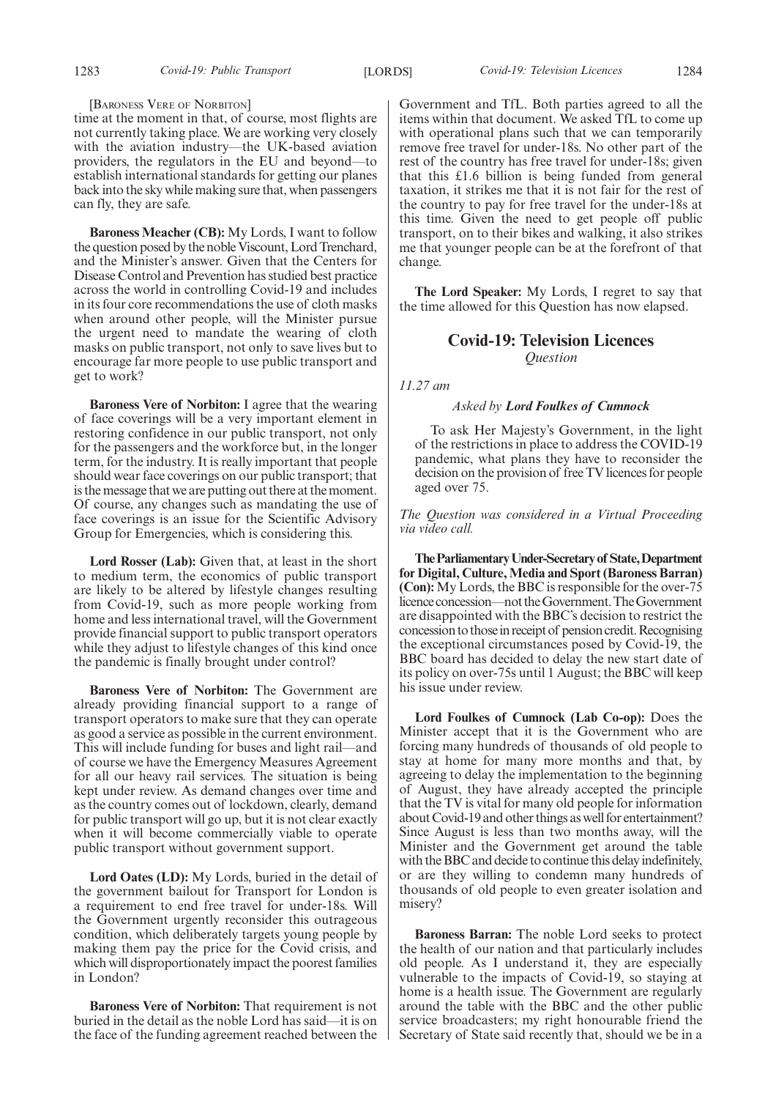#### [BARONESS VERE OF NORBITON]

time at the moment in that, of course, most flights are not currently taking place. We are working very closely with the aviation industry—the UK-based aviation providers, the regulators in the EU and beyond—to establish international standards for getting our planes back into the sky while making sure that, when passengers can fly, they are safe.

**Baroness Meacher (CB):** My Lords, I want to follow the question posed by the noble Viscount, Lord Trenchard, and the Minister's answer. Given that the Centers for Disease Control and Prevention has studied best practice across the world in controlling Covid-19 and includes in its four core recommendations the use of cloth masks when around other people, will the Minister pursue the urgent need to mandate the wearing of cloth masks on public transport, not only to save lives but to encourage far more people to use public transport and get to work?

**Baroness Vere of Norbiton:** I agree that the wearing of face coverings will be a very important element in restoring confidence in our public transport, not only for the passengers and the workforce but, in the longer term, for the industry. It is really important that people should wear face coverings on our public transport; that is the message that we are putting out there at the moment. Of course, any changes such as mandating the use of face coverings is an issue for the Scientific Advisory Group for Emergencies, which is considering this.

**Lord Rosser (Lab):** Given that, at least in the short to medium term, the economics of public transport are likely to be altered by lifestyle changes resulting from Covid-19, such as more people working from home and less international travel, will the Government provide financial support to public transport operators while they adjust to lifestyle changes of this kind once the pandemic is finally brought under control?

**Baroness Vere of Norbiton:** The Government are already providing financial support to a range of transport operators to make sure that they can operate as good a service as possible in the current environment. This will include funding for buses and light rail—and of course we have the Emergency Measures Agreement for all our heavy rail services. The situation is being kept under review. As demand changes over time and as the country comes out of lockdown, clearly, demand for public transport will go up, but it is not clear exactly when it will become commercially viable to operate public transport without government support.

**Lord Oates (LD):** My Lords, buried in the detail of the government bailout for Transport for London is a requirement to end free travel for under-18s. Will the Government urgently reconsider this outrageous condition, which deliberately targets young people by making them pay the price for the Covid crisis, and which will disproportionately impact the poorest families in London?

**Baroness Vere of Norbiton:** That requirement is not buried in the detail as the noble Lord has said—it is on the face of the funding agreement reached between the Government and TfL. Both parties agreed to all the items within that document. We asked TfL to come up with operational plans such that we can temporarily remove free travel for under-18s. No other part of the rest of the country has free travel for under-18s; given that this £1.6 billion is being funded from general taxation, it strikes me that it is not fair for the rest of the country to pay for free travel for the under-18s at this time. Given the need to get people off public transport, on to their bikes and walking, it also strikes me that younger people can be at the forefront of that change.

**The Lord Speaker:** My Lords, I regret to say that the time allowed for this Question has now elapsed.

### **Covid-19: Television Licences** *Question*

*11.27 am*

#### *Asked by Lord Foulkes of Cumnock*

To ask Her Majesty's Government, in the light of the restrictions in place to address the COVID-19 pandemic, what plans they have to reconsider the decision on the provision of free TV licences for people aged over 75.

*The Question was considered in a Virtual Proceeding via video call.*

**TheParliamentaryUnder-Secretaryof State,Department for Digital, Culture, Media and Sport (Baroness Barran) (Con):** My Lords, the BBC is responsible for the over-75 licence concession—not the Government. The Government are disappointed with the BBC's decision to restrict the concession to those in receipt of pension credit. Recognising the exceptional circumstances posed by Covid-19, the BBC board has decided to delay the new start date of its policy on over-75s until 1 August; the BBC will keep his issue under review.

**Lord Foulkes of Cumnock (Lab Co-op):** Does the Minister accept that it is the Government who are forcing many hundreds of thousands of old people to stay at home for many more months and that, by agreeing to delay the implementation to the beginning of August, they have already accepted the principle that the TV is vital for many old people for information about Covid-19 and other things as well for entertainment? Since August is less than two months away, will the Minister and the Government get around the table with the BBC and decide to continue this delay indefinitely, or are they willing to condemn many hundreds of thousands of old people to even greater isolation and misery?

**Baroness Barran:** The noble Lord seeks to protect the health of our nation and that particularly includes old people. As I understand it, they are especially vulnerable to the impacts of Covid-19, so staying at home is a health issue. The Government are regularly around the table with the BBC and the other public service broadcasters; my right honourable friend the Secretary of State said recently that, should we be in a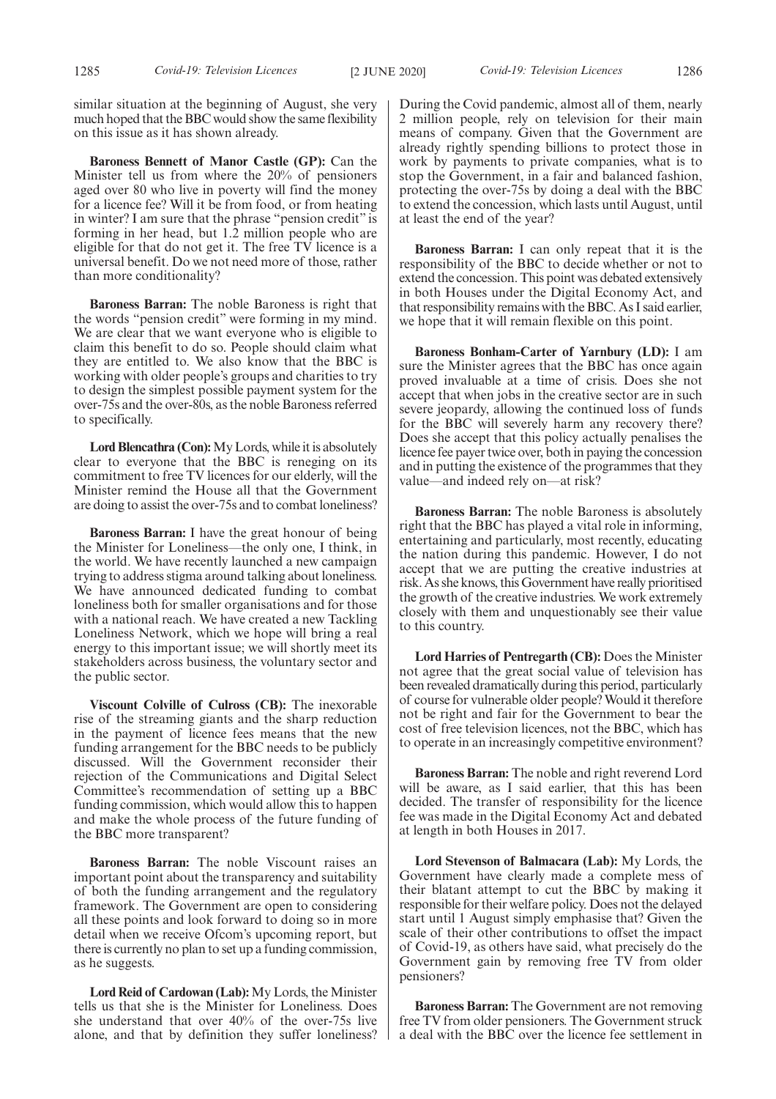similar situation at the beginning of August, she very much hoped that the BBC would show the same flexibility on this issue as it has shown already.

**Baroness Bennett of Manor Castle (GP):** Can the Minister tell us from where the 20% of pensioners aged over 80 who live in poverty will find the money for a licence fee? Will it be from food, or from heating in winter? I am sure that the phrase "pension credit" is forming in her head, but 1.2 million people who are eligible for that do not get it. The free TV licence is a universal benefit. Do we not need more of those, rather than more conditionality?

**Baroness Barran:** The noble Baroness is right that the words "pension credit" were forming in my mind. We are clear that we want everyone who is eligible to claim this benefit to do so. People should claim what they are entitled to. We also know that the BBC is working with older people's groups and charities to try to design the simplest possible payment system for the over-75s and the over-80s, as the noble Baroness referred to specifically.

**Lord Blencathra (Con):**My Lords, while it is absolutely clear to everyone that the BBC is reneging on its commitment to free TV licences for our elderly, will the Minister remind the House all that the Government are doing to assist the over-75s and to combat loneliness?

**Baroness Barran:** I have the great honour of being the Minister for Loneliness—the only one, I think, in the world. We have recently launched a new campaign trying to address stigma around talking about loneliness. We have announced dedicated funding to combat loneliness both for smaller organisations and for those with a national reach. We have created a new Tackling Loneliness Network, which we hope will bring a real energy to this important issue; we will shortly meet its stakeholders across business, the voluntary sector and the public sector.

**Viscount Colville of Culross (CB):** The inexorable rise of the streaming giants and the sharp reduction in the payment of licence fees means that the new funding arrangement for the BBC needs to be publicly discussed. Will the Government reconsider their rejection of the Communications and Digital Select Committee's recommendation of setting up a BBC funding commission, which would allow this to happen and make the whole process of the future funding of the BBC more transparent?

**Baroness Barran:** The noble Viscount raises an important point about the transparency and suitability of both the funding arrangement and the regulatory framework. The Government are open to considering all these points and look forward to doing so in more detail when we receive Ofcom's upcoming report, but there is currently no plan to set up a funding commission, as he suggests.

**Lord Reid of Cardowan (Lab):**My Lords, the Minister tells us that she is the Minister for Loneliness. Does she understand that over 40% of the over-75s live alone, and that by definition they suffer loneliness? During the Covid pandemic, almost all of them, nearly 2 million people, rely on television for their main means of company. Given that the Government are already rightly spending billions to protect those in work by payments to private companies, what is to stop the Government, in a fair and balanced fashion, protecting the over-75s by doing a deal with the BBC to extend the concession, which lasts until August, until at least the end of the year?

**Baroness Barran:** I can only repeat that it is the responsibility of the BBC to decide whether or not to extend the concession. This point was debated extensively in both Houses under the Digital Economy Act, and that responsibility remains with the BBC. As I said earlier, we hope that it will remain flexible on this point.

**Baroness Bonham-Carter of Yarnbury (LD):** I am sure the Minister agrees that the BBC has once again proved invaluable at a time of crisis. Does she not accept that when jobs in the creative sector are in such severe jeopardy, allowing the continued loss of funds for the BBC will severely harm any recovery there? Does she accept that this policy actually penalises the licence fee payer twice over, both in paying the concession and in putting the existence of the programmes that they value—and indeed rely on—at risk?

**Baroness Barran:** The noble Baroness is absolutely right that the BBC has played a vital role in informing, entertaining and particularly, most recently, educating the nation during this pandemic. However, I do not accept that we are putting the creative industries at risk. As she knows, this Government have really prioritised the growth of the creative industries. We work extremely closely with them and unquestionably see their value to this country.

**Lord Harries of Pentregarth (CB):** Does the Minister not agree that the great social value of television has been revealed dramatically during this period, particularly of course for vulnerable older people? Would it therefore not be right and fair for the Government to bear the cost of free television licences, not the BBC, which has to operate in an increasingly competitive environment?

**Baroness Barran:** The noble and right reverend Lord will be aware, as I said earlier, that this has been decided. The transfer of responsibility for the licence fee was made in the Digital Economy Act and debated at length in both Houses in 2017.

**Lord Stevenson of Balmacara (Lab):** My Lords, the Government have clearly made a complete mess of their blatant attempt to cut the BBC by making it responsible for their welfare policy. Does not the delayed start until 1 August simply emphasise that? Given the scale of their other contributions to offset the impact of Covid-19, as others have said, what precisely do the Government gain by removing free TV from older pensioners?

**Baroness Barran:** The Government are not removing free TV from older pensioners. The Government struck a deal with the BBC over the licence fee settlement in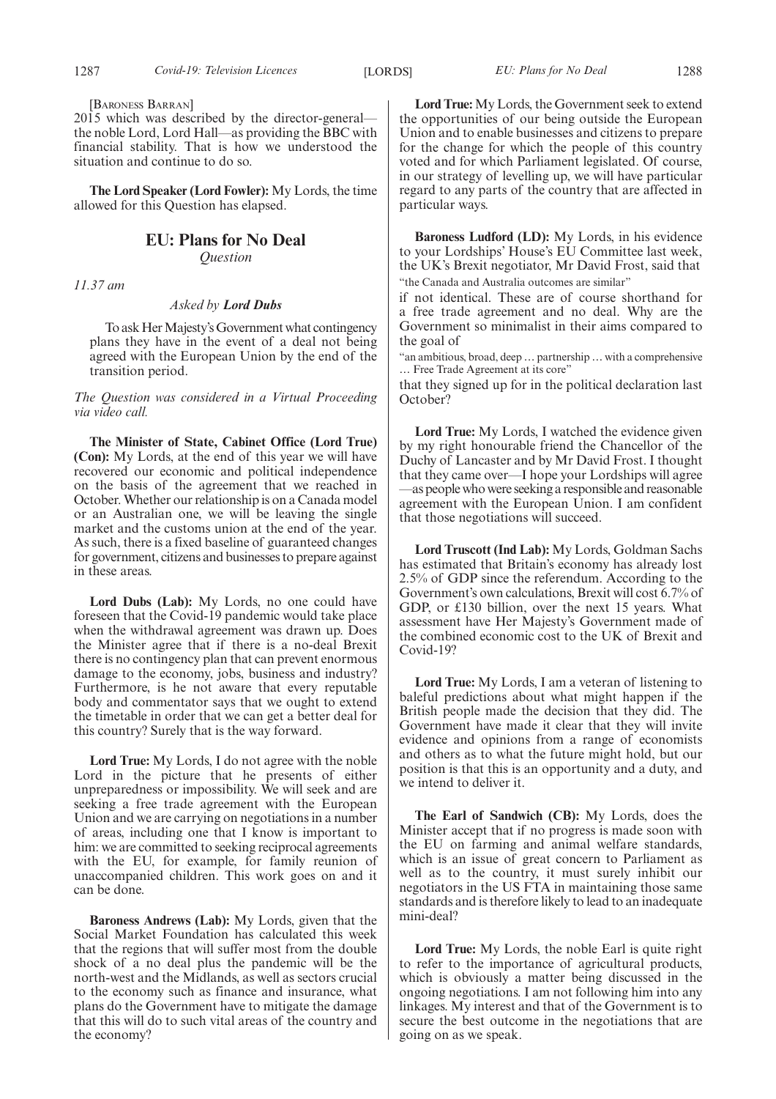[BARONESS BARRAN]

2015 which was described by the director-general the noble Lord, Lord Hall—as providing the BBC with financial stability. That is how we understood the situation and continue to do so.

**The Lord Speaker (Lord Fowler):** My Lords, the time allowed for this Question has elapsed.

#### **EU: Plans for No Deal** *Question*

*11.37 am*

#### *Asked by Lord Dubs*

To ask Her Majesty's Government what contingency plans they have in the event of a deal not being agreed with the European Union by the end of the transition period.

*The Question was considered in a Virtual Proceeding via video call.*

**The Minister of State, Cabinet Office (Lord True) (Con):** My Lords, at the end of this year we will have recovered our economic and political independence on the basis of the agreement that we reached in October. Whether our relationship is on a Canada model or an Australian one, we will be leaving the single market and the customs union at the end of the year. As such, there is a fixed baseline of guaranteed changes for government, citizens and businesses to prepare against in these areas.

**Lord Dubs (Lab):** My Lords, no one could have foreseen that the Covid-19 pandemic would take place when the withdrawal agreement was drawn up. Does the Minister agree that if there is a no-deal Brexit there is no contingency plan that can prevent enormous damage to the economy, jobs, business and industry? Furthermore, is he not aware that every reputable body and commentator says that we ought to extend the timetable in order that we can get a better deal for this country? Surely that is the way forward.

**Lord True:** My Lords, I do not agree with the noble Lord in the picture that he presents of either unpreparedness or impossibility. We will seek and are seeking a free trade agreement with the European Union and we are carrying on negotiations in a number of areas, including one that I know is important to him: we are committed to seeking reciprocal agreements with the EU, for example, for family reunion of unaccompanied children. This work goes on and it can be done.

**Baroness Andrews (Lab):** My Lords, given that the Social Market Foundation has calculated this week that the regions that will suffer most from the double shock of a no deal plus the pandemic will be the north-west and the Midlands, as well as sectors crucial to the economy such as finance and insurance, what plans do the Government have to mitigate the damage that this will do to such vital areas of the country and the economy?

**Lord True:** My Lords, the Government seek to extend the opportunities of our being outside the European Union and to enable businesses and citizens to prepare for the change for which the people of this country voted and for which Parliament legislated. Of course, in our strategy of levelling up, we will have particular regard to any parts of the country that are affected in particular ways.

**Baroness Ludford (LD):** My Lords, in his evidence to your Lordships' House's EU Committee last week, the UK's Brexit negotiator, Mr David Frost, said that "the Canada and Australia outcomes are similar"

if not identical. These are of course shorthand for a free trade agreement and no deal. Why are the Government so minimalist in their aims compared to the goal of

"an ambitious, broad, deep … partnership … with a comprehensive … Free Trade Agreement at its core"

that they signed up for in the political declaration last October?

**Lord True:** My Lords, I watched the evidence given by my right honourable friend the Chancellor of the Duchy of Lancaster and by Mr David Frost. I thought that they came over—I hope your Lordships will agree —as people who were seeking a responsible and reasonable agreement with the European Union. I am confident that those negotiations will succeed.

**Lord Truscott (Ind Lab):** My Lords, Goldman Sachs has estimated that Britain's economy has already lost 2.5% of GDP since the referendum. According to the Government's own calculations, Brexit will cost 6.7% of GDP, or £130 billion, over the next 15 years. What assessment have Her Majesty's Government made of the combined economic cost to the UK of Brexit and Covid-19?

**Lord True:** My Lords, I am a veteran of listening to baleful predictions about what might happen if the British people made the decision that they did. The Government have made it clear that they will invite evidence and opinions from a range of economists and others as to what the future might hold, but our position is that this is an opportunity and a duty, and we intend to deliver it.

**The Earl of Sandwich (CB):** My Lords, does the Minister accept that if no progress is made soon with the EU on farming and animal welfare standards, which is an issue of great concern to Parliament as well as to the country, it must surely inhibit our negotiators in the US FTA in maintaining those same standards and is therefore likely to lead to an inadequate mini-deal?

**Lord True:** My Lords, the noble Earl is quite right to refer to the importance of agricultural products, which is obviously a matter being discussed in the ongoing negotiations. I am not following him into any linkages. My interest and that of the Government is to secure the best outcome in the negotiations that are going on as we speak.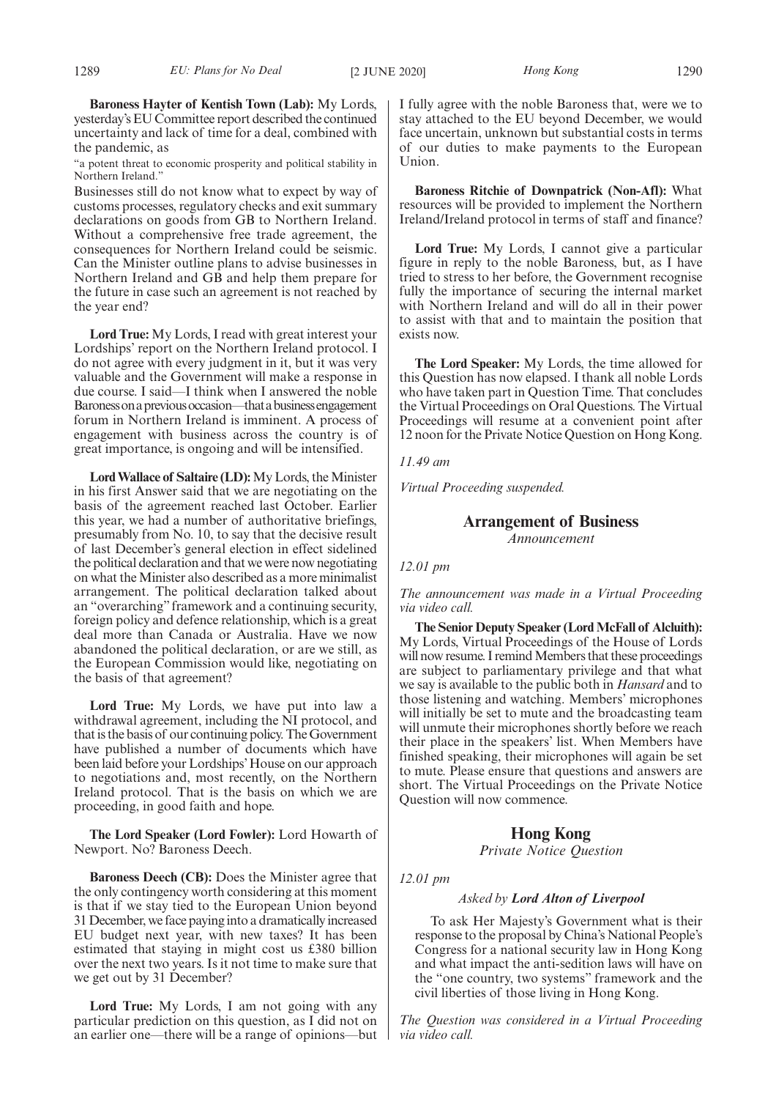**Baroness Hayter of Kentish Town (Lab):** My Lords, yesterday's EU Committee report described the continued uncertainty and lack of time for a deal, combined with the pandemic, as

"a potent threat to economic prosperity and political stability in Northern Ireland."

Businesses still do not know what to expect by way of customs processes, regulatory checks and exit summary declarations on goods from GB to Northern Ireland. Without a comprehensive free trade agreement, the consequences for Northern Ireland could be seismic. Can the Minister outline plans to advise businesses in Northern Ireland and GB and help them prepare for the future in case such an agreement is not reached by the year end?

**Lord True:** My Lords, I read with great interest your Lordships' report on the Northern Ireland protocol. I do not agree with every judgment in it, but it was very valuable and the Government will make a response in due course. I said—I think when I answered the noble Baroness on a previous occasion—that a business engagement forum in Northern Ireland is imminent. A process of engagement with business across the country is of great importance, is ongoing and will be intensified.

**Lord Wallace of Saltaire (LD):**My Lords, the Minister in his first Answer said that we are negotiating on the basis of the agreement reached last October. Earlier this year, we had a number of authoritative briefings, presumably from No. 10, to say that the decisive result of last December's general election in effect sidelined the political declaration and that we were now negotiating on what the Minister also described as a more minimalist arrangement. The political declaration talked about an "overarching" framework and a continuing security, foreign policy and defence relationship, which is a great deal more than Canada or Australia. Have we now abandoned the political declaration, or are we still, as the European Commission would like, negotiating on the basis of that agreement?

**Lord True:** My Lords, we have put into law a withdrawal agreement, including the NI protocol, and that is the basis of our continuing policy. The Government have published a number of documents which have been laid before your Lordships'House on our approach to negotiations and, most recently, on the Northern Ireland protocol. That is the basis on which we are proceeding, in good faith and hope.

**The Lord Speaker (Lord Fowler):** Lord Howarth of Newport. No? Baroness Deech.

**Baroness Deech (CB):** Does the Minister agree that the only contingency worth considering at this moment is that if we stay tied to the European Union beyond 31 December, we face paying into a dramatically increased EU budget next year, with new taxes? It has been estimated that staying in might cost us £380 billion over the next two years. Is it not time to make sure that we get out by 31 December?

**Lord True:** My Lords, I am not going with any particular prediction on this question, as I did not on an earlier one—there will be a range of opinions—but I fully agree with the noble Baroness that, were we to stay attached to the EU beyond December, we would face uncertain, unknown but substantial costs in terms of our duties to make payments to the European Union.

**Baroness Ritchie of Downpatrick (Non-Afl):** What resources will be provided to implement the Northern Ireland/Ireland protocol in terms of staff and finance?

**Lord True:** My Lords, I cannot give a particular figure in reply to the noble Baroness, but, as I have tried to stress to her before, the Government recognise fully the importance of securing the internal market with Northern Ireland and will do all in their power to assist with that and to maintain the position that exists now.

**The Lord Speaker:** My Lords, the time allowed for this Question has now elapsed. I thank all noble Lords who have taken part in Question Time. That concludes the Virtual Proceedings on Oral Questions. The Virtual Proceedings will resume at a convenient point after 12 noon for the Private Notice Question on Hong Kong.

#### *11.49 am*

*Virtual Proceeding suspended.*

#### **Arrangement of Business**

*Announcement*

#### *12.01 pm*

*The announcement was made in a Virtual Proceeding via video call.*

**The Senior Deputy Speaker (Lord McFall of Alcluith):** My Lords, Virtual Proceedings of the House of Lords will now resume. I remind Members that these proceedings are subject to parliamentary privilege and that what we say is available to the public both in *Hansard* and to those listening and watching. Members' microphones will initially be set to mute and the broadcasting team will unmute their microphones shortly before we reach their place in the speakers' list. When Members have finished speaking, their microphones will again be set to mute. Please ensure that questions and answers are short. The Virtual Proceedings on the Private Notice Question will now commence.

#### **Hong Kong**

*Private Notice Question*

*12.01 pm*

#### *Asked by Lord Alton of Liverpool*

To ask Her Majesty's Government what is their response to the proposal by China's National People's Congress for a national security law in Hong Kong and what impact the anti-sedition laws will have on the "one country, two systems" framework and the civil liberties of those living in Hong Kong.

*The Question was considered in a Virtual Proceeding via video call.*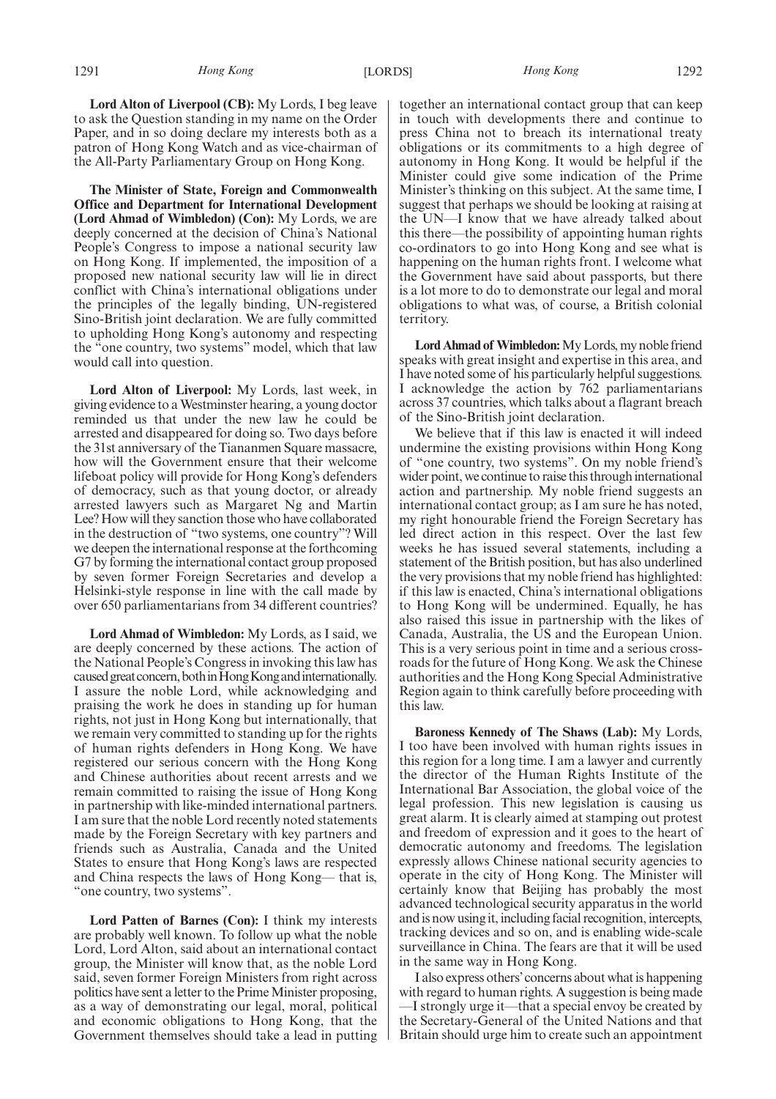**Lord Alton of Liverpool (CB):** My Lords, I beg leave to ask the Question standing in my name on the Order Paper, and in so doing declare my interests both as a patron of Hong Kong Watch and as vice-chairman of the All-Party Parliamentary Group on Hong Kong.

**The Minister of State, Foreign and Commonwealth Office and Department for International Development (Lord Ahmad of Wimbledon) (Con):** My Lords, we are deeply concerned at the decision of China's National People's Congress to impose a national security law on Hong Kong. If implemented, the imposition of a proposed new national security law will lie in direct conflict with China's international obligations under the principles of the legally binding, UN-registered Sino-British joint declaration. We are fully committed to upholding Hong Kong's autonomy and respecting the "one country, two systems" model, which that law would call into question.

**Lord Alton of Liverpool:** My Lords, last week, in giving evidence to a Westminster hearing, a young doctor reminded us that under the new law he could be arrested and disappeared for doing so. Two days before the 31st anniversary of the Tiananmen Square massacre, how will the Government ensure that their welcome lifeboat policy will provide for Hong Kong's defenders of democracy, such as that young doctor, or already arrested lawyers such as Margaret Ng and Martin Lee? How will they sanction those who have collaborated in the destruction of "two systems, one country"? Will we deepen the international response at the forthcoming G7 by forming the international contact group proposed by seven former Foreign Secretaries and develop a Helsinki-style response in line with the call made by over 650 parliamentarians from 34 different countries?

**Lord Ahmad of Wimbledon:** My Lords, as I said, we are deeply concerned by these actions. The action of the National People's Congress in invoking this law has caused great concern, both in Hong Kong and internationally. I assure the noble Lord, while acknowledging and praising the work he does in standing up for human rights, not just in Hong Kong but internationally, that we remain very committed to standing up for the rights of human rights defenders in Hong Kong. We have registered our serious concern with the Hong Kong and Chinese authorities about recent arrests and we remain committed to raising the issue of Hong Kong in partnership with like-minded international partners. I am sure that the noble Lord recently noted statements made by the Foreign Secretary with key partners and friends such as Australia, Canada and the United States to ensure that Hong Kong's laws are respected and China respects the laws of Hong Kong— that is, "one country, two systems".

**Lord Patten of Barnes (Con):** I think my interests are probably well known. To follow up what the noble Lord, Lord Alton, said about an international contact group, the Minister will know that, as the noble Lord said, seven former Foreign Ministers from right across politics have sent a letter to the Prime Minister proposing, as a way of demonstrating our legal, moral, political and economic obligations to Hong Kong, that the Government themselves should take a lead in putting together an international contact group that can keep in touch with developments there and continue to press China not to breach its international treaty obligations or its commitments to a high degree of autonomy in Hong Kong. It would be helpful if the Minister could give some indication of the Prime Minister's thinking on this subject. At the same time, I suggest that perhaps we should be looking at raising at the UN—I know that we have already talked about this there—the possibility of appointing human rights co-ordinators to go into Hong Kong and see what is happening on the human rights front. I welcome what the Government have said about passports, but there is a lot more to do to demonstrate our legal and moral obligations to what was, of course, a British colonial territory.

**Lord Ahmad of Wimbledon:**My Lords, my noble friend speaks with great insight and expertise in this area, and I have noted some of his particularly helpful suggestions. I acknowledge the action by 762 parliamentarians across 37 countries, which talks about a flagrant breach of the Sino-British joint declaration.

We believe that if this law is enacted it will indeed undermine the existing provisions within Hong Kong of "one country, two systems". On my noble friend's wider point, we continue to raise this through international action and partnership. My noble friend suggests an international contact group; as I am sure he has noted, my right honourable friend the Foreign Secretary has led direct action in this respect. Over the last few weeks he has issued several statements, including a statement of the British position, but has also underlined the very provisions that my noble friend has highlighted: if this law is enacted, China's international obligations to Hong Kong will be undermined. Equally, he has also raised this issue in partnership with the likes of Canada, Australia, the US and the European Union. This is a very serious point in time and a serious crossroads for the future of Hong Kong. We ask the Chinese authorities and the Hong Kong Special Administrative Region again to think carefully before proceeding with this law.

**Baroness Kennedy of The Shaws (Lab):** My Lords, I too have been involved with human rights issues in this region for a long time. I am a lawyer and currently the director of the Human Rights Institute of the International Bar Association, the global voice of the legal profession. This new legislation is causing us great alarm. It is clearly aimed at stamping out protest and freedom of expression and it goes to the heart of democratic autonomy and freedoms. The legislation expressly allows Chinese national security agencies to operate in the city of Hong Kong. The Minister will certainly know that Beijing has probably the most advanced technological security apparatus in the world and is now using it, including facial recognition, intercepts, tracking devices and so on, and is enabling wide-scale surveillance in China. The fears are that it will be used in the same way in Hong Kong.

I also express others'concerns about what is happening with regard to human rights. A suggestion is being made —I strongly urge it—that a special envoy be created by the Secretary-General of the United Nations and that Britain should urge him to create such an appointment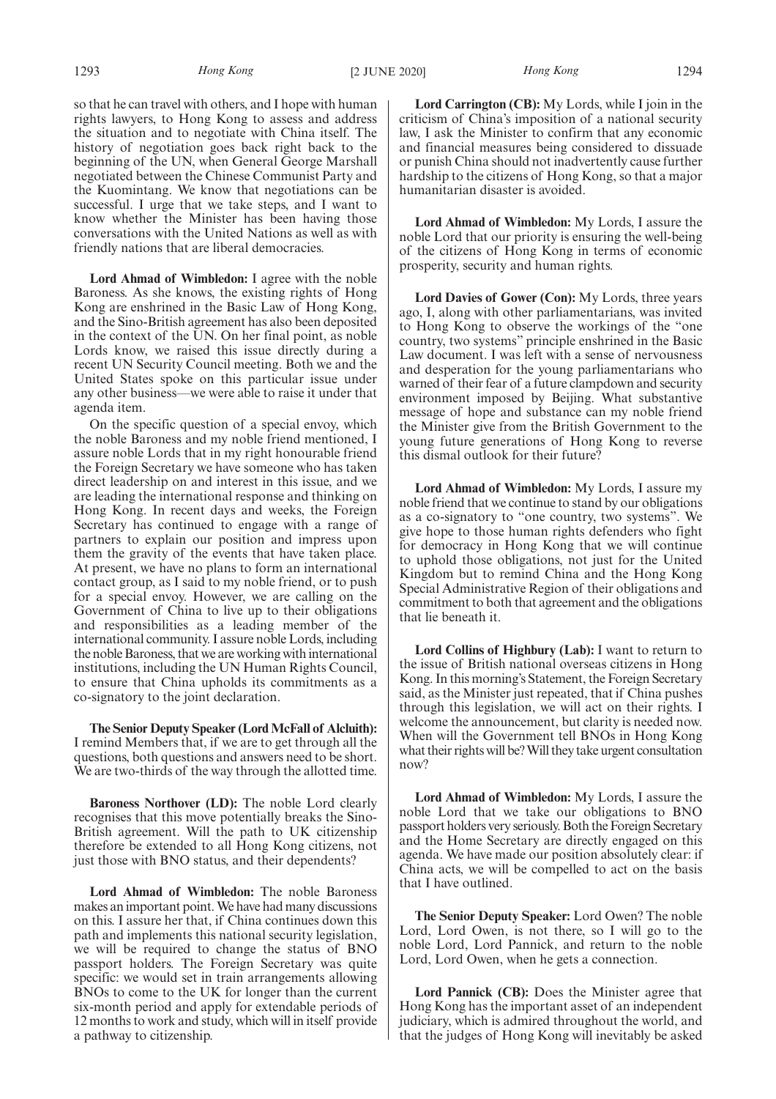so that he can travel with others, and I hope with human rights lawyers, to Hong Kong to assess and address the situation and to negotiate with China itself. The history of negotiation goes back right back to the beginning of the UN, when General George Marshall negotiated between the Chinese Communist Party and the Kuomintang. We know that negotiations can be successful. I urge that we take steps, and I want to know whether the Minister has been having those conversations with the United Nations as well as with friendly nations that are liberal democracies.

**Lord Ahmad of Wimbledon:** I agree with the noble Baroness. As she knows, the existing rights of Hong Kong are enshrined in the Basic Law of Hong Kong, and the Sino-British agreement has also been deposited in the context of the UN. On her final point, as noble Lords know, we raised this issue directly during a recent UN Security Council meeting. Both we and the United States spoke on this particular issue under any other business—we were able to raise it under that agenda item.

On the specific question of a special envoy, which the noble Baroness and my noble friend mentioned, I assure noble Lords that in my right honourable friend the Foreign Secretary we have someone who has taken direct leadership on and interest in this issue, and we are leading the international response and thinking on Hong Kong. In recent days and weeks, the Foreign Secretary has continued to engage with a range of partners to explain our position and impress upon them the gravity of the events that have taken place. At present, we have no plans to form an international contact group, as I said to my noble friend, or to push for a special envoy. However, we are calling on the Government of China to live up to their obligations and responsibilities as a leading member of the international community. I assure noble Lords, including the noble Baroness, that we are working with international institutions, including the UN Human Rights Council, to ensure that China upholds its commitments as a co-signatory to the joint declaration.

**The Senior Deputy Speaker (Lord McFall of Alcluith):** I remind Members that, if we are to get through all the questions, both questions and answers need to be short. We are two-thirds of the way through the allotted time.

**Baroness Northover (LD):** The noble Lord clearly recognises that this move potentially breaks the Sino-British agreement. Will the path to UK citizenship therefore be extended to all Hong Kong citizens, not just those with BNO status, and their dependents?

**Lord Ahmad of Wimbledon:** The noble Baroness makes an important point. We have had many discussions on this. I assure her that, if China continues down this path and implements this national security legislation, we will be required to change the status of BNO passport holders. The Foreign Secretary was quite specific: we would set in train arrangements allowing BNOs to come to the UK for longer than the current six-month period and apply for extendable periods of 12 months to work and study, which will in itself provide a pathway to citizenship.

**Lord Carrington (CB):** My Lords, while I join in the criticism of China's imposition of a national security law, I ask the Minister to confirm that any economic and financial measures being considered to dissuade or punish China should not inadvertently cause further hardship to the citizens of Hong Kong, so that a major humanitarian disaster is avoided.

**Lord Ahmad of Wimbledon:** My Lords, I assure the noble Lord that our priority is ensuring the well-being of the citizens of Hong Kong in terms of economic prosperity, security and human rights.

**Lord Davies of Gower (Con):** My Lords, three years ago, I, along with other parliamentarians, was invited to Hong Kong to observe the workings of the "one country, two systems" principle enshrined in the Basic Law document. I was left with a sense of nervousness and desperation for the young parliamentarians who warned of their fear of a future clampdown and security environment imposed by Beijing. What substantive message of hope and substance can my noble friend the Minister give from the British Government to the young future generations of Hong Kong to reverse this dismal outlook for their future?

**Lord Ahmad of Wimbledon:** My Lords, I assure my noble friend that we continue to stand by our obligations as a co-signatory to "one country, two systems". We give hope to those human rights defenders who fight for democracy in Hong Kong that we will continue to uphold those obligations, not just for the United Kingdom but to remind China and the Hong Kong Special Administrative Region of their obligations and commitment to both that agreement and the obligations that lie beneath it.

**Lord Collins of Highbury (Lab):** I want to return to the issue of British national overseas citizens in Hong Kong. In this morning's Statement, the Foreign Secretary said, as the Minister just repeated, that if China pushes through this legislation, we will act on their rights. I welcome the announcement, but clarity is needed now. When will the Government tell BNOs in Hong Kong what their rights will be? Will they take urgent consultation now?

**Lord Ahmad of Wimbledon:** My Lords, I assure the noble Lord that we take our obligations to BNO passport holders very seriously. Both the Foreign Secretary and the Home Secretary are directly engaged on this agenda. We have made our position absolutely clear: if China acts, we will be compelled to act on the basis that I have outlined.

**The Senior Deputy Speaker:** Lord Owen? The noble Lord, Lord Owen, is not there, so I will go to the noble Lord, Lord Pannick, and return to the noble Lord, Lord Owen, when he gets a connection.

**Lord Pannick (CB):** Does the Minister agree that Hong Kong has the important asset of an independent judiciary, which is admired throughout the world, and that the judges of Hong Kong will inevitably be asked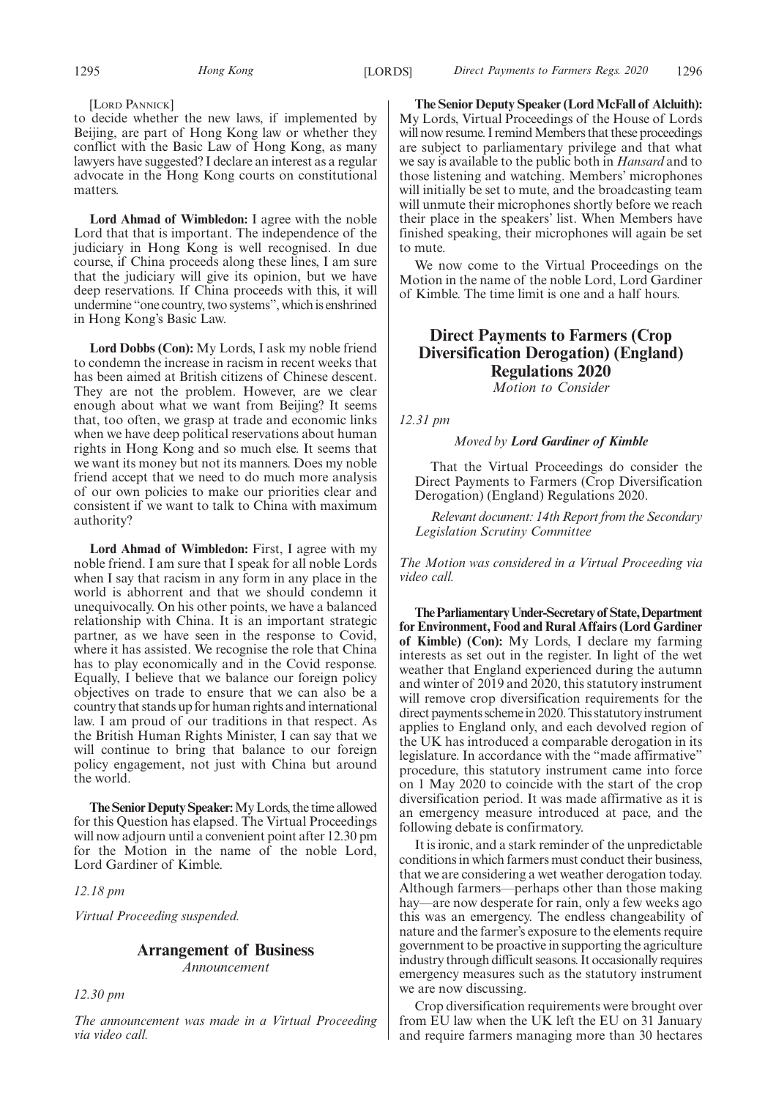#### [LORD PANNICK]

to decide whether the new laws, if implemented by Beijing, are part of Hong Kong law or whether they conflict with the Basic Law of Hong Kong, as many lawyers have suggested? I declare an interest as a regular advocate in the Hong Kong courts on constitutional matters.

**Lord Ahmad of Wimbledon:** I agree with the noble Lord that that is important. The independence of the judiciary in Hong Kong is well recognised. In due course, if China proceeds along these lines, I am sure that the judiciary will give its opinion, but we have deep reservations. If China proceeds with this, it will undermine "one country, two systems", which is enshrined in Hong Kong's Basic Law.

**Lord Dobbs (Con):** My Lords, I ask my noble friend to condemn the increase in racism in recent weeks that has been aimed at British citizens of Chinese descent. They are not the problem. However, are we clear enough about what we want from Beijing? It seems that, too often, we grasp at trade and economic links when we have deep political reservations about human rights in Hong Kong and so much else. It seems that we want its money but not its manners. Does my noble friend accept that we need to do much more analysis of our own policies to make our priorities clear and consistent if we want to talk to China with maximum authority?

**Lord Ahmad of Wimbledon:** First, I agree with my noble friend. I am sure that I speak for all noble Lords when I say that racism in any form in any place in the world is abhorrent and that we should condemn it unequivocally. On his other points, we have a balanced relationship with China. It is an important strategic partner, as we have seen in the response to Covid, where it has assisted. We recognise the role that China has to play economically and in the Covid response. Equally, I believe that we balance our foreign policy objectives on trade to ensure that we can also be a country that stands up for human rights and international law. I am proud of our traditions in that respect. As the British Human Rights Minister, I can say that we will continue to bring that balance to our foreign policy engagement, not just with China but around the world.

**The Senior Deputy Speaker:**My Lords, the time allowed for this Question has elapsed. The Virtual Proceedings will now adjourn until a convenient point after 12.30 pm for the Motion in the name of the noble Lord, Lord Gardiner of Kimble.

#### *12.18 pm*

*Virtual Proceeding suspended.*

#### **Arrangement of Business** *Announcement*

*12.30 pm*

*The announcement was made in a Virtual Proceeding via video call.*

**The Senior Deputy Speaker (Lord McFall of Alcluith):** My Lords, Virtual Proceedings of the House of Lords will now resume. I remind Members that these proceedings are subject to parliamentary privilege and that what we say is available to the public both in *Hansard* and to those listening and watching. Members' microphones will initially be set to mute, and the broadcasting team will unmute their microphones shortly before we reach their place in the speakers' list. When Members have finished speaking, their microphones will again be set to mute.

We now come to the Virtual Proceedings on the Motion in the name of the noble Lord, Lord Gardiner of Kimble. The time limit is one and a half hours.

## **Direct Payments to Farmers (Crop Diversification Derogation) (England) Regulations 2020**

*Motion to Consider*

*12.31 pm*

#### *Moved by Lord Gardiner of Kimble*

That the Virtual Proceedings do consider the Direct Payments to Farmers (Crop Diversification Derogation) (England) Regulations 2020.

*Relevant document: 14th Report from the Secondary Legislation Scrutiny Committee*

*The Motion was considered in a Virtual Proceeding via video call.*

**TheParliamentaryUnder-Secretaryof State,Department for Environment, Food and Rural Affairs (Lord Gardiner of Kimble) (Con):** My Lords, I declare my farming interests as set out in the register. In light of the wet weather that England experienced during the autumn and winter of 2019 and 2020, this statutory instrument will remove crop diversification requirements for the direct payments scheme in 2020. This statutory instrument applies to England only, and each devolved region of the UK has introduced a comparable derogation in its legislature. In accordance with the "made affirmative" procedure, this statutory instrument came into force on 1 May 2020 to coincide with the start of the crop diversification period. It was made affirmative as it is an emergency measure introduced at pace, and the following debate is confirmatory.

It is ironic, and a stark reminder of the unpredictable conditions in which farmers must conduct their business, that we are considering a wet weather derogation today. Although farmers—perhaps other than those making hay—are now desperate for rain, only a few weeks ago this was an emergency. The endless changeability of nature and the farmer's exposure to the elements require government to be proactive in supporting the agriculture industry through difficult seasons. It occasionally requires emergency measures such as the statutory instrument we are now discussing.

Crop diversification requirements were brought over from EU law when the UK left the EU on 31 January and require farmers managing more than 30 hectares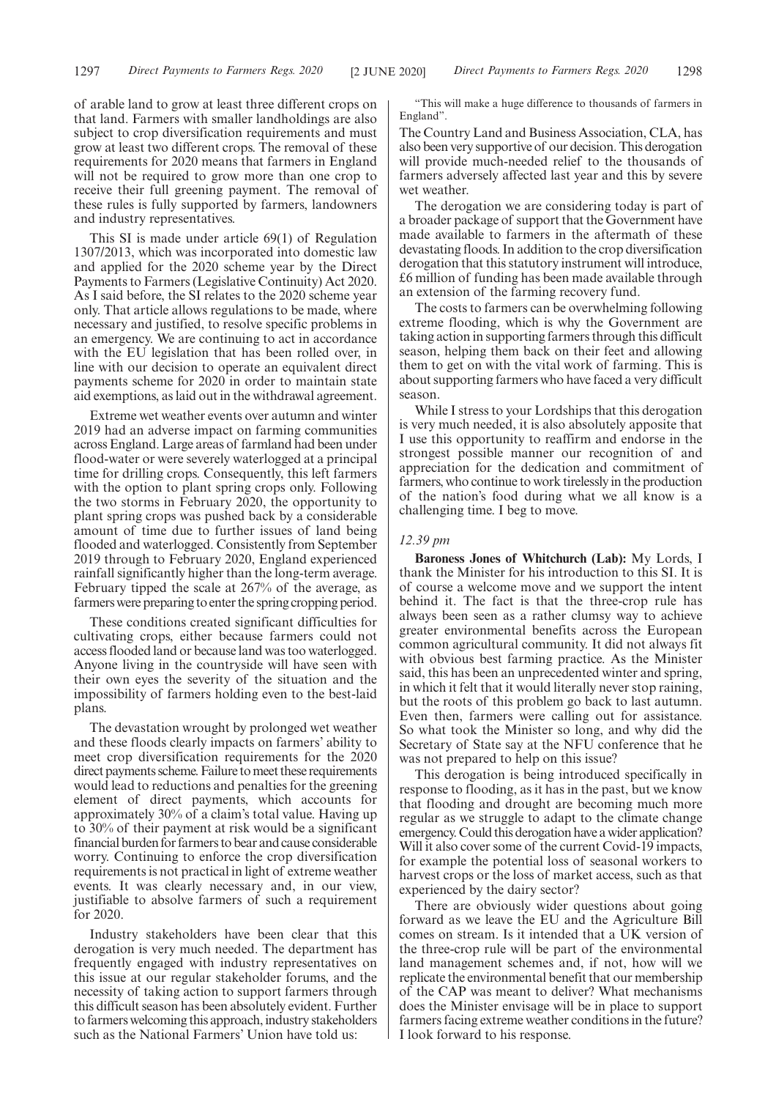of arable land to grow at least three different crops on that land. Farmers with smaller landholdings are also subject to crop diversification requirements and must grow at least two different crops. The removal of these requirements for 2020 means that farmers in England will not be required to grow more than one crop to receive their full greening payment. The removal of these rules is fully supported by farmers, landowners and industry representatives.

This SI is made under article 69(1) of Regulation 1307/2013, which was incorporated into domestic law and applied for the 2020 scheme year by the Direct Payments to Farmers (Legislative Continuity) Act 2020. As I said before, the SI relates to the 2020 scheme year only. That article allows regulations to be made, where necessary and justified, to resolve specific problems in an emergency. We are continuing to act in accordance with the EU legislation that has been rolled over, in line with our decision to operate an equivalent direct payments scheme for 2020 in order to maintain state aid exemptions, as laid out in the withdrawal agreement.

Extreme wet weather events over autumn and winter 2019 had an adverse impact on farming communities across England. Large areas of farmland had been under flood-water or were severely waterlogged at a principal time for drilling crops. Consequently, this left farmers with the option to plant spring crops only. Following the two storms in February 2020, the opportunity to plant spring crops was pushed back by a considerable amount of time due to further issues of land being flooded and waterlogged. Consistently from September 2019 through to February 2020, England experienced rainfall significantly higher than the long-term average. February tipped the scale at 267% of the average, as farmers were preparing to enter the spring cropping period.

These conditions created significant difficulties for cultivating crops, either because farmers could not access flooded land or because land was too waterlogged. Anyone living in the countryside will have seen with their own eyes the severity of the situation and the impossibility of farmers holding even to the best-laid plans.

The devastation wrought by prolonged wet weather and these floods clearly impacts on farmers' ability to meet crop diversification requirements for the 2020 direct payments scheme. Failure to meet these requirements would lead to reductions and penalties for the greening element of direct payments, which accounts for approximately 30% of a claim's total value. Having up to 30% of their payment at risk would be a significant financial burden for farmers to bear and cause considerable worry. Continuing to enforce the crop diversification requirements is not practical in light of extreme weather events. It was clearly necessary and, in our view, justifiable to absolve farmers of such a requirement for 2020.

Industry stakeholders have been clear that this derogation is very much needed. The department has frequently engaged with industry representatives on this issue at our regular stakeholder forums, and the necessity of taking action to support farmers through this difficult season has been absolutely evident. Further to farmers welcoming this approach, industry stakeholders such as the National Farmers' Union have told us:

"This will make a huge difference to thousands of farmers in England".

The Country Land and Business Association, CLA, has also been very supportive of our decision. This derogation will provide much-needed relief to the thousands of farmers adversely affected last year and this by severe wet weather.

The derogation we are considering today is part of a broader package of support that the Government have made available to farmers in the aftermath of these devastating floods. In addition to the crop diversification derogation that this statutory instrument will introduce, £6 million of funding has been made available through an extension of the farming recovery fund.

The costs to farmers can be overwhelming following extreme flooding, which is why the Government are taking action in supporting farmers through this difficult season, helping them back on their feet and allowing them to get on with the vital work of farming. This is about supporting farmers who have faced a very difficult season.

While I stress to your Lordships that this derogation is very much needed, it is also absolutely apposite that I use this opportunity to reaffirm and endorse in the strongest possible manner our recognition of and appreciation for the dedication and commitment of farmers, who continue to work tirelessly in the production of the nation's food during what we all know is a challenging time. I beg to move.

#### *12.39 pm*

**Baroness Jones of Whitchurch (Lab):** My Lords, I thank the Minister for his introduction to this SI. It is of course a welcome move and we support the intent behind it. The fact is that the three-crop rule has always been seen as a rather clumsy way to achieve greater environmental benefits across the European common agricultural community. It did not always fit with obvious best farming practice. As the Minister said, this has been an unprecedented winter and spring, in which it felt that it would literally never stop raining, but the roots of this problem go back to last autumn. Even then, farmers were calling out for assistance. So what took the Minister so long, and why did the Secretary of State say at the NFU conference that he was not prepared to help on this issue?

This derogation is being introduced specifically in response to flooding, as it has in the past, but we know that flooding and drought are becoming much more regular as we struggle to adapt to the climate change emergency. Could this derogation have a wider application? Will it also cover some of the current Covid-19 impacts, for example the potential loss of seasonal workers to harvest crops or the loss of market access, such as that experienced by the dairy sector?

There are obviously wider questions about going forward as we leave the EU and the Agriculture Bill comes on stream. Is it intended that a UK version of the three-crop rule will be part of the environmental land management schemes and, if not, how will we replicate the environmental benefit that our membership of the CAP was meant to deliver? What mechanisms does the Minister envisage will be in place to support farmers facing extreme weather conditions in the future? I look forward to his response.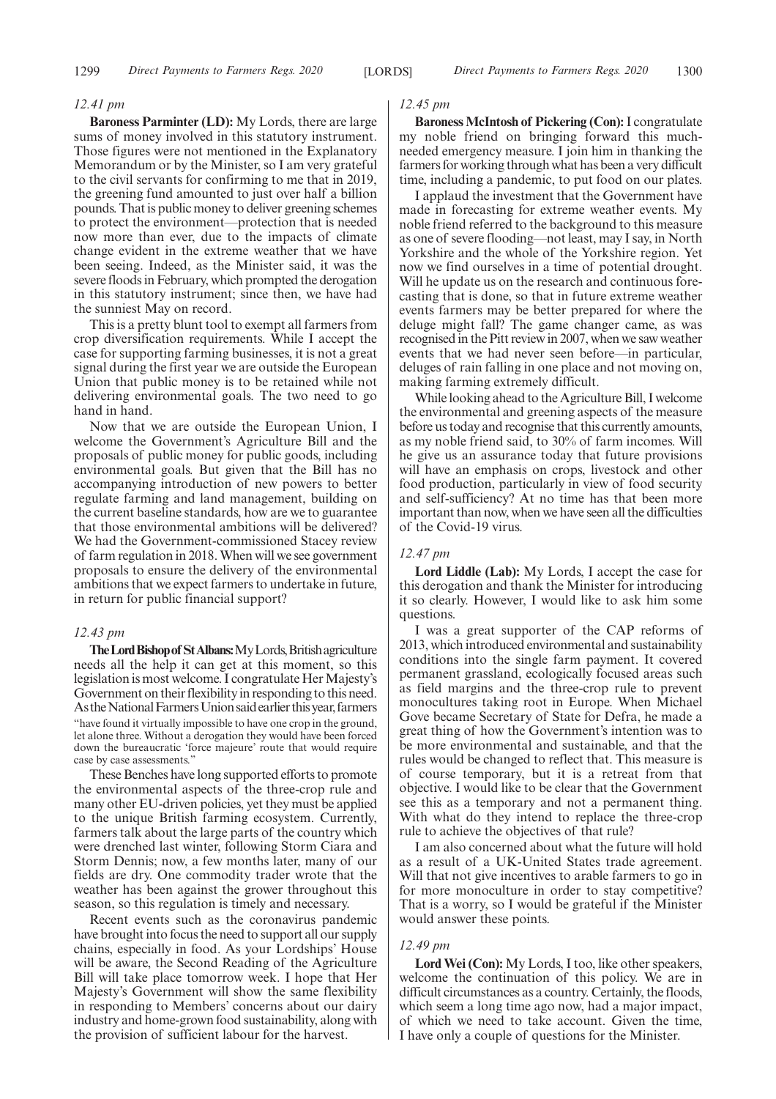#### *12.41 pm*

**Baroness Parminter (LD):** My Lords, there are large sums of money involved in this statutory instrument. Those figures were not mentioned in the Explanatory Memorandum or by the Minister, so I am very grateful to the civil servants for confirming to me that in 2019, the greening fund amounted to just over half a billion pounds. That is public money to deliver greening schemes to protect the environment—protection that is needed now more than ever, due to the impacts of climate change evident in the extreme weather that we have been seeing. Indeed, as the Minister said, it was the severe floods in February, which prompted the derogation in this statutory instrument; since then, we have had the sunniest May on record.

This is a pretty blunt tool to exempt all farmers from crop diversification requirements. While I accept the case for supporting farming businesses, it is not a great signal during the first year we are outside the European Union that public money is to be retained while not delivering environmental goals. The two need to go hand in hand.

Now that we are outside the European Union, I welcome the Government's Agriculture Bill and the proposals of public money for public goods, including environmental goals. But given that the Bill has no accompanying introduction of new powers to better regulate farming and land management, building on the current baseline standards, how are we to guarantee that those environmental ambitions will be delivered? We had the Government-commissioned Stacey review of farm regulation in 2018. When will we see government proposals to ensure the delivery of the environmental ambitions that we expect farmers to undertake in future, in return for public financial support?

#### *12.43 pm*

The Lord Bishop of St Albans: My Lords, British agriculture needs all the help it can get at this moment, so this legislation is most welcome. I congratulate Her Majesty's Government on their flexibility in responding to this need. As the National Farmers Union said earlier this year, farmers "have found it virtually impossible to have one crop in the ground, let alone three. Without a derogation they would have been forced down the bureaucratic 'force majeure' route that would require case by case assessments."

These Benches have long supported efforts to promote the environmental aspects of the three-crop rule and many other EU-driven policies, yet they must be applied to the unique British farming ecosystem. Currently, farmers talk about the large parts of the country which were drenched last winter, following Storm Ciara and Storm Dennis; now, a few months later, many of our fields are dry. One commodity trader wrote that the weather has been against the grower throughout this season, so this regulation is timely and necessary.

Recent events such as the coronavirus pandemic have brought into focus the need to support all our supply chains, especially in food. As your Lordships' House will be aware, the Second Reading of the Agriculture Bill will take place tomorrow week. I hope that Her Majesty's Government will show the same flexibility in responding to Members' concerns about our dairy industry and home-grown food sustainability, along with the provision of sufficient labour for the harvest.

#### *12.45 pm*

**Baroness McIntosh of Pickering (Con):**I congratulate my noble friend on bringing forward this muchneeded emergency measure. I join him in thanking the farmers for working through what has been a very difficult time, including a pandemic, to put food on our plates.

I applaud the investment that the Government have made in forecasting for extreme weather events. My noble friend referred to the background to this measure as one of severe flooding—not least, may I say, in North Yorkshire and the whole of the Yorkshire region. Yet now we find ourselves in a time of potential drought. Will he update us on the research and continuous forecasting that is done, so that in future extreme weather events farmers may be better prepared for where the deluge might fall? The game changer came, as was recognised in the Pitt review in 2007, when we saw weather events that we had never seen before—in particular, deluges of rain falling in one place and not moving on, making farming extremely difficult.

While looking ahead to the Agriculture Bill, I welcome the environmental and greening aspects of the measure before us today and recognise that this currently amounts, as my noble friend said, to 30% of farm incomes. Will he give us an assurance today that future provisions will have an emphasis on crops, livestock and other food production, particularly in view of food security and self-sufficiency? At no time has that been more important than now, when we have seen all the difficulties of the Covid-19 virus.

#### *12.47 pm*

**Lord Liddle (Lab):** My Lords, I accept the case for this derogation and thank the Minister for introducing it so clearly. However, I would like to ask him some questions.

I was a great supporter of the CAP reforms of 2013, which introduced environmental and sustainability conditions into the single farm payment. It covered permanent grassland, ecologically focused areas such as field margins and the three-crop rule to prevent monocultures taking root in Europe. When Michael Gove became Secretary of State for Defra, he made a great thing of how the Government's intention was to be more environmental and sustainable, and that the rules would be changed to reflect that. This measure is of course temporary, but it is a retreat from that objective. I would like to be clear that the Government see this as a temporary and not a permanent thing. With what do they intend to replace the three-crop rule to achieve the objectives of that rule?

I am also concerned about what the future will hold as a result of a UK-United States trade agreement. Will that not give incentives to arable farmers to go in for more monoculture in order to stay competitive? That is a worry, so I would be grateful if the Minister would answer these points.

#### *12.49 pm*

**Lord Wei (Con):** My Lords, I too, like other speakers, welcome the continuation of this policy. We are in difficult circumstances as a country. Certainly, the floods, which seem a long time ago now, had a major impact, of which we need to take account. Given the time, I have only a couple of questions for the Minister.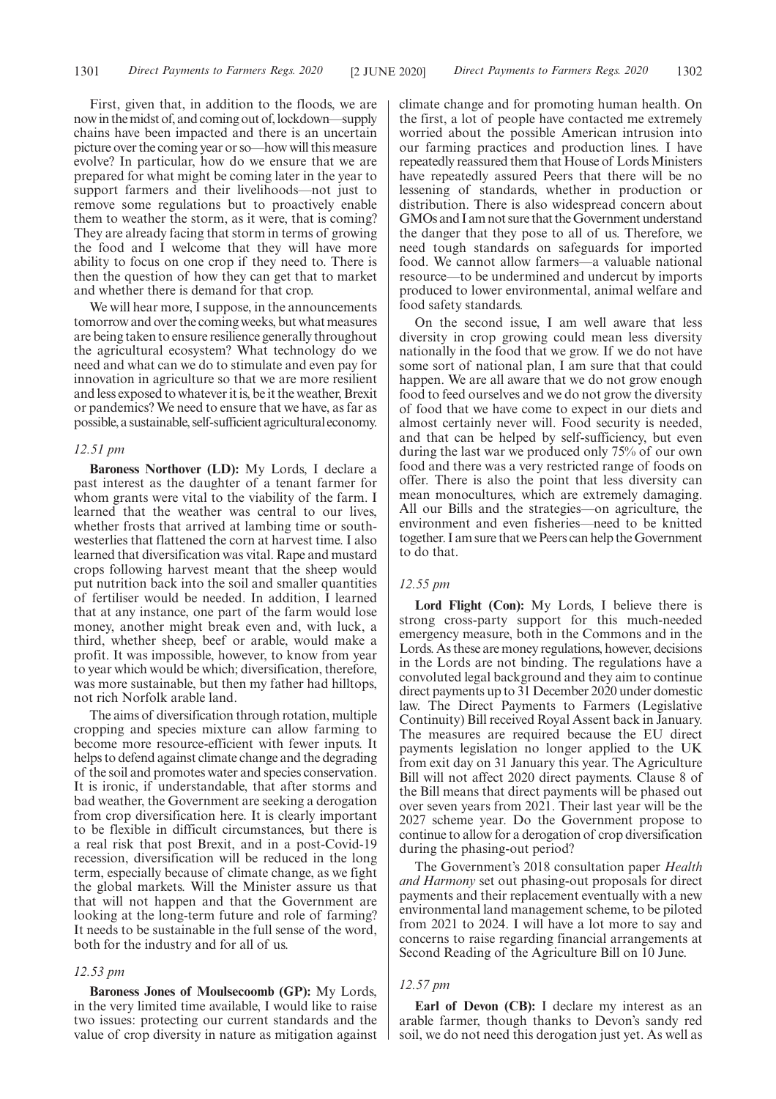First, given that, in addition to the floods, we are now in the midst of, and coming out of, lockdown—supply chains have been impacted and there is an uncertain picture over the coming year or so—how will this measure evolve? In particular, how do we ensure that we are prepared for what might be coming later in the year to support farmers and their livelihoods—not just to remove some regulations but to proactively enable them to weather the storm, as it were, that is coming? They are already facing that storm in terms of growing the food and I welcome that they will have more ability to focus on one crop if they need to. There is then the question of how they can get that to market and whether there is demand for that crop.

We will hear more, I suppose, in the announcements tomorrow and over the coming weeks, but what measures are being taken to ensure resilience generally throughout the agricultural ecosystem? What technology do we need and what can we do to stimulate and even pay for innovation in agriculture so that we are more resilient and less exposed to whatever it is, be it the weather, Brexit or pandemics? We need to ensure that we have, as far as possible, a sustainable, self-sufficient agricultural economy.

#### *12.51 pm*

**Baroness Northover (LD):** My Lords, I declare a past interest as the daughter of a tenant farmer for whom grants were vital to the viability of the farm. I learned that the weather was central to our lives, whether frosts that arrived at lambing time or southwesterlies that flattened the corn at harvest time. I also learned that diversification was vital. Rape and mustard crops following harvest meant that the sheep would put nutrition back into the soil and smaller quantities of fertiliser would be needed. In addition, I learned that at any instance, one part of the farm would lose money, another might break even and, with luck, a third, whether sheep, beef or arable, would make a profit. It was impossible, however, to know from year to year which would be which; diversification, therefore, was more sustainable, but then my father had hilltops, not rich Norfolk arable land.

The aims of diversification through rotation, multiple cropping and species mixture can allow farming to become more resource-efficient with fewer inputs. It helps to defend against climate change and the degrading of the soil and promotes water and species conservation. It is ironic, if understandable, that after storms and bad weather, the Government are seeking a derogation from crop diversification here. It is clearly important to be flexible in difficult circumstances, but there is a real risk that post Brexit, and in a post-Covid-19 recession, diversification will be reduced in the long term, especially because of climate change, as we fight the global markets. Will the Minister assure us that that will not happen and that the Government are looking at the long-term future and role of farming? It needs to be sustainable in the full sense of the word, both for the industry and for all of us.

#### *12.53 pm*

**Baroness Jones of Moulsecoomb (GP):** My Lords, in the very limited time available, I would like to raise two issues: protecting our current standards and the value of crop diversity in nature as mitigation against climate change and for promoting human health. On the first, a lot of people have contacted me extremely worried about the possible American intrusion into our farming practices and production lines. I have repeatedly reassured them that House of Lords Ministers have repeatedly assured Peers that there will be no lessening of standards, whether in production or distribution. There is also widespread concern about GMOs and I am not sure that the Government understand the danger that they pose to all of us. Therefore, we need tough standards on safeguards for imported food. We cannot allow farmers—a valuable national resource—to be undermined and undercut by imports produced to lower environmental, animal welfare and food safety standards.

On the second issue, I am well aware that less diversity in crop growing could mean less diversity nationally in the food that we grow. If we do not have some sort of national plan, I am sure that that could happen. We are all aware that we do not grow enough food to feed ourselves and we do not grow the diversity of food that we have come to expect in our diets and almost certainly never will. Food security is needed, and that can be helped by self-sufficiency, but even during the last war we produced only 75% of our own food and there was a very restricted range of foods on offer. There is also the point that less diversity can mean monocultures, which are extremely damaging. All our Bills and the strategies—on agriculture, the environment and even fisheries—need to be knitted together. I am sure that we Peers can help the Government to do that.

#### *12.55 pm*

**Lord Flight (Con):** My Lords, I believe there is strong cross-party support for this much-needed emergency measure, both in the Commons and in the Lords. As these are money regulations, however, decisions in the Lords are not binding. The regulations have a convoluted legal background and they aim to continue direct payments up to 31 December 2020 under domestic law. The Direct Payments to Farmers (Legislative Continuity) Bill received Royal Assent back in January. The measures are required because the EU direct payments legislation no longer applied to the UK from exit day on 31 January this year. The Agriculture Bill will not affect 2020 direct payments. Clause 8 of the Bill means that direct payments will be phased out over seven years from 2021. Their last year will be the 2027 scheme year. Do the Government propose to continue to allow for a derogation of crop diversification during the phasing-out period?

The Government's 2018 consultation paper *Health and Harmony* set out phasing-out proposals for direct payments and their replacement eventually with a new environmental land management scheme, to be piloted from 2021 to 2024. I will have a lot more to say and concerns to raise regarding financial arrangements at Second Reading of the Agriculture Bill on 10 June.

#### *12.57 pm*

**Earl of Devon (CB):** I declare my interest as an arable farmer, though thanks to Devon's sandy red soil, we do not need this derogation just yet. As well as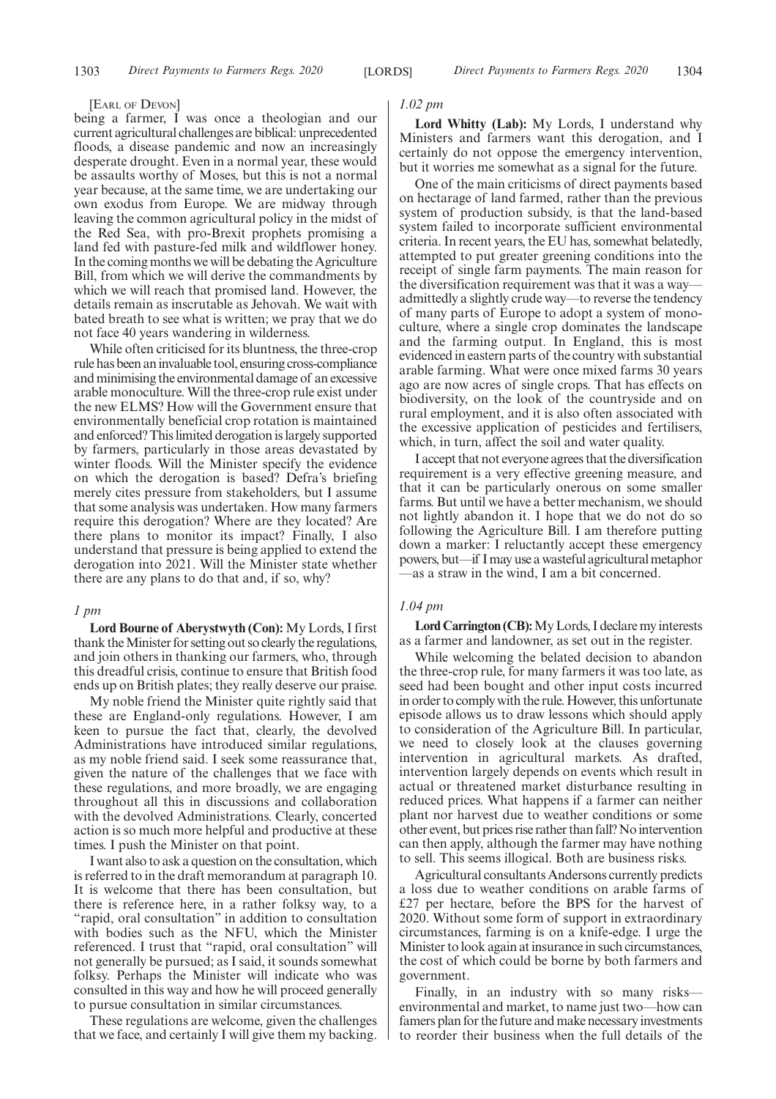#### [EARL OF DEVON]

being a farmer, I was once a theologian and our current agricultural challenges are biblical: unprecedented floods, a disease pandemic and now an increasingly desperate drought. Even in a normal year, these would be assaults worthy of Moses, but this is not a normal year because, at the same time, we are undertaking our own exodus from Europe. We are midway through leaving the common agricultural policy in the midst of the Red Sea, with pro-Brexit prophets promising a land fed with pasture-fed milk and wildflower honey. In the coming months we will be debating the Agriculture Bill, from which we will derive the commandments by which we will reach that promised land. However, the details remain as inscrutable as Jehovah. We wait with bated breath to see what is written; we pray that we do not face 40 years wandering in wilderness.

While often criticised for its bluntness, the three-crop rule has been an invaluable tool, ensuring cross-compliance and minimising the environmental damage of an excessive arable monoculture. Will the three-crop rule exist under the new ELMS? How will the Government ensure that environmentally beneficial crop rotation is maintained and enforced? This limited derogation is largely supported by farmers, particularly in those areas devastated by winter floods. Will the Minister specify the evidence on which the derogation is based? Defra's briefing merely cites pressure from stakeholders, but I assume that some analysis was undertaken. How many farmers require this derogation? Where are they located? Are there plans to monitor its impact? Finally, I also understand that pressure is being applied to extend the derogation into 2021. Will the Minister state whether there are any plans to do that and, if so, why?

#### *1 pm*

**Lord Bourne of Aberystwyth (Con):** My Lords, I first thank the Minister for setting out so clearly the regulations, and join others in thanking our farmers, who, through this dreadful crisis, continue to ensure that British food ends up on British plates; they really deserve our praise.

My noble friend the Minister quite rightly said that these are England-only regulations. However, I am keen to pursue the fact that, clearly, the devolved Administrations have introduced similar regulations, as my noble friend said. I seek some reassurance that, given the nature of the challenges that we face with these regulations, and more broadly, we are engaging throughout all this in discussions and collaboration with the devolved Administrations. Clearly, concerted action is so much more helpful and productive at these times. I push the Minister on that point.

I want also to ask a question on the consultation, which is referred to in the draft memorandum at paragraph 10. It is welcome that there has been consultation, but there is reference here, in a rather folksy way, to a "rapid, oral consultation" in addition to consultation with bodies such as the NFU, which the Minister referenced. I trust that "rapid, oral consultation" will not generally be pursued; as I said, it sounds somewhat folksy. Perhaps the Minister will indicate who was consulted in this way and how he will proceed generally to pursue consultation in similar circumstances.

These regulations are welcome, given the challenges that we face, and certainly I will give them my backing.

#### *1.02 pm*

**Lord Whitty (Lab):** My Lords, I understand why Ministers and farmers want this derogation, and I certainly do not oppose the emergency intervention, but it worries me somewhat as a signal for the future.

One of the main criticisms of direct payments based on hectarage of land farmed, rather than the previous system of production subsidy, is that the land-based system failed to incorporate sufficient environmental criteria. In recent years, the EU has, somewhat belatedly, attempted to put greater greening conditions into the receipt of single farm payments. The main reason for the diversification requirement was that it was a way admittedly a slightly crude way—to reverse the tendency of many parts of Europe to adopt a system of monoculture, where a single crop dominates the landscape and the farming output. In England, this is most evidenced in eastern parts of the country with substantial arable farming. What were once mixed farms 30 years ago are now acres of single crops. That has effects on biodiversity, on the look of the countryside and on rural employment, and it is also often associated with the excessive application of pesticides and fertilisers, which, in turn, affect the soil and water quality.

I accept that not everyone agrees that the diversification requirement is a very effective greening measure, and that it can be particularly onerous on some smaller farms. But until we have a better mechanism, we should not lightly abandon it. I hope that we do not do so following the Agriculture Bill. I am therefore putting down a marker: I reluctantly accept these emergency powers, but—if I may use a wasteful agricultural metaphor —as a straw in the wind, I am a bit concerned.

#### *1.04 pm*

**Lord Carrington (CB):**My Lords, I declare my interests as a farmer and landowner, as set out in the register.

While welcoming the belated decision to abandon the three-crop rule, for many farmers it was too late, as seed had been bought and other input costs incurred in order to comply with the rule. However, this unfortunate episode allows us to draw lessons which should apply to consideration of the Agriculture Bill. In particular, we need to closely look at the clauses governing intervention in agricultural markets. As drafted, intervention largely depends on events which result in actual or threatened market disturbance resulting in reduced prices. What happens if a farmer can neither plant nor harvest due to weather conditions or some other event, but prices rise rather than fall? No intervention can then apply, although the farmer may have nothing to sell. This seems illogical. Both are business risks.

Agricultural consultants Andersons currently predicts a loss due to weather conditions on arable farms of £27 per hectare, before the BPS for the harvest of 2020. Without some form of support in extraordinary circumstances, farming is on a knife-edge. I urge the Minister to look again at insurance in such circumstances, the cost of which could be borne by both farmers and government.

Finally, in an industry with so many risks environmental and market, to name just two—how can famers plan for the future and make necessary investments to reorder their business when the full details of the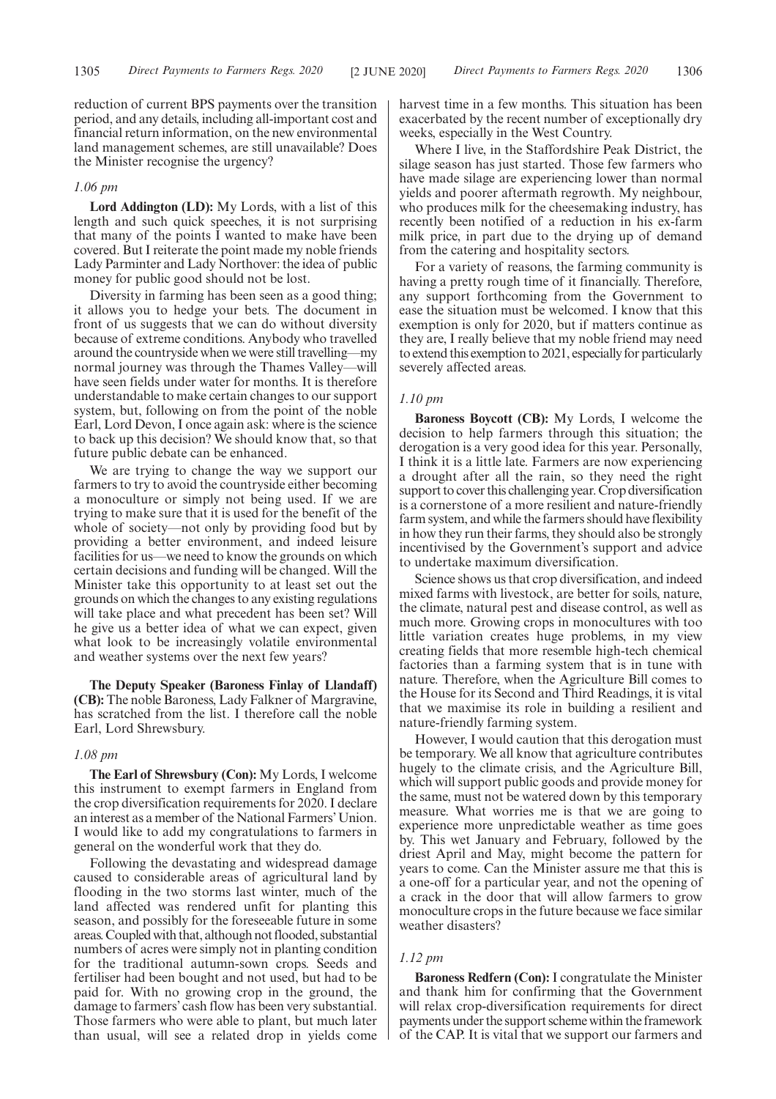reduction of current BPS payments over the transition period, and any details, including all-important cost and financial return information, on the new environmental land management schemes, are still unavailable? Does the Minister recognise the urgency?

#### *1.06 pm*

**Lord Addington (LD):** My Lords, with a list of this length and such quick speeches, it is not surprising that many of the points I wanted to make have been covered. But I reiterate the point made my noble friends Lady Parminter and Lady Northover: the idea of public money for public good should not be lost.

Diversity in farming has been seen as a good thing; it allows you to hedge your bets. The document in front of us suggests that we can do without diversity because of extreme conditions. Anybody who travelled around the countryside when we were still travelling—my normal journey was through the Thames Valley—will have seen fields under water for months. It is therefore understandable to make certain changes to our support system, but, following on from the point of the noble Earl, Lord Devon, I once again ask: where is the science to back up this decision? We should know that, so that future public debate can be enhanced.

We are trying to change the way we support our farmers to try to avoid the countryside either becoming a monoculture or simply not being used. If we are trying to make sure that it is used for the benefit of the whole of society—not only by providing food but by providing a better environment, and indeed leisure facilities for us—we need to know the grounds on which certain decisions and funding will be changed. Will the Minister take this opportunity to at least set out the grounds on which the changes to any existing regulations will take place and what precedent has been set? Will he give us a better idea of what we can expect, given what look to be increasingly volatile environmental and weather systems over the next few years?

**The Deputy Speaker (Baroness Finlay of Llandaff) (CB):** The noble Baroness, Lady Falkner of Margravine, has scratched from the list. I therefore call the noble Earl, Lord Shrewsbury.

#### *1.08 pm*

**The Earl of Shrewsbury (Con):** My Lords, I welcome this instrument to exempt farmers in England from the crop diversification requirements for 2020. I declare an interest as a member of the National Farmers'Union. I would like to add my congratulations to farmers in general on the wonderful work that they do.

Following the devastating and widespread damage caused to considerable areas of agricultural land by flooding in the two storms last winter, much of the land affected was rendered unfit for planting this season, and possibly for the foreseeable future in some areas. Coupled with that, although not flooded, substantial numbers of acres were simply not in planting condition for the traditional autumn-sown crops. Seeds and fertiliser had been bought and not used, but had to be paid for. With no growing crop in the ground, the damage to farmers' cash flow has been very substantial. Those farmers who were able to plant, but much later than usual, will see a related drop in yields come harvest time in a few months. This situation has been exacerbated by the recent number of exceptionally dry weeks, especially in the West Country.

Where I live, in the Staffordshire Peak District, the silage season has just started. Those few farmers who have made silage are experiencing lower than normal yields and poorer aftermath regrowth. My neighbour, who produces milk for the cheesemaking industry, has recently been notified of a reduction in his ex-farm milk price, in part due to the drying up of demand from the catering and hospitality sectors.

For a variety of reasons, the farming community is having a pretty rough time of it financially. Therefore, any support forthcoming from the Government to ease the situation must be welcomed. I know that this exemption is only for 2020, but if matters continue as they are, I really believe that my noble friend may need to extend this exemption to 2021, especially for particularly severely affected areas.

#### *1.10 pm*

**Baroness Boycott (CB):** My Lords, I welcome the decision to help farmers through this situation; the derogation is a very good idea for this year. Personally, I think it is a little late. Farmers are now experiencing a drought after all the rain, so they need the right support to cover this challenging year. Crop diversification is a cornerstone of a more resilient and nature-friendly farm system, and while the farmers should have flexibility in how they run their farms, they should also be strongly incentivised by the Government's support and advice to undertake maximum diversification.

Science shows us that crop diversification, and indeed mixed farms with livestock, are better for soils, nature, the climate, natural pest and disease control, as well as much more. Growing crops in monocultures with too little variation creates huge problems, in my view creating fields that more resemble high-tech chemical factories than a farming system that is in tune with nature. Therefore, when the Agriculture Bill comes to the House for its Second and Third Readings, it is vital that we maximise its role in building a resilient and nature-friendly farming system.

However, I would caution that this derogation must be temporary. We all know that agriculture contributes hugely to the climate crisis, and the Agriculture Bill, which will support public goods and provide money for the same, must not be watered down by this temporary measure. What worries me is that we are going to experience more unpredictable weather as time goes by. This wet January and February, followed by the driest April and May, might become the pattern for years to come. Can the Minister assure me that this is a one-off for a particular year, and not the opening of a crack in the door that will allow farmers to grow monoculture crops in the future because we face similar weather disasters?

#### *1.12 pm*

**Baroness Redfern (Con):** I congratulate the Minister and thank him for confirming that the Government will relax crop-diversification requirements for direct payments under the support scheme within the framework of the CAP. It is vital that we support our farmers and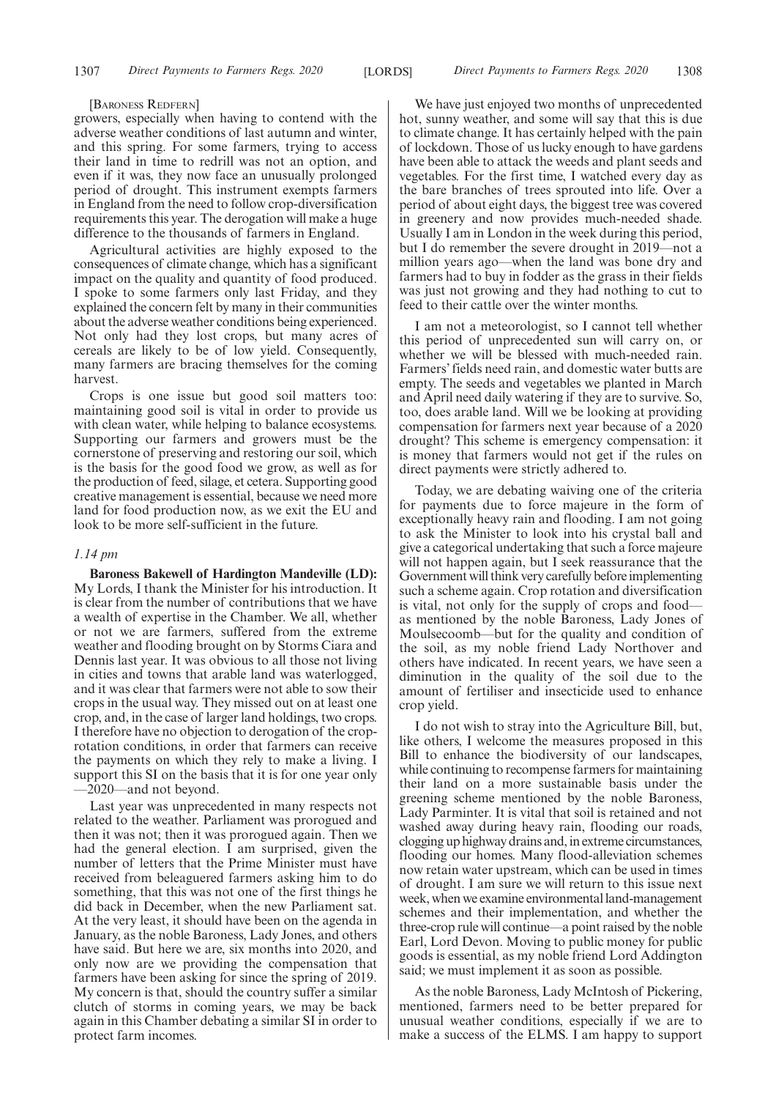#### [BARONESS REDFERN]

growers, especially when having to contend with the adverse weather conditions of last autumn and winter, and this spring. For some farmers, trying to access their land in time to redrill was not an option, and even if it was, they now face an unusually prolonged period of drought. This instrument exempts farmers in England from the need to follow crop-diversification requirements this year. The derogation will make a huge difference to the thousands of farmers in England.

Agricultural activities are highly exposed to the consequences of climate change, which has a significant impact on the quality and quantity of food produced. I spoke to some farmers only last Friday, and they explained the concern felt by many in their communities about the adverse weather conditions being experienced. Not only had they lost crops, but many acres of cereals are likely to be of low yield. Consequently, many farmers are bracing themselves for the coming harvest.

Crops is one issue but good soil matters too: maintaining good soil is vital in order to provide us with clean water, while helping to balance ecosystems. Supporting our farmers and growers must be the cornerstone of preserving and restoring our soil, which is the basis for the good food we grow, as well as for the production of feed, silage, et cetera. Supporting good creative management is essential, because we need more land for food production now, as we exit the EU and look to be more self-sufficient in the future.

#### *1.14 pm*

**Baroness Bakewell of Hardington Mandeville (LD):** My Lords, I thank the Minister for his introduction. It is clear from the number of contributions that we have a wealth of expertise in the Chamber. We all, whether or not we are farmers, suffered from the extreme weather and flooding brought on by Storms Ciara and Dennis last year. It was obvious to all those not living in cities and towns that arable land was waterlogged, and it was clear that farmers were not able to sow their crops in the usual way. They missed out on at least one crop, and, in the case of larger land holdings, two crops. I therefore have no objection to derogation of the croprotation conditions, in order that farmers can receive the payments on which they rely to make a living. I support this SI on the basis that it is for one year only —2020—and not beyond.

Last year was unprecedented in many respects not related to the weather. Parliament was prorogued and then it was not; then it was prorogued again. Then we had the general election. I am surprised, given the number of letters that the Prime Minister must have received from beleaguered farmers asking him to do something, that this was not one of the first things he did back in December, when the new Parliament sat. At the very least, it should have been on the agenda in January, as the noble Baroness, Lady Jones, and others have said. But here we are, six months into 2020, and only now are we providing the compensation that farmers have been asking for since the spring of 2019. My concern is that, should the country suffer a similar clutch of storms in coming years, we may be back again in this Chamber debating a similar SI in order to protect farm incomes.

We have just enjoyed two months of unprecedented hot, sunny weather, and some will say that this is due to climate change. It has certainly helped with the pain of lockdown. Those of us lucky enough to have gardens have been able to attack the weeds and plant seeds and vegetables. For the first time, I watched every day as the bare branches of trees sprouted into life. Over a period of about eight days, the biggest tree was covered in greenery and now provides much-needed shade. Usually I am in London in the week during this period, but I do remember the severe drought in 2019—not a million years ago—when the land was bone dry and farmers had to buy in fodder as the grass in their fields was just not growing and they had nothing to cut to feed to their cattle over the winter months.

I am not a meteorologist, so I cannot tell whether this period of unprecedented sun will carry on, or whether we will be blessed with much-needed rain. Farmers' fields need rain, and domestic water butts are empty. The seeds and vegetables we planted in March and April need daily watering if they are to survive. So, too, does arable land. Will we be looking at providing compensation for farmers next year because of a 2020 drought? This scheme is emergency compensation: it is money that farmers would not get if the rules on direct payments were strictly adhered to.

Today, we are debating waiving one of the criteria for payments due to force majeure in the form of exceptionally heavy rain and flooding. I am not going to ask the Minister to look into his crystal ball and give a categorical undertaking that such a force majeure will not happen again, but I seek reassurance that the Government will think very carefully before implementing such a scheme again. Crop rotation and diversification is vital, not only for the supply of crops and food as mentioned by the noble Baroness, Lady Jones of Moulsecoomb—but for the quality and condition of the soil, as my noble friend Lady Northover and others have indicated. In recent years, we have seen a diminution in the quality of the soil due to the amount of fertiliser and insecticide used to enhance crop yield.

I do not wish to stray into the Agriculture Bill, but, like others, I welcome the measures proposed in this Bill to enhance the biodiversity of our landscapes, while continuing to recompense farmers for maintaining their land on a more sustainable basis under the greening scheme mentioned by the noble Baroness, Lady Parminter. It is vital that soil is retained and not washed away during heavy rain, flooding our roads, clogging up highway drains and, in extreme circumstances, flooding our homes. Many flood-alleviation schemes now retain water upstream, which can be used in times of drought. I am sure we will return to this issue next week, when we examine environmental land-management schemes and their implementation, and whether the three-crop rule will continue—a point raised by the noble Earl, Lord Devon. Moving to public money for public goods is essential, as my noble friend Lord Addington said; we must implement it as soon as possible.

As the noble Baroness, Lady McIntosh of Pickering, mentioned, farmers need to be better prepared for unusual weather conditions, especially if we are to make a success of the ELMS. I am happy to support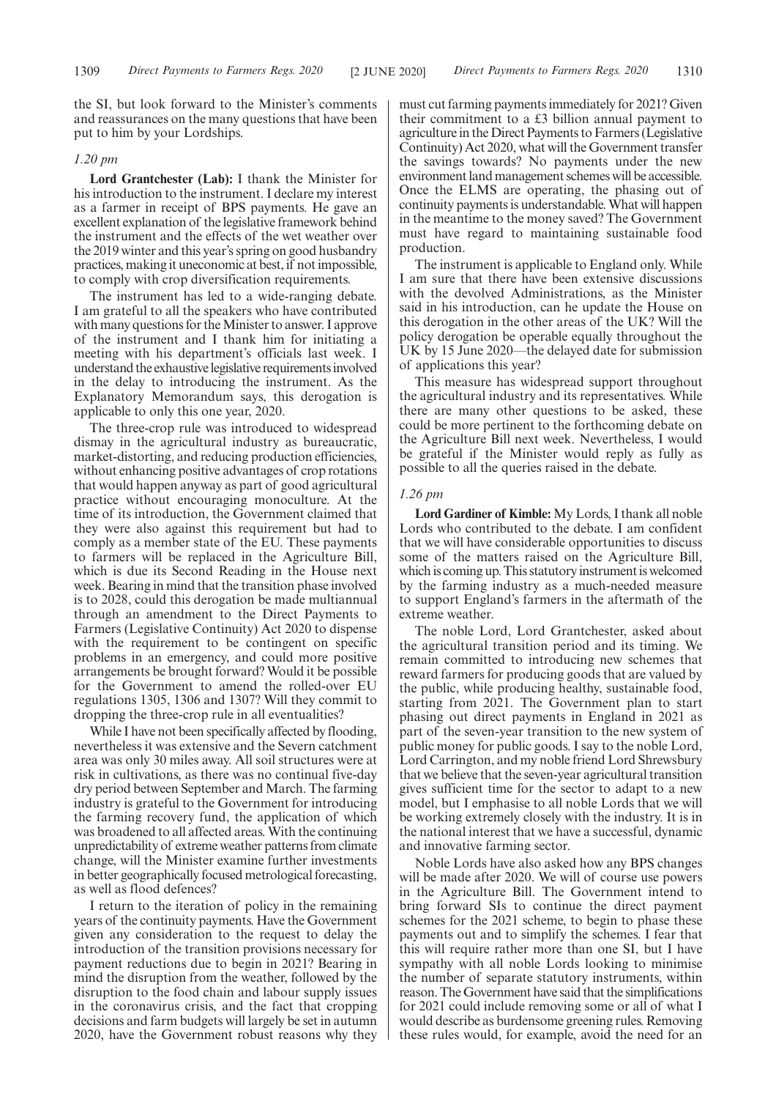the SI, but look forward to the Minister's comments and reassurances on the many questions that have been put to him by your Lordships.

#### *1.20 pm*

**Lord Grantchester (Lab):** I thank the Minister for his introduction to the instrument. I declare my interest as a farmer in receipt of BPS payments. He gave an excellent explanation of the legislative framework behind the instrument and the effects of the wet weather over the 2019 winter and this year's spring on good husbandry practices, making it uneconomic at best, if not impossible, to comply with crop diversification requirements.

The instrument has led to a wide-ranging debate. I am grateful to all the speakers who have contributed with many questions for the Minister to answer. I approve of the instrument and I thank him for initiating a meeting with his department's officials last week. I understand the exhaustive legislative requirements involved in the delay to introducing the instrument. As the Explanatory Memorandum says, this derogation is applicable to only this one year, 2020.

The three-crop rule was introduced to widespread dismay in the agricultural industry as bureaucratic, market-distorting, and reducing production efficiencies, without enhancing positive advantages of crop rotations that would happen anyway as part of good agricultural practice without encouraging monoculture. At the time of its introduction, the Government claimed that they were also against this requirement but had to comply as a member state of the EU. These payments to farmers will be replaced in the Agriculture Bill, which is due its Second Reading in the House next week. Bearing in mind that the transition phase involved is to 2028, could this derogation be made multiannual through an amendment to the Direct Payments to Farmers (Legislative Continuity) Act 2020 to dispense with the requirement to be contingent on specific problems in an emergency, and could more positive arrangements be brought forward? Would it be possible for the Government to amend the rolled-over EU regulations 1305, 1306 and 1307? Will they commit to dropping the three-crop rule in all eventualities?

While I have not been specifically affected by flooding, nevertheless it was extensive and the Severn catchment area was only 30 miles away. All soil structures were at risk in cultivations, as there was no continual five-day dry period between September and March. The farming industry is grateful to the Government for introducing the farming recovery fund, the application of which was broadened to all affected areas. With the continuing unpredictability of extreme weather patterns from climate change, will the Minister examine further investments in better geographically focused metrological forecasting, as well as flood defences?

I return to the iteration of policy in the remaining years of the continuity payments. Have the Government given any consideration to the request to delay the introduction of the transition provisions necessary for payment reductions due to begin in 2021? Bearing in mind the disruption from the weather, followed by the disruption to the food chain and labour supply issues in the coronavirus crisis, and the fact that cropping decisions and farm budgets will largely be set in autumn 2020, have the Government robust reasons why they must cut farming payments immediately for 2021? Given their commitment to a £3 billion annual payment to agriculture in the Direct Payments to Farmers (Legislative Continuity) Act 2020, what will the Government transfer the savings towards? No payments under the new environment land management schemes will be accessible. Once the ELMS are operating, the phasing out of continuity payments is understandable. What will happen in the meantime to the money saved? The Government must have regard to maintaining sustainable food production.

The instrument is applicable to England only. While I am sure that there have been extensive discussions with the devolved Administrations, as the Minister said in his introduction, can he update the House on this derogation in the other areas of the UK? Will the policy derogation be operable equally throughout the UK by 15 June 2020—the delayed date for submission of applications this year?

This measure has widespread support throughout the agricultural industry and its representatives. While there are many other questions to be asked, these could be more pertinent to the forthcoming debate on the Agriculture Bill next week. Nevertheless, I would be grateful if the Minister would reply as fully as possible to all the queries raised in the debate.

#### *1.26 pm*

**Lord Gardiner of Kimble:** My Lords, I thank all noble Lords who contributed to the debate. I am confident that we will have considerable opportunities to discuss some of the matters raised on the Agriculture Bill, which is coming up. This statutory instrument is welcomed by the farming industry as a much-needed measure to support England's farmers in the aftermath of the extreme weather.

The noble Lord, Lord Grantchester, asked about the agricultural transition period and its timing. We remain committed to introducing new schemes that reward farmers for producing goods that are valued by the public, while producing healthy, sustainable food, starting from 2021. The Government plan to start phasing out direct payments in England in 2021 as part of the seven-year transition to the new system of public money for public goods. I say to the noble Lord, Lord Carrington, and my noble friend Lord Shrewsbury that we believe that the seven-year agricultural transition gives sufficient time for the sector to adapt to a new model, but I emphasise to all noble Lords that we will be working extremely closely with the industry. It is in the national interest that we have a successful, dynamic and innovative farming sector.

Noble Lords have also asked how any BPS changes will be made after 2020. We will of course use powers in the Agriculture Bill. The Government intend to bring forward SIs to continue the direct payment schemes for the 2021 scheme, to begin to phase these payments out and to simplify the schemes. I fear that this will require rather more than one SI, but I have sympathy with all noble Lords looking to minimise the number of separate statutory instruments, within reason. The Government have said that the simplifications for 2021 could include removing some or all of what I would describe as burdensome greening rules. Removing these rules would, for example, avoid the need for an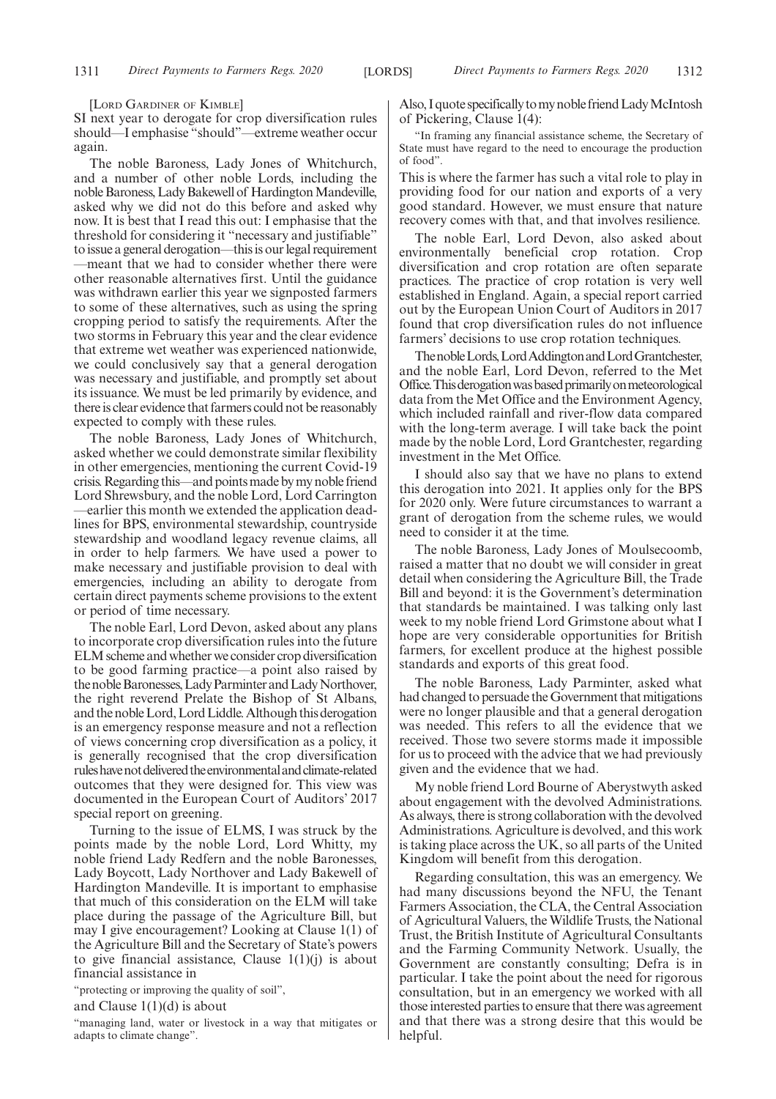[LORD GARDINER OF KIMBLE]

SI next year to derogate for crop diversification rules should—I emphasise "should"—extreme weather occur again.

The noble Baroness, Lady Jones of Whitchurch, and a number of other noble Lords, including the noble Baroness, Lady Bakewell of Hardington Mandeville, asked why we did not do this before and asked why now. It is best that I read this out: I emphasise that the threshold for considering it "necessary and justifiable" to issue a general derogation—this is our legal requirement —meant that we had to consider whether there were other reasonable alternatives first. Until the guidance was withdrawn earlier this year we signposted farmers to some of these alternatives, such as using the spring cropping period to satisfy the requirements. After the two storms in February this year and the clear evidence that extreme wet weather was experienced nationwide, we could conclusively say that a general derogation was necessary and justifiable, and promptly set about its issuance. We must be led primarily by evidence, and there is clear evidence that farmers could not be reasonably expected to comply with these rules.

The noble Baroness, Lady Jones of Whitchurch, asked whether we could demonstrate similar flexibility in other emergencies, mentioning the current Covid-19 crisis. Regarding this—and points made by my noble friend Lord Shrewsbury, and the noble Lord, Lord Carrington —earlier this month we extended the application deadlines for BPS, environmental stewardship, countryside stewardship and woodland legacy revenue claims, all in order to help farmers. We have used a power to make necessary and justifiable provision to deal with emergencies, including an ability to derogate from certain direct payments scheme provisions to the extent or period of time necessary.

The noble Earl, Lord Devon, asked about any plans to incorporate crop diversification rules into the future ELM scheme and whether we consider crop diversification to be good farming practice—a point also raised by the noble Baronesses, Lady Parminter and Lady Northover, the right reverend Prelate the Bishop of St Albans, and the noble Lord, Lord Liddle. Although this derogation is an emergency response measure and not a reflection of views concerning crop diversification as a policy, it is generally recognised that the crop diversification rules have not delivered the environmental and climate-related outcomes that they were designed for. This view was documented in the European Court of Auditors' 2017 special report on greening.

Turning to the issue of ELMS, I was struck by the points made by the noble Lord, Lord Whitty, my noble friend Lady Redfern and the noble Baronesses, Lady Boycott, Lady Northover and Lady Bakewell of Hardington Mandeville. It is important to emphasise that much of this consideration on the ELM will take place during the passage of the Agriculture Bill, but may I give encouragement? Looking at Clause 1(1) of the Agriculture Bill and the Secretary of State's powers to give financial assistance, Clause  $1(1)(j)$  is about financial assistance in

"protecting or improving the quality of soil",

and Clause  $1(1)(d)$  is about

"managing land, water or livestock in a way that mitigates or adapts to climate change".

Also, I quote specifically to my noble friend Lady McIntosh of Pickering, Clause 1(4):

"In framing any financial assistance scheme, the Secretary of State must have regard to the need to encourage the production of food".

This is where the farmer has such a vital role to play in providing food for our nation and exports of a very good standard. However, we must ensure that nature recovery comes with that, and that involves resilience.

The noble Earl, Lord Devon, also asked about environmentally beneficial crop rotation. Crop diversification and crop rotation are often separate practices. The practice of crop rotation is very well established in England. Again, a special report carried out by the European Union Court of Auditors in 2017 found that crop diversification rules do not influence farmers' decisions to use crop rotation techniques.

ThenobleLords,LordAddingtonandLordGrantchester, and the noble Earl, Lord Devon, referred to the Met Office. This derogation was based primarily on meteorological data from the Met Office and the Environment Agency, which included rainfall and river-flow data compared with the long-term average. I will take back the point made by the noble Lord, Lord Grantchester, regarding investment in the Met Office.

I should also say that we have no plans to extend this derogation into 2021. It applies only for the BPS for 2020 only. Were future circumstances to warrant a grant of derogation from the scheme rules, we would need to consider it at the time.

The noble Baroness, Lady Jones of Moulsecoomb, raised a matter that no doubt we will consider in great detail when considering the Agriculture Bill, the Trade Bill and beyond: it is the Government's determination that standards be maintained. I was talking only last week to my noble friend Lord Grimstone about what I hope are very considerable opportunities for British farmers, for excellent produce at the highest possible standards and exports of this great food.

The noble Baroness, Lady Parminter, asked what had changed to persuade the Government that mitigations were no longer plausible and that a general derogation was needed. This refers to all the evidence that we received. Those two severe storms made it impossible for us to proceed with the advice that we had previously given and the evidence that we had.

My noble friend Lord Bourne of Aberystwyth asked about engagement with the devolved Administrations. As always, there is strong collaboration with the devolved Administrations. Agriculture is devolved, and this work is taking place across the UK, so all parts of the United Kingdom will benefit from this derogation.

Regarding consultation, this was an emergency. We had many discussions beyond the NFU, the Tenant Farmers Association, the CLA, the Central Association of Agricultural Valuers, the Wildlife Trusts, the National Trust, the British Institute of Agricultural Consultants and the Farming Community Network. Usually, the Government are constantly consulting; Defra is in particular. I take the point about the need for rigorous consultation, but in an emergency we worked with all those interested parties to ensure that there was agreement and that there was a strong desire that this would be helpful.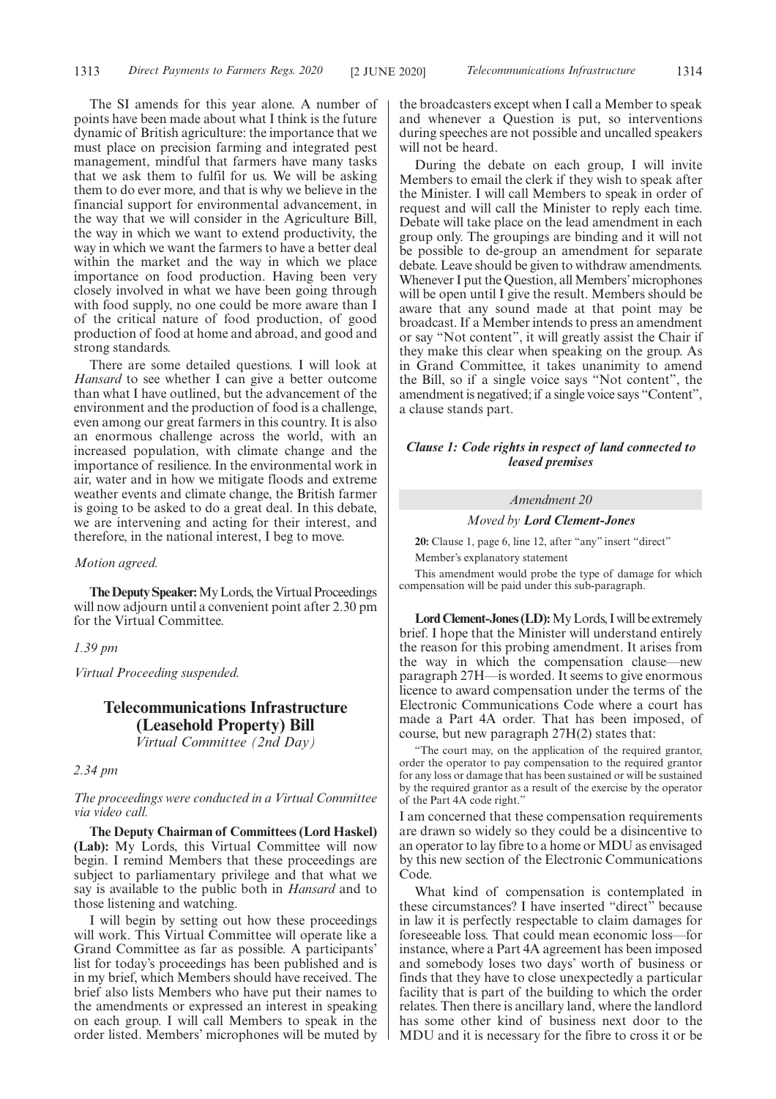The SI amends for this year alone. A number of points have been made about what I think is the future dynamic of British agriculture: the importance that we must place on precision farming and integrated pest management, mindful that farmers have many tasks that we ask them to fulfil for us. We will be asking them to do ever more, and that is why we believe in the financial support for environmental advancement, in the way that we will consider in the Agriculture Bill, the way in which we want to extend productivity, the way in which we want the farmers to have a better deal within the market and the way in which we place importance on food production. Having been very closely involved in what we have been going through with food supply, no one could be more aware than I of the critical nature of food production, of good production of food at home and abroad, and good and strong standards.

There are some detailed questions. I will look at *Hansard* to see whether I can give a better outcome than what I have outlined, but the advancement of the environment and the production of food is a challenge, even among our great farmers in this country. It is also an enormous challenge across the world, with an increased population, with climate change and the importance of resilience. In the environmental work in air, water and in how we mitigate floods and extreme weather events and climate change, the British farmer is going to be asked to do a great deal. In this debate, we are intervening and acting for their interest, and therefore, in the national interest, I beg to move.

#### *Motion agreed.*

**The Deputy Speaker:**My Lords, the Virtual Proceedings will now adjourn until a convenient point after 2.30 pm for the Virtual Committee.

#### *1.39 pm*

*Virtual Proceeding suspended.*

### **Telecommunications Infrastructure (Leasehold Property) Bill** *Virtual Committee (2nd Day)*

#### *2.34 pm*

*The proceedings were conducted in a Virtual Committee via video call.*

**The Deputy Chairman of Committees (Lord Haskel) (Lab):** My Lords, this Virtual Committee will now begin. I remind Members that these proceedings are subject to parliamentary privilege and that what we say is available to the public both in *Hansard* and to those listening and watching.

I will begin by setting out how these proceedings will work. This Virtual Committee will operate like a Grand Committee as far as possible. A participants' list for today's proceedings has been published and is in my brief, which Members should have received. The brief also lists Members who have put their names to the amendments or expressed an interest in speaking on each group. I will call Members to speak in the order listed. Members' microphones will be muted by the broadcasters except when I call a Member to speak and whenever a Question is put, so interventions during speeches are not possible and uncalled speakers will not be heard.

During the debate on each group, I will invite Members to email the clerk if they wish to speak after the Minister. I will call Members to speak in order of request and will call the Minister to reply each time. Debate will take place on the lead amendment in each group only. The groupings are binding and it will not be possible to de-group an amendment for separate debate. Leave should be given to withdraw amendments. Whenever I put the Question, all Members'microphones will be open until I give the result. Members should be aware that any sound made at that point may be broadcast. If a Member intends to press an amendment or say "Not content", it will greatly assist the Chair if they make this clear when speaking on the group. As in Grand Committee, it takes unanimity to amend the Bill, so if a single voice says "Not content", the amendment is negatived; if a single voice says "Content", a clause stands part.

#### *Clause 1: Code rights in respect of land connected to leased premises*

#### *Amendment 20*

*Moved by Lord Clement-Jones*

**20:** Clause 1, page 6, line 12, after "any" insert "direct" Member's explanatory statement

This amendment would probe the type of damage for which compensation will be paid under this sub-paragraph.

**Lord Clement-Jones (LD):**My Lords, I will be extremely brief. I hope that the Minister will understand entirely the reason for this probing amendment. It arises from the way in which the compensation clause—new paragraph 27H—is worded. It seems to give enormous licence to award compensation under the terms of the Electronic Communications Code where a court has made a Part 4A order. That has been imposed, of course, but new paragraph 27H(2) states that:

"The court may, on the application of the required grantor, order the operator to pay compensation to the required grantor for any loss or damage that has been sustained or will be sustained by the required grantor as a result of the exercise by the operator of the Part 4A code right."

I am concerned that these compensation requirements are drawn so widely so they could be a disincentive to an operator to lay fibre to a home or MDU as envisaged by this new section of the Electronic Communications Code.

What kind of compensation is contemplated in these circumstances? I have inserted "direct" because in law it is perfectly respectable to claim damages for foreseeable loss. That could mean economic loss—for instance, where a Part 4A agreement has been imposed and somebody loses two days' worth of business or finds that they have to close unexpectedly a particular facility that is part of the building to which the order relates. Then there is ancillary land, where the landlord has some other kind of business next door to the MDU and it is necessary for the fibre to cross it or be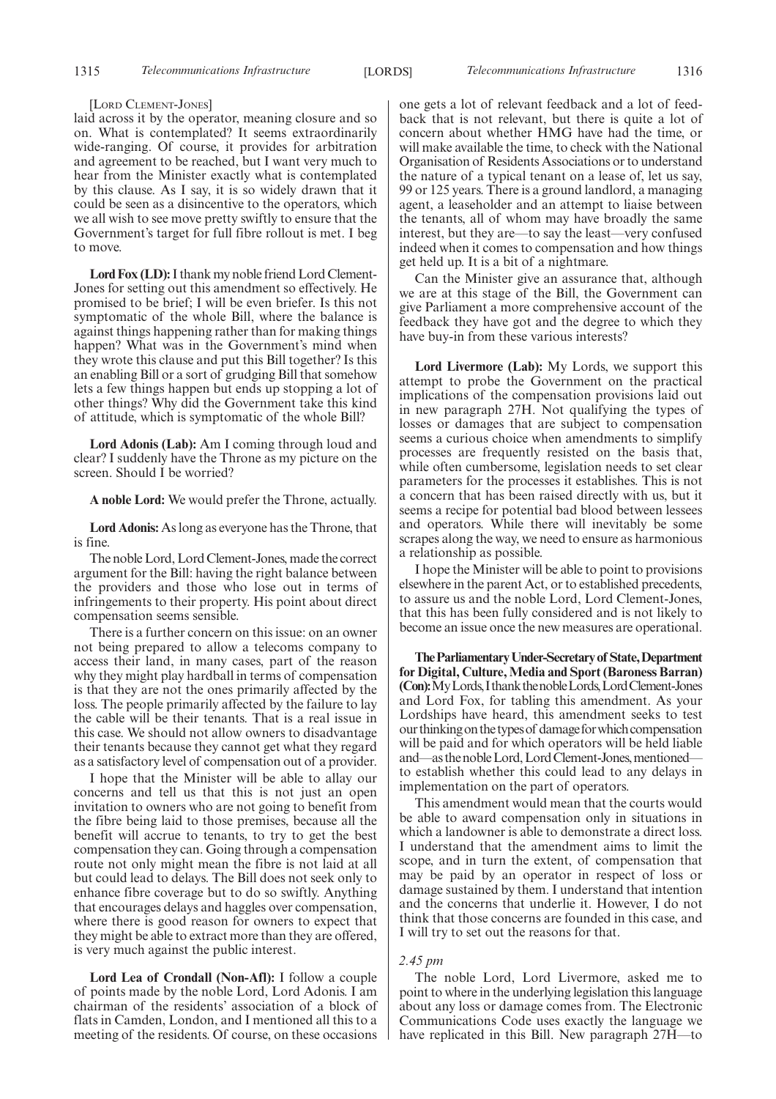#### [LORD CLEMENT-JONES]

laid across it by the operator, meaning closure and so on. What is contemplated? It seems extraordinarily wide-ranging. Of course, it provides for arbitration and agreement to be reached, but I want very much to hear from the Minister exactly what is contemplated by this clause. As I say, it is so widely drawn that it could be seen as a disincentive to the operators, which we all wish to see move pretty swiftly to ensure that the Government's target for full fibre rollout is met. I beg to move.

**Lord Fox (LD):**I thank my noble friend Lord Clement-Jones for setting out this amendment so effectively. He promised to be brief; I will be even briefer. Is this not symptomatic of the whole Bill, where the balance is against things happening rather than for making things happen? What was in the Government's mind when they wrote this clause and put this Bill together? Is this an enabling Bill or a sort of grudging Bill that somehow lets a few things happen but ends up stopping a lot of other things? Why did the Government take this kind of attitude, which is symptomatic of the whole Bill?

**Lord Adonis (Lab):** Am I coming through loud and clear? I suddenly have the Throne as my picture on the screen. Should I be worried?

**A noble Lord:** We would prefer the Throne, actually.

**Lord Adonis:** As long as everyone has the Throne, that is fine.

The noble Lord, Lord Clement-Jones, made the correct argument for the Bill: having the right balance between the providers and those who lose out in terms of infringements to their property. His point about direct compensation seems sensible.

There is a further concern on this issue: on an owner not being prepared to allow a telecoms company to access their land, in many cases, part of the reason why they might play hardball in terms of compensation is that they are not the ones primarily affected by the loss. The people primarily affected by the failure to lay the cable will be their tenants. That is a real issue in this case. We should not allow owners to disadvantage their tenants because they cannot get what they regard as a satisfactory level of compensation out of a provider.

I hope that the Minister will be able to allay our concerns and tell us that this is not just an open invitation to owners who are not going to benefit from the fibre being laid to those premises, because all the benefit will accrue to tenants, to try to get the best compensation they can. Going through a compensation route not only might mean the fibre is not laid at all but could lead to delays. The Bill does not seek only to enhance fibre coverage but to do so swiftly. Anything that encourages delays and haggles over compensation, where there is good reason for owners to expect that they might be able to extract more than they are offered, is very much against the public interest.

**Lord Lea of Crondall (Non-Afl):** I follow a couple of points made by the noble Lord, Lord Adonis. I am chairman of the residents' association of a block of flats in Camden, London, and I mentioned all this to a meeting of the residents. Of course, on these occasions one gets a lot of relevant feedback and a lot of feedback that is not relevant, but there is quite a lot of concern about whether HMG have had the time, or will make available the time, to check with the National Organisation of Residents Associations or to understand the nature of a typical tenant on a lease of, let us say, 99 or 125 years. There is a ground landlord, a managing agent, a leaseholder and an attempt to liaise between the tenants, all of whom may have broadly the same interest, but they are—to say the least—very confused indeed when it comes to compensation and how things get held up. It is a bit of a nightmare.

Can the Minister give an assurance that, although we are at this stage of the Bill, the Government can give Parliament a more comprehensive account of the feedback they have got and the degree to which they have buy-in from these various interests?

**Lord Livermore (Lab):** My Lords, we support this attempt to probe the Government on the practical implications of the compensation provisions laid out in new paragraph 27H. Not qualifying the types of losses or damages that are subject to compensation seems a curious choice when amendments to simplify processes are frequently resisted on the basis that, while often cumbersome, legislation needs to set clear parameters for the processes it establishes. This is not a concern that has been raised directly with us, but it seems a recipe for potential bad blood between lessees and operators. While there will inevitably be some scrapes along the way, we need to ensure as harmonious a relationship as possible.

I hope the Minister will be able to point to provisions elsewhere in the parent Act, or to established precedents, to assure us and the noble Lord, Lord Clement-Jones, that this has been fully considered and is not likely to become an issue once the new measures are operational.

**TheParliamentaryUnder-Secretaryof State,Department for Digital, Culture, Media and Sport (Baroness Barran) (Con):**MyLords,IthankthenobleLords,LordClement-Jones and Lord Fox, for tabling this amendment. As your Lordships have heard, this amendment seeks to test our thinking on the types of damage for which compensation will be paid and for which operators will be held liable and—as the noble Lord, Lord Clement-Jones, mentionedto establish whether this could lead to any delays in implementation on the part of operators.

This amendment would mean that the courts would be able to award compensation only in situations in which a landowner is able to demonstrate a direct loss. I understand that the amendment aims to limit the scope, and in turn the extent, of compensation that may be paid by an operator in respect of loss or damage sustained by them. I understand that intention and the concerns that underlie it. However, I do not think that those concerns are founded in this case, and I will try to set out the reasons for that.

#### *2.45 pm*

The noble Lord, Lord Livermore, asked me to point to where in the underlying legislation this language about any loss or damage comes from. The Electronic Communications Code uses exactly the language we have replicated in this Bill. New paragraph 27H—to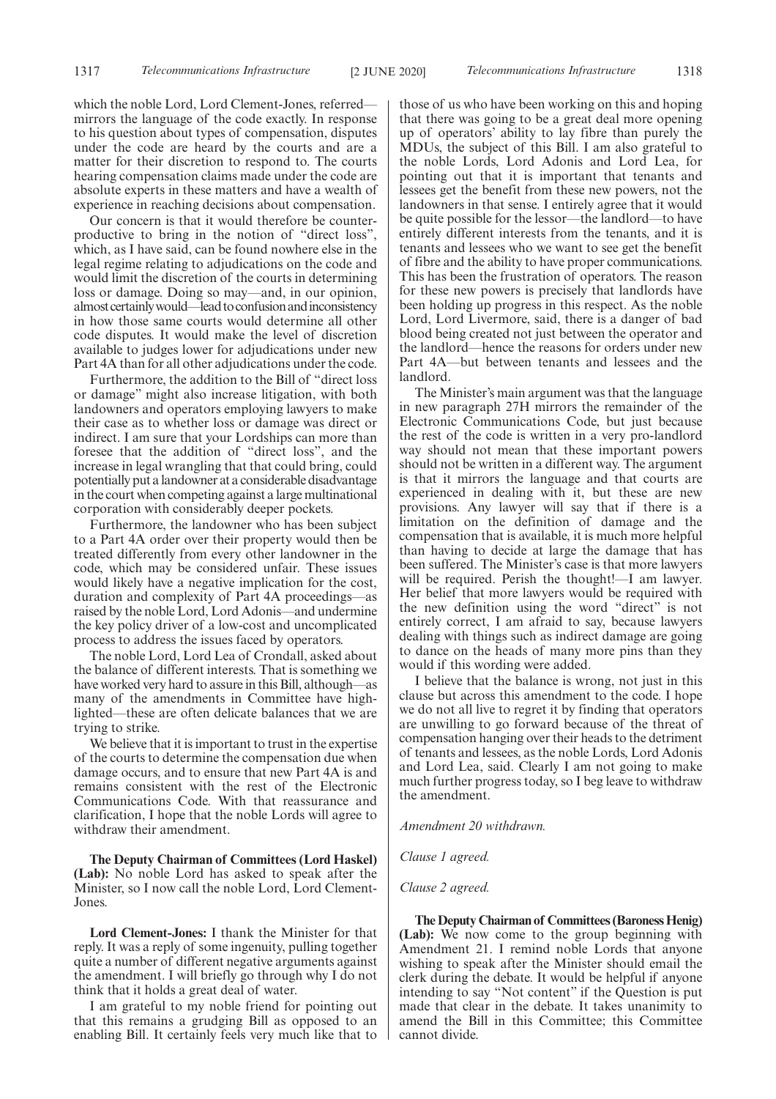which the noble Lord, Lord Clement-Jones, referred mirrors the language of the code exactly. In response to his question about types of compensation, disputes under the code are heard by the courts and are a matter for their discretion to respond to. The courts hearing compensation claims made under the code are absolute experts in these matters and have a wealth of experience in reaching decisions about compensation.

Our concern is that it would therefore be counterproductive to bring in the notion of "direct loss", which, as I have said, can be found nowhere else in the legal regime relating to adjudications on the code and would limit the discretion of the courts in determining loss or damage. Doing so may—and, in our opinion, almost certainly would—lead to confusion and inconsistency in how those same courts would determine all other code disputes. It would make the level of discretion available to judges lower for adjudications under new Part 4A than for all other adjudications under the code.

Furthermore, the addition to the Bill of "direct loss or damage" might also increase litigation, with both landowners and operators employing lawyers to make their case as to whether loss or damage was direct or indirect. I am sure that your Lordships can more than foresee that the addition of "direct loss", and the increase in legal wrangling that that could bring, could potentially put a landowner at a considerable disadvantage in the court when competing against a large multinational corporation with considerably deeper pockets.

Furthermore, the landowner who has been subject to a Part 4A order over their property would then be treated differently from every other landowner in the code, which may be considered unfair. These issues would likely have a negative implication for the cost, duration and complexity of Part 4A proceedings—as raised by the noble Lord, Lord Adonis—and undermine the key policy driver of a low-cost and uncomplicated process to address the issues faced by operators.

The noble Lord, Lord Lea of Crondall, asked about the balance of different interests. That is something we have worked very hard to assure in this Bill, although—as many of the amendments in Committee have highlighted—these are often delicate balances that we are trying to strike.

We believe that it is important to trust in the expertise of the courts to determine the compensation due when damage occurs, and to ensure that new Part 4A is and remains consistent with the rest of the Electronic Communications Code. With that reassurance and clarification, I hope that the noble Lords will agree to withdraw their amendment.

**The Deputy Chairman of Committees (Lord Haskel) (Lab):** No noble Lord has asked to speak after the Minister, so I now call the noble Lord, Lord Clement-Jones.

**Lord Clement-Jones:** I thank the Minister for that reply. It was a reply of some ingenuity, pulling together quite a number of different negative arguments against the amendment. I will briefly go through why I do not think that it holds a great deal of water.

I am grateful to my noble friend for pointing out that this remains a grudging Bill as opposed to an enabling Bill. It certainly feels very much like that to those of us who have been working on this and hoping that there was going to be a great deal more opening up of operators' ability to lay fibre than purely the MDUs, the subject of this Bill. I am also grateful to the noble Lords, Lord Adonis and Lord Lea, for pointing out that it is important that tenants and lessees get the benefit from these new powers, not the landowners in that sense. I entirely agree that it would be quite possible for the lessor—the landlord—to have entirely different interests from the tenants, and it is tenants and lessees who we want to see get the benefit of fibre and the ability to have proper communications. This has been the frustration of operators. The reason for these new powers is precisely that landlords have been holding up progress in this respect. As the noble Lord, Lord Livermore, said, there is a danger of bad blood being created not just between the operator and the landlord—hence the reasons for orders under new Part 4A—but between tenants and lessees and the landlord.

The Minister's main argument was that the language in new paragraph 27H mirrors the remainder of the Electronic Communications Code, but just because the rest of the code is written in a very pro-landlord way should not mean that these important powers should not be written in a different way. The argument is that it mirrors the language and that courts are experienced in dealing with it, but these are new provisions. Any lawyer will say that if there is a limitation on the definition of damage and the compensation that is available, it is much more helpful than having to decide at large the damage that has been suffered. The Minister's case is that more lawyers will be required. Perish the thought!—I am lawyer. Her belief that more lawyers would be required with the new definition using the word "direct" is not entirely correct, I am afraid to say, because lawyers dealing with things such as indirect damage are going to dance on the heads of many more pins than they would if this wording were added.

I believe that the balance is wrong, not just in this clause but across this amendment to the code. I hope we do not all live to regret it by finding that operators are unwilling to go forward because of the threat of compensation hanging over their heads to the detriment of tenants and lessees, as the noble Lords, Lord Adonis and Lord Lea, said. Clearly I am not going to make much further progress today, so I beg leave to withdraw the amendment.

*Amendment 20 withdrawn.*

*Clause 1 agreed.*

*Clause 2 agreed.*

**The Deputy Chairman of Committees (Baroness Henig) (Lab):** We now come to the group beginning with Amendment 21. I remind noble Lords that anyone wishing to speak after the Minister should email the clerk during the debate. It would be helpful if anyone intending to say "Not content" if the Question is put made that clear in the debate. It takes unanimity to amend the Bill in this Committee; this Committee cannot divide.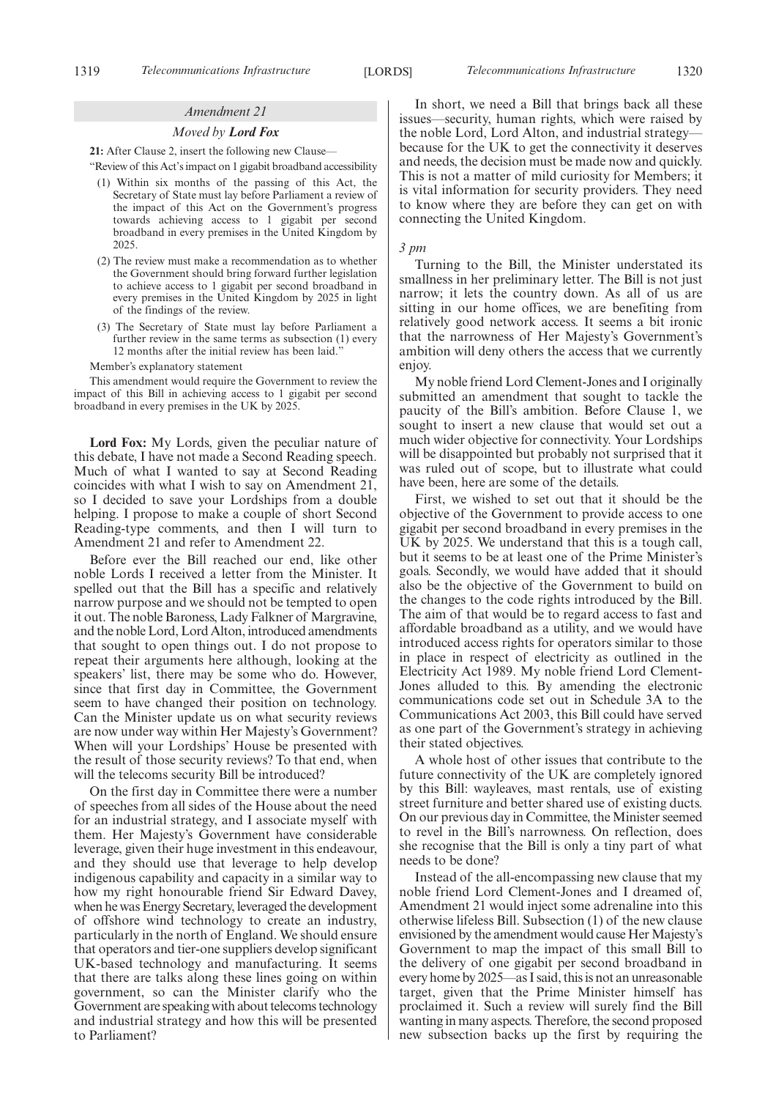#### *Amendment 21*

#### *Moved by Lord Fox*

**21:** After Clause 2, insert the following new Clause—

"Review of this Act's impact on 1 gigabit broadband accessibility

- (1) Within six months of the passing of this Act, the Secretary of State must lay before Parliament a review of the impact of this Act on the Government's progress towards achieving access to 1 gigabit per second broadband in every premises in the United Kingdom by 2025.
- (2) The review must make a recommendation as to whether the Government should bring forward further legislation to achieve access to 1 gigabit per second broadband in every premises in the United Kingdom by 2025 in light of the findings of the review.
- (3) The Secretary of State must lay before Parliament a further review in the same terms as subsection (1) every 12 months after the initial review has been laid."

Member's explanatory statement

This amendment would require the Government to review the impact of this Bill in achieving access to 1 gigabit per second broadband in every premises in the UK by 2025.

**Lord Fox:** My Lords, given the peculiar nature of this debate, I have not made a Second Reading speech. Much of what I wanted to say at Second Reading coincides with what I wish to say on Amendment 21, so I decided to save your Lordships from a double helping. I propose to make a couple of short Second Reading-type comments, and then I will turn to Amendment 21 and refer to Amendment 22.

Before ever the Bill reached our end, like other noble Lords I received a letter from the Minister. It spelled out that the Bill has a specific and relatively narrow purpose and we should not be tempted to open it out. The noble Baroness, Lady Falkner of Margravine, and the noble Lord, Lord Alton, introduced amendments that sought to open things out. I do not propose to repeat their arguments here although, looking at the speakers' list, there may be some who do. However, since that first day in Committee, the Government seem to have changed their position on technology. Can the Minister update us on what security reviews are now under way within Her Majesty's Government? When will your Lordships' House be presented with the result of those security reviews? To that end, when will the telecoms security Bill be introduced?

On the first day in Committee there were a number of speeches from all sides of the House about the need for an industrial strategy, and I associate myself with them. Her Majesty's Government have considerable leverage, given their huge investment in this endeavour, and they should use that leverage to help develop indigenous capability and capacity in a similar way to how my right honourable friend Sir Edward Davey, when he was Energy Secretary, leveraged the development of offshore wind technology to create an industry, particularly in the north of England. We should ensure that operators and tier-one suppliers develop significant UK-based technology and manufacturing. It seems that there are talks along these lines going on within government, so can the Minister clarify who the Government are speaking with about telecoms technology and industrial strategy and how this will be presented to Parliament?

In short, we need a Bill that brings back all these issues—security, human rights, which were raised by the noble Lord, Lord Alton, and industrial strategy because for the UK to get the connectivity it deserves and needs, the decision must be made now and quickly. This is not a matter of mild curiosity for Members; it is vital information for security providers. They need to know where they are before they can get on with connecting the United Kingdom.

#### *3 pm*

Turning to the Bill, the Minister understated its smallness in her preliminary letter. The Bill is not just narrow; it lets the country down. As all of us are sitting in our home offices, we are benefiting from relatively good network access. It seems a bit ironic that the narrowness of Her Majesty's Government's ambition will deny others the access that we currently enjoy.

My noble friend Lord Clement-Jones and I originally submitted an amendment that sought to tackle the paucity of the Bill's ambition. Before Clause 1, we sought to insert a new clause that would set out a much wider objective for connectivity. Your Lordships will be disappointed but probably not surprised that it was ruled out of scope, but to illustrate what could have been, here are some of the details.

First, we wished to set out that it should be the objective of the Government to provide access to one gigabit per second broadband in every premises in the UK by 2025. We understand that this is a tough call, but it seems to be at least one of the Prime Minister's goals. Secondly, we would have added that it should also be the objective of the Government to build on the changes to the code rights introduced by the Bill. The aim of that would be to regard access to fast and affordable broadband as a utility, and we would have introduced access rights for operators similar to those in place in respect of electricity as outlined in the Electricity Act 1989. My noble friend Lord Clement-Jones alluded to this. By amending the electronic communications code set out in Schedule 3A to the Communications Act 2003, this Bill could have served as one part of the Government's strategy in achieving their stated objectives.

A whole host of other issues that contribute to the future connectivity of the UK are completely ignored by this Bill: wayleaves, mast rentals, use of existing street furniture and better shared use of existing ducts. On our previous day in Committee, the Minister seemed to revel in the Bill's narrowness. On reflection, does she recognise that the Bill is only a tiny part of what needs to be done?

Instead of the all-encompassing new clause that my noble friend Lord Clement-Jones and I dreamed of, Amendment 21 would inject some adrenaline into this otherwise lifeless Bill. Subsection (1) of the new clause envisioned by the amendment would cause Her Majesty's Government to map the impact of this small Bill to the delivery of one gigabit per second broadband in every home by 2025—as I said, this is not an unreasonable target, given that the Prime Minister himself has proclaimed it. Such a review will surely find the Bill wanting in many aspects. Therefore, the second proposed new subsection backs up the first by requiring the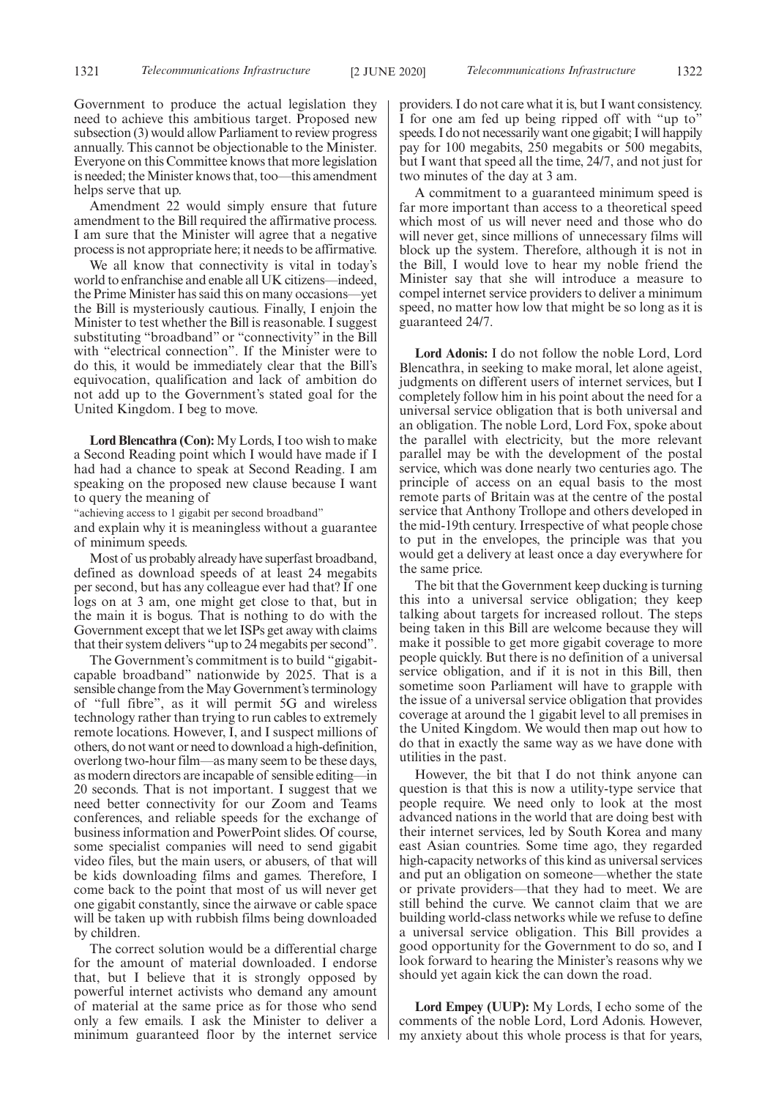Government to produce the actual legislation they need to achieve this ambitious target. Proposed new subsection (3) would allow Parliament to review progress annually. This cannot be objectionable to the Minister. Everyone on this Committee knows that more legislation is needed; the Minister knows that, too—this amendment helps serve that up.

Amendment 22 would simply ensure that future amendment to the Bill required the affirmative process. I am sure that the Minister will agree that a negative process is not appropriate here; it needs to be affirmative.

We all know that connectivity is vital in today's world to enfranchise and enable all UK citizens—indeed, the Prime Minister has said this on many occasions—yet the Bill is mysteriously cautious. Finally, I enjoin the Minister to test whether the Bill is reasonable. I suggest substituting "broadband" or "connectivity" in the Bill with "electrical connection". If the Minister were to do this, it would be immediately clear that the Bill's equivocation, qualification and lack of ambition do not add up to the Government's stated goal for the United Kingdom. I beg to move.

**Lord Blencathra (Con):** My Lords, I too wish to make a Second Reading point which I would have made if I had had a chance to speak at Second Reading. I am speaking on the proposed new clause because I want to query the meaning of

"achieving access to 1 gigabit per second broadband"

and explain why it is meaningless without a guarantee of minimum speeds.

Most of us probably already have superfast broadband, defined as download speeds of at least 24 megabits per second, but has any colleague ever had that? If one logs on at 3 am, one might get close to that, but in the main it is bogus. That is nothing to do with the Government except that we let ISPs get away with claims that their system delivers "up to 24 megabits per second".

The Government's commitment is to build "gigabitcapable broadband" nationwide by 2025. That is a sensible change from the May Government's terminology of "full fibre", as it will permit 5G and wireless technology rather than trying to run cables to extremely remote locations. However, I, and I suspect millions of others, do not want or need to download a high-definition, overlong two-hour film—as many seem to be these days, as modern directors are incapable of sensible editing—in 20 seconds. That is not important. I suggest that we need better connectivity for our Zoom and Teams conferences, and reliable speeds for the exchange of business information and PowerPoint slides. Of course, some specialist companies will need to send gigabit video files, but the main users, or abusers, of that will be kids downloading films and games. Therefore, I come back to the point that most of us will never get one gigabit constantly, since the airwave or cable space will be taken up with rubbish films being downloaded by children.

The correct solution would be a differential charge for the amount of material downloaded. I endorse that, but I believe that it is strongly opposed by powerful internet activists who demand any amount of material at the same price as for those who send only a few emails. I ask the Minister to deliver a minimum guaranteed floor by the internet service providers. I do not care what it is, but I want consistency. I for one am fed up being ripped off with "up to" speeds. I do not necessarily want one gigabit; I will happily pay for 100 megabits, 250 megabits or 500 megabits, but I want that speed all the time, 24/7, and not just for two minutes of the day at 3 am.

A commitment to a guaranteed minimum speed is far more important than access to a theoretical speed which most of us will never need and those who do will never get, since millions of unnecessary films will block up the system. Therefore, although it is not in the Bill, I would love to hear my noble friend the Minister say that she will introduce a measure to compel internet service providers to deliver a minimum speed, no matter how low that might be so long as it is guaranteed 24/7.

**Lord Adonis:** I do not follow the noble Lord, Lord Blencathra, in seeking to make moral, let alone ageist, judgments on different users of internet services, but I completely follow him in his point about the need for a universal service obligation that is both universal and an obligation. The noble Lord, Lord Fox, spoke about the parallel with electricity, but the more relevant parallel may be with the development of the postal service, which was done nearly two centuries ago. The principle of access on an equal basis to the most remote parts of Britain was at the centre of the postal service that Anthony Trollope and others developed in the mid-19th century. Irrespective of what people chose to put in the envelopes, the principle was that you would get a delivery at least once a day everywhere for the same price.

The bit that the Government keep ducking is turning this into a universal service obligation; they keep talking about targets for increased rollout. The steps being taken in this Bill are welcome because they will make it possible to get more gigabit coverage to more people quickly. But there is no definition of a universal service obligation, and if it is not in this Bill, then sometime soon Parliament will have to grapple with the issue of a universal service obligation that provides coverage at around the 1 gigabit level to all premises in the United Kingdom. We would then map out how to do that in exactly the same way as we have done with utilities in the past.

However, the bit that I do not think anyone can question is that this is now a utility-type service that people require. We need only to look at the most advanced nations in the world that are doing best with their internet services, led by South Korea and many east Asian countries. Some time ago, they regarded high-capacity networks of this kind as universal services and put an obligation on someone—whether the state or private providers—that they had to meet. We are still behind the curve. We cannot claim that we are building world-class networks while we refuse to define a universal service obligation. This Bill provides a good opportunity for the Government to do so, and I look forward to hearing the Minister's reasons why we should yet again kick the can down the road.

**Lord Empey (UUP):** My Lords, I echo some of the comments of the noble Lord, Lord Adonis. However, my anxiety about this whole process is that for years,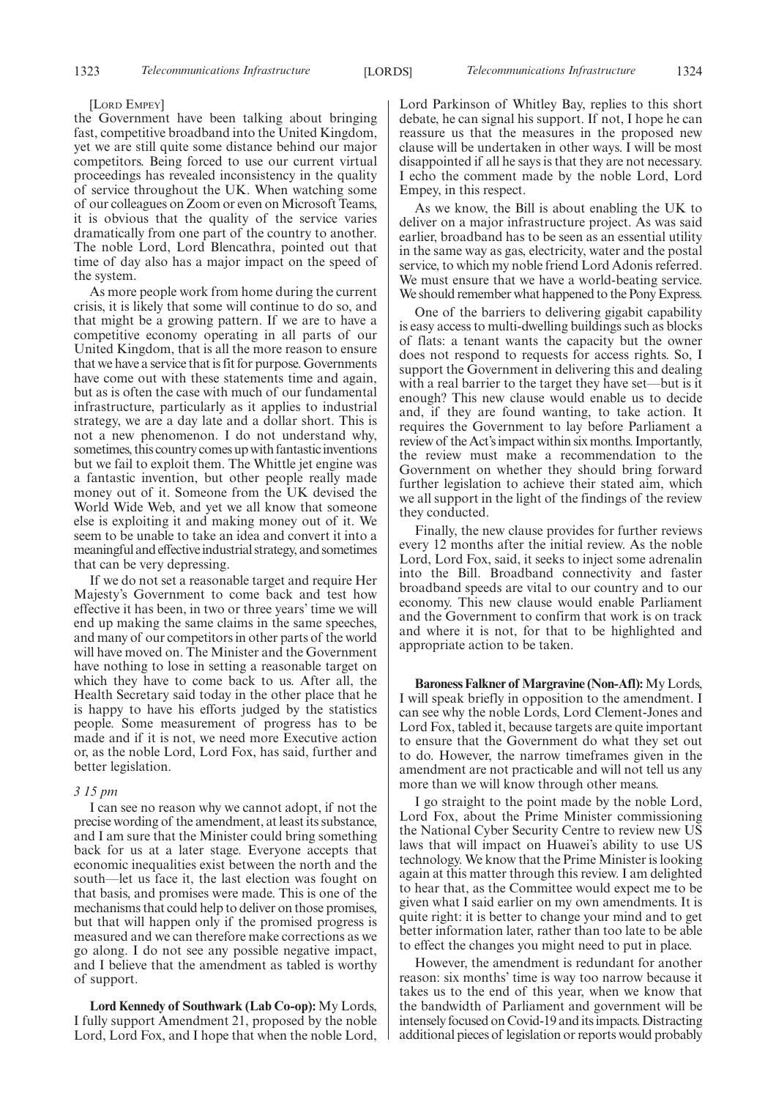#### [LORD EMPEY]

the Government have been talking about bringing fast, competitive broadband into the United Kingdom, yet we are still quite some distance behind our major competitors. Being forced to use our current virtual proceedings has revealed inconsistency in the quality of service throughout the UK. When watching some of our colleagues on Zoom or even on Microsoft Teams, it is obvious that the quality of the service varies dramatically from one part of the country to another. The noble Lord, Lord Blencathra, pointed out that time of day also has a major impact on the speed of the system.

As more people work from home during the current crisis, it is likely that some will continue to do so, and that might be a growing pattern. If we are to have a competitive economy operating in all parts of our United Kingdom, that is all the more reason to ensure that we have a service that is fit for purpose. Governments have come out with these statements time and again, but as is often the case with much of our fundamental infrastructure, particularly as it applies to industrial strategy, we are a day late and a dollar short. This is not a new phenomenon. I do not understand why, sometimes, this country comes up with fantastic inventions but we fail to exploit them. The Whittle jet engine was a fantastic invention, but other people really made money out of it. Someone from the UK devised the World Wide Web, and yet we all know that someone else is exploiting it and making money out of it. We seem to be unable to take an idea and convert it into a meaningful and effective industrial strategy, and sometimes that can be very depressing.

If we do not set a reasonable target and require Her Majesty's Government to come back and test how effective it has been, in two or three years' time we will end up making the same claims in the same speeches, and many of our competitors in other parts of the world will have moved on. The Minister and the Government have nothing to lose in setting a reasonable target on which they have to come back to us. After all, the Health Secretary said today in the other place that he is happy to have his efforts judged by the statistics people. Some measurement of progress has to be made and if it is not, we need more Executive action or, as the noble Lord, Lord Fox, has said, further and better legislation.

#### *3 15 pm*

I can see no reason why we cannot adopt, if not the precise wording of the amendment, at least its substance, and I am sure that the Minister could bring something back for us at a later stage. Everyone accepts that economic inequalities exist between the north and the south—let us face it, the last election was fought on that basis, and promises were made. This is one of the mechanisms that could help to deliver on those promises, but that will happen only if the promised progress is measured and we can therefore make corrections as we go along. I do not see any possible negative impact, and I believe that the amendment as tabled is worthy of support.

**Lord Kennedy of Southwark (Lab Co-op):** My Lords, I fully support Amendment 21, proposed by the noble Lord, Lord Fox, and I hope that when the noble Lord, Lord Parkinson of Whitley Bay, replies to this short debate, he can signal his support. If not, I hope he can reassure us that the measures in the proposed new clause will be undertaken in other ways. I will be most disappointed if all he says is that they are not necessary. I echo the comment made by the noble Lord, Lord Empey, in this respect.

As we know, the Bill is about enabling the UK to deliver on a major infrastructure project. As was said earlier, broadband has to be seen as an essential utility in the same way as gas, electricity, water and the postal service, to which my noble friend Lord Adonis referred. We must ensure that we have a world-beating service. We should remember what happened to the Pony Express.

One of the barriers to delivering gigabit capability is easy access to multi-dwelling buildings such as blocks of flats: a tenant wants the capacity but the owner does not respond to requests for access rights. So, I support the Government in delivering this and dealing with a real barrier to the target they have set—but is it enough? This new clause would enable us to decide and, if they are found wanting, to take action. It requires the Government to lay before Parliament a review of the Act's impact within six months. Importantly, the review must make a recommendation to the Government on whether they should bring forward further legislation to achieve their stated aim, which we all support in the light of the findings of the review they conducted.

Finally, the new clause provides for further reviews every 12 months after the initial review. As the noble Lord, Lord Fox, said, it seeks to inject some adrenalin into the Bill. Broadband connectivity and faster broadband speeds are vital to our country and to our economy. This new clause would enable Parliament and the Government to confirm that work is on track and where it is not, for that to be highlighted and appropriate action to be taken.

**Baroness Falkner of Margravine (Non-Afl):**My Lords, I will speak briefly in opposition to the amendment. I can see why the noble Lords, Lord Clement-Jones and Lord Fox, tabled it, because targets are quite important to ensure that the Government do what they set out to do. However, the narrow timeframes given in the amendment are not practicable and will not tell us any more than we will know through other means.

I go straight to the point made by the noble Lord, Lord Fox, about the Prime Minister commissioning the National Cyber Security Centre to review new US laws that will impact on Huawei's ability to use US technology. We know that the Prime Minister is looking again at this matter through this review. I am delighted to hear that, as the Committee would expect me to be given what I said earlier on my own amendments. It is quite right: it is better to change your mind and to get better information later, rather than too late to be able to effect the changes you might need to put in place.

However, the amendment is redundant for another reason: six months' time is way too narrow because it takes us to the end of this year, when we know that the bandwidth of Parliament and government will be intensely focused on Covid-19 and its impacts. Distracting additional pieces of legislation or reports would probably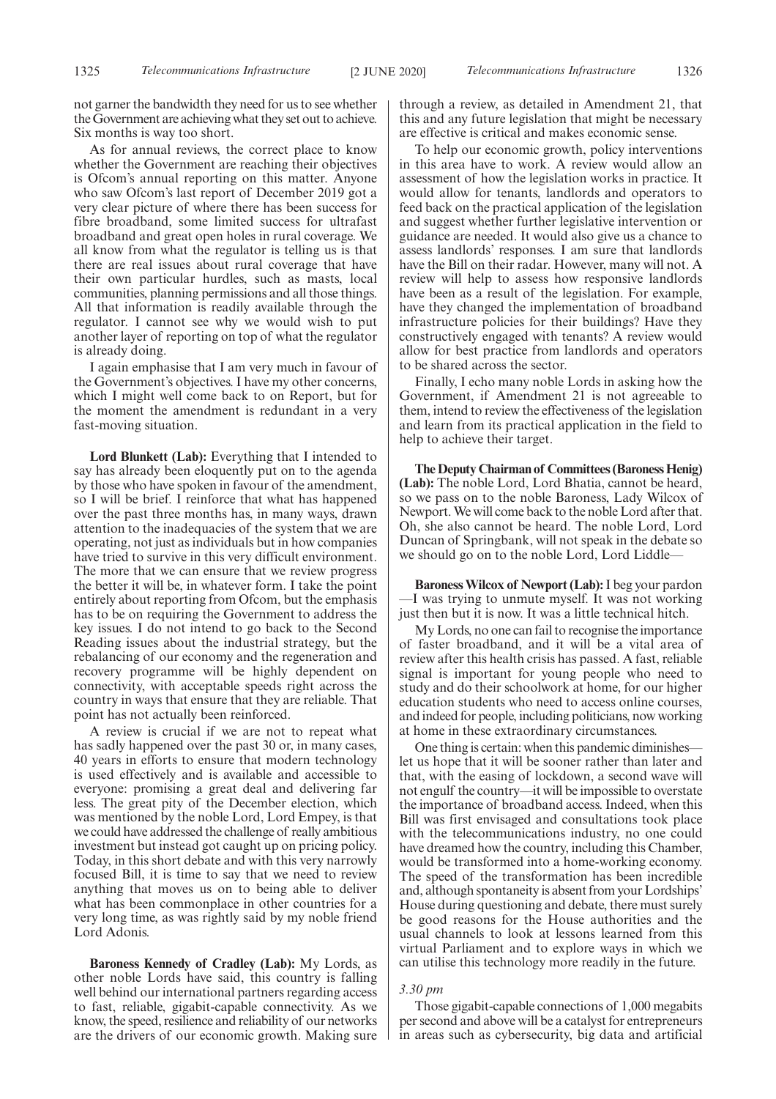not garner the bandwidth they need for us to see whether the Government are achieving what they set out to achieve. Six months is way too short.

As for annual reviews, the correct place to know whether the Government are reaching their objectives is Ofcom's annual reporting on this matter. Anyone who saw Ofcom's last report of December 2019 got a very clear picture of where there has been success for fibre broadband, some limited success for ultrafast broadband and great open holes in rural coverage. We all know from what the regulator is telling us is that there are real issues about rural coverage that have their own particular hurdles, such as masts, local communities, planning permissions and all those things. All that information is readily available through the regulator. I cannot see why we would wish to put another layer of reporting on top of what the regulator is already doing.

I again emphasise that I am very much in favour of the Government's objectives. I have my other concerns, which I might well come back to on Report, but for the moment the amendment is redundant in a very fast-moving situation.

**Lord Blunkett (Lab):** Everything that I intended to say has already been eloquently put on to the agenda by those who have spoken in favour of the amendment, so I will be brief. I reinforce that what has happened over the past three months has, in many ways, drawn attention to the inadequacies of the system that we are operating, not just as individuals but in how companies have tried to survive in this very difficult environment. The more that we can ensure that we review progress the better it will be, in whatever form. I take the point entirely about reporting from Ofcom, but the emphasis has to be on requiring the Government to address the key issues. I do not intend to go back to the Second Reading issues about the industrial strategy, but the rebalancing of our economy and the regeneration and recovery programme will be highly dependent on connectivity, with acceptable speeds right across the country in ways that ensure that they are reliable. That point has not actually been reinforced.

A review is crucial if we are not to repeat what has sadly happened over the past 30 or, in many cases, 40 years in efforts to ensure that modern technology is used effectively and is available and accessible to everyone: promising a great deal and delivering far less. The great pity of the December election, which was mentioned by the noble Lord, Lord Empey, is that we could have addressed the challenge of really ambitious investment but instead got caught up on pricing policy. Today, in this short debate and with this very narrowly focused Bill, it is time to say that we need to review anything that moves us on to being able to deliver what has been commonplace in other countries for a very long time, as was rightly said by my noble friend Lord Adonis.

**Baroness Kennedy of Cradley (Lab):** My Lords, as other noble Lords have said, this country is falling well behind our international partners regarding access to fast, reliable, gigabit-capable connectivity. As we know, the speed, resilience and reliability of our networks are the drivers of our economic growth. Making sure through a review, as detailed in Amendment 21, that this and any future legislation that might be necessary are effective is critical and makes economic sense.

To help our economic growth, policy interventions in this area have to work. A review would allow an assessment of how the legislation works in practice. It would allow for tenants, landlords and operators to feed back on the practical application of the legislation and suggest whether further legislative intervention or guidance are needed. It would also give us a chance to assess landlords' responses. I am sure that landlords have the Bill on their radar. However, many will not. A review will help to assess how responsive landlords have been as a result of the legislation. For example, have they changed the implementation of broadband infrastructure policies for their buildings? Have they constructively engaged with tenants? A review would allow for best practice from landlords and operators to be shared across the sector.

Finally, I echo many noble Lords in asking how the Government, if Amendment 21 is not agreeable to them, intend to review the effectiveness of the legislation and learn from its practical application in the field to help to achieve their target.

**The Deputy Chairman of Committees (Baroness Henig) (Lab):** The noble Lord, Lord Bhatia, cannot be heard, so we pass on to the noble Baroness, Lady Wilcox of Newport. We will come back to the noble Lord after that. Oh, she also cannot be heard. The noble Lord, Lord Duncan of Springbank, will not speak in the debate so we should go on to the noble Lord, Lord Liddle—

**Baroness Wilcox of Newport (Lab):**I beg your pardon —I was trying to unmute myself. It was not working just then but it is now. It was a little technical hitch.

My Lords, no one can fail to recognise the importance of faster broadband, and it will be a vital area of review after this health crisis has passed. A fast, reliable signal is important for young people who need to study and do their schoolwork at home, for our higher education students who need to access online courses, and indeed for people, including politicians, now working at home in these extraordinary circumstances.

One thing is certain: when this pandemic diminishes let us hope that it will be sooner rather than later and that, with the easing of lockdown, a second wave will not engulf the country—it will be impossible to overstate the importance of broadband access. Indeed, when this Bill was first envisaged and consultations took place with the telecommunications industry, no one could have dreamed how the country, including this Chamber, would be transformed into a home-working economy. The speed of the transformation has been incredible and, although spontaneity is absent from your Lordships' House during questioning and debate, there must surely be good reasons for the House authorities and the usual channels to look at lessons learned from this virtual Parliament and to explore ways in which we can utilise this technology more readily in the future.

#### *3.30 pm*

Those gigabit-capable connections of 1,000 megabits per second and above will be a catalyst for entrepreneurs in areas such as cybersecurity, big data and artificial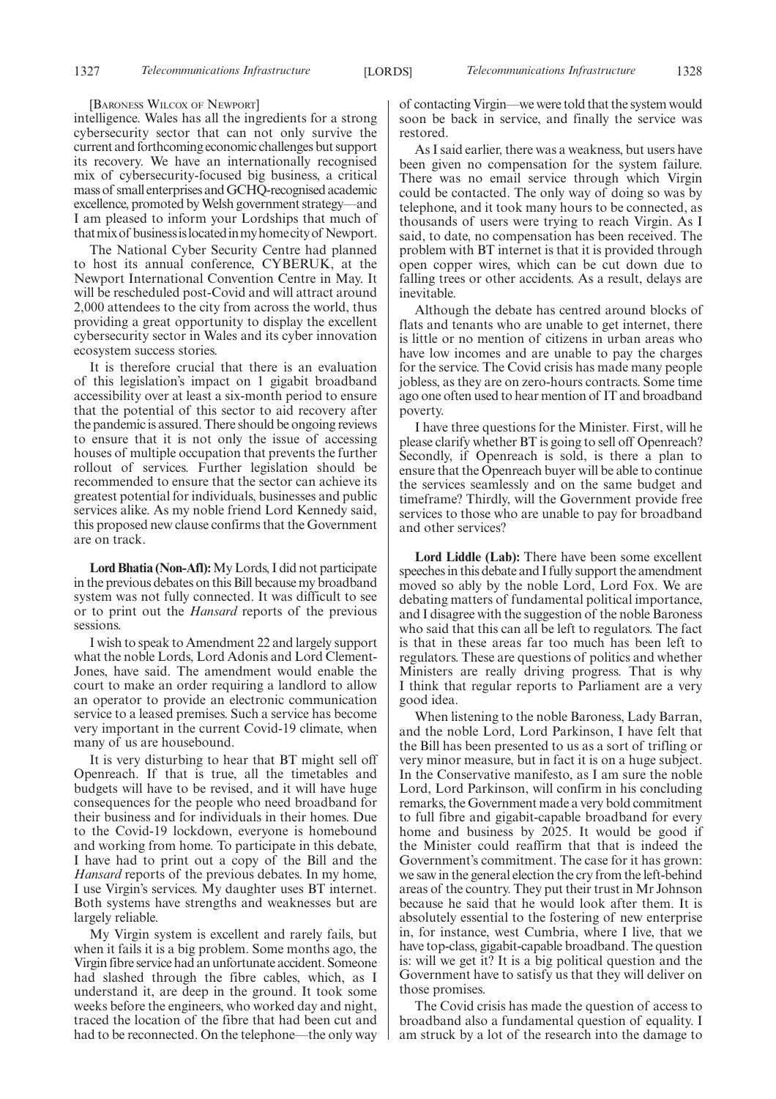#### [BARONESS WILCOX OF NEWPORT]

intelligence. Wales has all the ingredients for a strong cybersecurity sector that can not only survive the current and forthcoming economic challenges but support its recovery. We have an internationally recognised mix of cybersecurity-focused big business, a critical mass of small enterprises and GCHQ-recognised academic excellence, promoted by Welsh government strategy—and I am pleased to inform your Lordships that much of thatmixof businessislocatedinmyhomecityof Newport.

The National Cyber Security Centre had planned to host its annual conference, CYBERUK, at the Newport International Convention Centre in May. It will be rescheduled post-Covid and will attract around 2,000 attendees to the city from across the world, thus providing a great opportunity to display the excellent cybersecurity sector in Wales and its cyber innovation ecosystem success stories.

It is therefore crucial that there is an evaluation of this legislation's impact on 1 gigabit broadband accessibility over at least a six-month period to ensure that the potential of this sector to aid recovery after the pandemic is assured. There should be ongoing reviews to ensure that it is not only the issue of accessing houses of multiple occupation that prevents the further rollout of services. Further legislation should be recommended to ensure that the sector can achieve its greatest potential for individuals, businesses and public services alike. As my noble friend Lord Kennedy said, this proposed new clause confirms that the Government are on track.

**Lord Bhatia (Non-Afl):**My Lords, I did not participate in the previous debates on this Bill because my broadband system was not fully connected. It was difficult to see or to print out the *Hansard* reports of the previous sessions.

I wish to speak to Amendment 22 and largely support what the noble Lords, Lord Adonis and Lord Clement-Jones, have said. The amendment would enable the court to make an order requiring a landlord to allow an operator to provide an electronic communication service to a leased premises. Such a service has become very important in the current Covid-19 climate, when many of us are housebound.

It is very disturbing to hear that BT might sell off Openreach. If that is true, all the timetables and budgets will have to be revised, and it will have huge consequences for the people who need broadband for their business and for individuals in their homes. Due to the Covid-19 lockdown, everyone is homebound and working from home. To participate in this debate, I have had to print out a copy of the Bill and the *Hansard* reports of the previous debates. In my home, I use Virgin's services. My daughter uses BT internet. Both systems have strengths and weaknesses but are largely reliable.

My Virgin system is excellent and rarely fails, but when it fails it is a big problem. Some months ago, the Virgin fibre service had an unfortunate accident. Someone had slashed through the fibre cables, which, as I understand it, are deep in the ground. It took some weeks before the engineers, who worked day and night, traced the location of the fibre that had been cut and had to be reconnected. On the telephone—the only way of contacting Virgin—we were told that the system would soon be back in service, and finally the service was restored.

As I said earlier, there was a weakness, but users have been given no compensation for the system failure. There was no email service through which Virgin could be contacted. The only way of doing so was by telephone, and it took many hours to be connected, as thousands of users were trying to reach Virgin. As I said, to date, no compensation has been received. The problem with BT internet is that it is provided through open copper wires, which can be cut down due to falling trees or other accidents. As a result, delays are inevitable.

Although the debate has centred around blocks of flats and tenants who are unable to get internet, there is little or no mention of citizens in urban areas who have low incomes and are unable to pay the charges for the service. The Covid crisis has made many people jobless, as they are on zero-hours contracts. Some time ago one often used to hear mention of IT and broadband poverty.

I have three questions for the Minister. First, will he please clarify whether BT is going to sell off Openreach? Secondly, if Openreach is sold, is there a plan to ensure that the Openreach buyer will be able to continue the services seamlessly and on the same budget and timeframe? Thirdly, will the Government provide free services to those who are unable to pay for broadband and other services?

**Lord Liddle (Lab):** There have been some excellent speeches in this debate and I fully support the amendment moved so ably by the noble Lord, Lord Fox. We are debating matters of fundamental political importance, and I disagree with the suggestion of the noble Baroness who said that this can all be left to regulators. The fact is that in these areas far too much has been left to regulators. These are questions of politics and whether Ministers are really driving progress. That is why I think that regular reports to Parliament are a very good idea.

When listening to the noble Baroness, Lady Barran, and the noble Lord, Lord Parkinson, I have felt that the Bill has been presented to us as a sort of trifling or very minor measure, but in fact it is on a huge subject. In the Conservative manifesto, as I am sure the noble Lord, Lord Parkinson, will confirm in his concluding remarks, the Government made a very bold commitment to full fibre and gigabit-capable broadband for every home and business by 2025. It would be good if the Minister could reaffirm that that is indeed the Government's commitment. The case for it has grown: we saw in the general election the cry from the left-behind areas of the country. They put their trust in Mr Johnson because he said that he would look after them. It is absolutely essential to the fostering of new enterprise in, for instance, west Cumbria, where I live, that we have top-class, gigabit-capable broadband. The question is: will we get it? It is a big political question and the Government have to satisfy us that they will deliver on those promises.

The Covid crisis has made the question of access to broadband also a fundamental question of equality. I am struck by a lot of the research into the damage to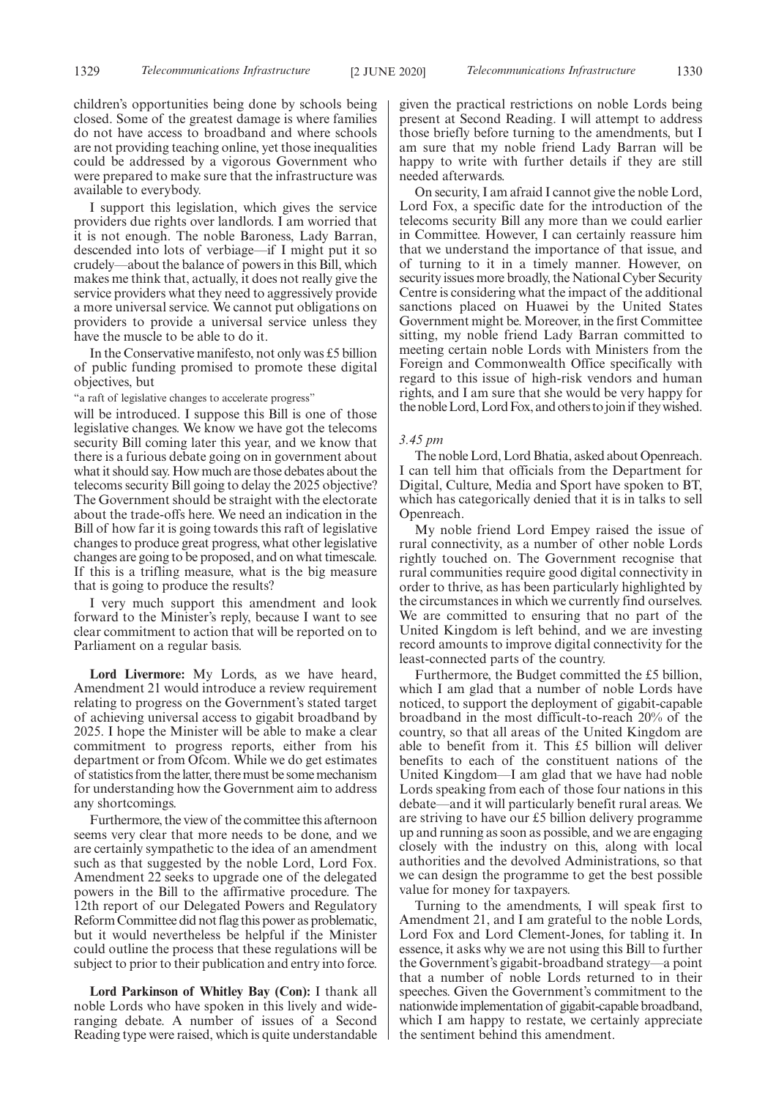children's opportunities being done by schools being closed. Some of the greatest damage is where families do not have access to broadband and where schools are not providing teaching online, yet those inequalities could be addressed by a vigorous Government who were prepared to make sure that the infrastructure was available to everybody.

I support this legislation, which gives the service providers due rights over landlords. I am worried that it is not enough. The noble Baroness, Lady Barran, descended into lots of verbiage—if I might put it so crudely—about the balance of powers in this Bill, which makes me think that, actually, it does not really give the service providers what they need to aggressively provide a more universal service. We cannot put obligations on providers to provide a universal service unless they have the muscle to be able to do it.

In the Conservative manifesto, not only was £5 billion of public funding promised to promote these digital objectives, but

"a raft of legislative changes to accelerate progress"

will be introduced. I suppose this Bill is one of those legislative changes. We know we have got the telecoms security Bill coming later this year, and we know that there is a furious debate going on in government about what it should say. How much are those debates about the telecoms security Bill going to delay the 2025 objective? The Government should be straight with the electorate about the trade-offs here. We need an indication in the Bill of how far it is going towards this raft of legislative changes to produce great progress, what other legislative changes are going to be proposed, and on what timescale. If this is a trifling measure, what is the big measure that is going to produce the results?

I very much support this amendment and look forward to the Minister's reply, because I want to see clear commitment to action that will be reported on to Parliament on a regular basis.

**Lord Livermore:** My Lords, as we have heard, Amendment 21 would introduce a review requirement relating to progress on the Government's stated target of achieving universal access to gigabit broadband by 2025. I hope the Minister will be able to make a clear commitment to progress reports, either from his department or from Ofcom. While we do get estimates of statistics from the latter, there must be some mechanism for understanding how the Government aim to address any shortcomings.

Furthermore, the view of the committee this afternoon seems very clear that more needs to be done, and we are certainly sympathetic to the idea of an amendment such as that suggested by the noble Lord, Lord Fox. Amendment 22 seeks to upgrade one of the delegated powers in the Bill to the affirmative procedure. The 12th report of our Delegated Powers and Regulatory Reform Committee did not flag this power as problematic, but it would nevertheless be helpful if the Minister could outline the process that these regulations will be subject to prior to their publication and entry into force.

**Lord Parkinson of Whitley Bay (Con):** I thank all noble Lords who have spoken in this lively and wideranging debate. A number of issues of a Second Reading type were raised, which is quite understandable given the practical restrictions on noble Lords being present at Second Reading. I will attempt to address those briefly before turning to the amendments, but I am sure that my noble friend Lady Barran will be happy to write with further details if they are still needed afterwards.

On security, I am afraid I cannot give the noble Lord, Lord Fox, a specific date for the introduction of the telecoms security Bill any more than we could earlier in Committee. However, I can certainly reassure him that we understand the importance of that issue, and of turning to it in a timely manner. However, on security issues more broadly, the National Cyber Security Centre is considering what the impact of the additional sanctions placed on Huawei by the United States Government might be. Moreover, in the first Committee sitting, my noble friend Lady Barran committed to meeting certain noble Lords with Ministers from the Foreign and Commonwealth Office specifically with regard to this issue of high-risk vendors and human rights, and I am sure that she would be very happy for the noble Lord, Lord Fox, and others to join if they wished.

#### *3.45 pm*

The noble Lord, Lord Bhatia, asked about Openreach. I can tell him that officials from the Department for Digital, Culture, Media and Sport have spoken to BT, which has categorically denied that it is in talks to sell Openreach.

My noble friend Lord Empey raised the issue of rural connectivity, as a number of other noble Lords rightly touched on. The Government recognise that rural communities require good digital connectivity in order to thrive, as has been particularly highlighted by the circumstances in which we currently find ourselves. We are committed to ensuring that no part of the United Kingdom is left behind, and we are investing record amounts to improve digital connectivity for the least-connected parts of the country.

Furthermore, the Budget committed the £5 billion, which I am glad that a number of noble Lords have noticed, to support the deployment of gigabit-capable broadband in the most difficult-to-reach 20% of the country, so that all areas of the United Kingdom are able to benefit from it. This £5 billion will deliver benefits to each of the constituent nations of the United Kingdom—I am glad that we have had noble Lords speaking from each of those four nations in this debate—and it will particularly benefit rural areas. We are striving to have our £5 billion delivery programme up and running as soon as possible, and we are engaging closely with the industry on this, along with local authorities and the devolved Administrations, so that we can design the programme to get the best possible value for money for taxpayers.

Turning to the amendments, I will speak first to Amendment 21, and I am grateful to the noble Lords, Lord Fox and Lord Clement-Jones, for tabling it. In essence, it asks why we are not using this Bill to further the Government's gigabit-broadband strategy—a point that a number of noble Lords returned to in their speeches. Given the Government's commitment to the nationwide implementation of gigabit-capable broadband, which I am happy to restate, we certainly appreciate the sentiment behind this amendment.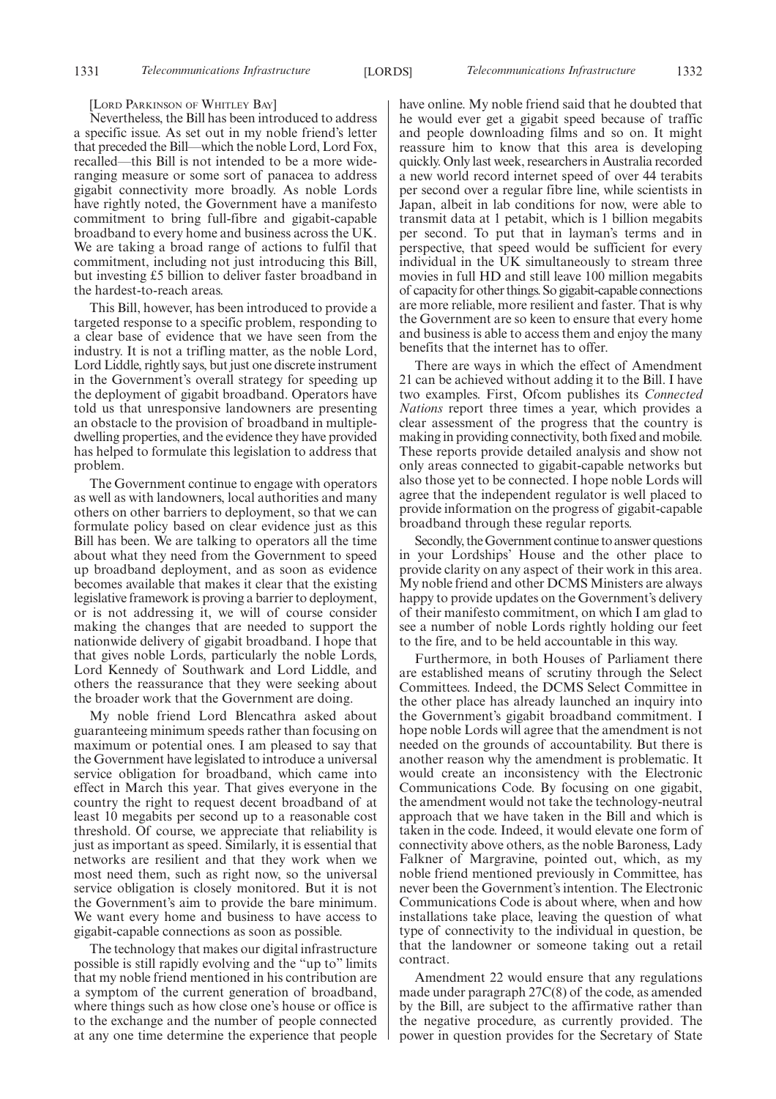#### [LORD PARKINSON OF WHITLEY BAY]

Nevertheless, the Bill has been introduced to address a specific issue. As set out in my noble friend's letter that preceded the Bill—which the noble Lord, Lord Fox, recalled—this Bill is not intended to be a more wideranging measure or some sort of panacea to address gigabit connectivity more broadly. As noble Lords have rightly noted, the Government have a manifesto commitment to bring full-fibre and gigabit-capable broadband to every home and business across the UK. We are taking a broad range of actions to fulfil that commitment, including not just introducing this Bill, but investing £5 billion to deliver faster broadband in the hardest-to-reach areas.

This Bill, however, has been introduced to provide a targeted response to a specific problem, responding to a clear base of evidence that we have seen from the industry. It is not a trifling matter, as the noble Lord, Lord Liddle, rightly says, but just one discrete instrument in the Government's overall strategy for speeding up the deployment of gigabit broadband. Operators have told us that unresponsive landowners are presenting an obstacle to the provision of broadband in multipledwelling properties, and the evidence they have provided has helped to formulate this legislation to address that problem.

The Government continue to engage with operators as well as with landowners, local authorities and many others on other barriers to deployment, so that we can formulate policy based on clear evidence just as this Bill has been. We are talking to operators all the time about what they need from the Government to speed up broadband deployment, and as soon as evidence becomes available that makes it clear that the existing legislative framework is proving a barrier to deployment, or is not addressing it, we will of course consider making the changes that are needed to support the nationwide delivery of gigabit broadband. I hope that that gives noble Lords, particularly the noble Lords, Lord Kennedy of Southwark and Lord Liddle, and others the reassurance that they were seeking about the broader work that the Government are doing.

My noble friend Lord Blencathra asked about guaranteeing minimum speeds rather than focusing on maximum or potential ones. I am pleased to say that the Government have legislated to introduce a universal service obligation for broadband, which came into effect in March this year. That gives everyone in the country the right to request decent broadband of at least 10 megabits per second up to a reasonable cost threshold. Of course, we appreciate that reliability is just as important as speed. Similarly, it is essential that networks are resilient and that they work when we most need them, such as right now, so the universal service obligation is closely monitored. But it is not the Government's aim to provide the bare minimum. We want every home and business to have access to gigabit-capable connections as soon as possible.

The technology that makes our digital infrastructure possible is still rapidly evolving and the "up to" limits that my noble friend mentioned in his contribution are a symptom of the current generation of broadband, where things such as how close one's house or office is to the exchange and the number of people connected at any one time determine the experience that people have online. My noble friend said that he doubted that he would ever get a gigabit speed because of traffic and people downloading films and so on. It might reassure him to know that this area is developing quickly. Only last week, researchers in Australia recorded a new world record internet speed of over 44 terabits per second over a regular fibre line, while scientists in Japan, albeit in lab conditions for now, were able to transmit data at 1 petabit, which is 1 billion megabits per second. To put that in layman's terms and in perspective, that speed would be sufficient for every individual in the UK simultaneously to stream three movies in full HD and still leave 100 million megabits of capacity for other things. So gigabit-capable connections are more reliable, more resilient and faster. That is why the Government are so keen to ensure that every home and business is able to access them and enjoy the many benefits that the internet has to offer.

There are ways in which the effect of Amendment 21 can be achieved without adding it to the Bill. I have two examples. First, Ofcom publishes its *Connected Nations* report three times a year, which provides a clear assessment of the progress that the country is making in providing connectivity, both fixed and mobile. These reports provide detailed analysis and show not only areas connected to gigabit-capable networks but also those yet to be connected. I hope noble Lords will agree that the independent regulator is well placed to provide information on the progress of gigabit-capable broadband through these regular reports.

Secondly, the Government continue to answer questions in your Lordships' House and the other place to provide clarity on any aspect of their work in this area. My noble friend and other DCMS Ministers are always happy to provide updates on the Government's delivery of their manifesto commitment, on which I am glad to see a number of noble Lords rightly holding our feet to the fire, and to be held accountable in this way.

Furthermore, in both Houses of Parliament there are established means of scrutiny through the Select Committees. Indeed, the DCMS Select Committee in the other place has already launched an inquiry into the Government's gigabit broadband commitment. I hope noble Lords will agree that the amendment is not needed on the grounds of accountability. But there is another reason why the amendment is problematic. It would create an inconsistency with the Electronic Communications Code. By focusing on one gigabit, the amendment would not take the technology-neutral approach that we have taken in the Bill and which is taken in the code. Indeed, it would elevate one form of connectivity above others, as the noble Baroness, Lady Falkner of Margravine, pointed out, which, as my noble friend mentioned previously in Committee, has never been the Government's intention. The Electronic Communications Code is about where, when and how installations take place, leaving the question of what type of connectivity to the individual in question, be that the landowner or someone taking out a retail contract.

Amendment 22 would ensure that any regulations made under paragraph 27C(8) of the code, as amended by the Bill, are subject to the affirmative rather than the negative procedure, as currently provided. The power in question provides for the Secretary of State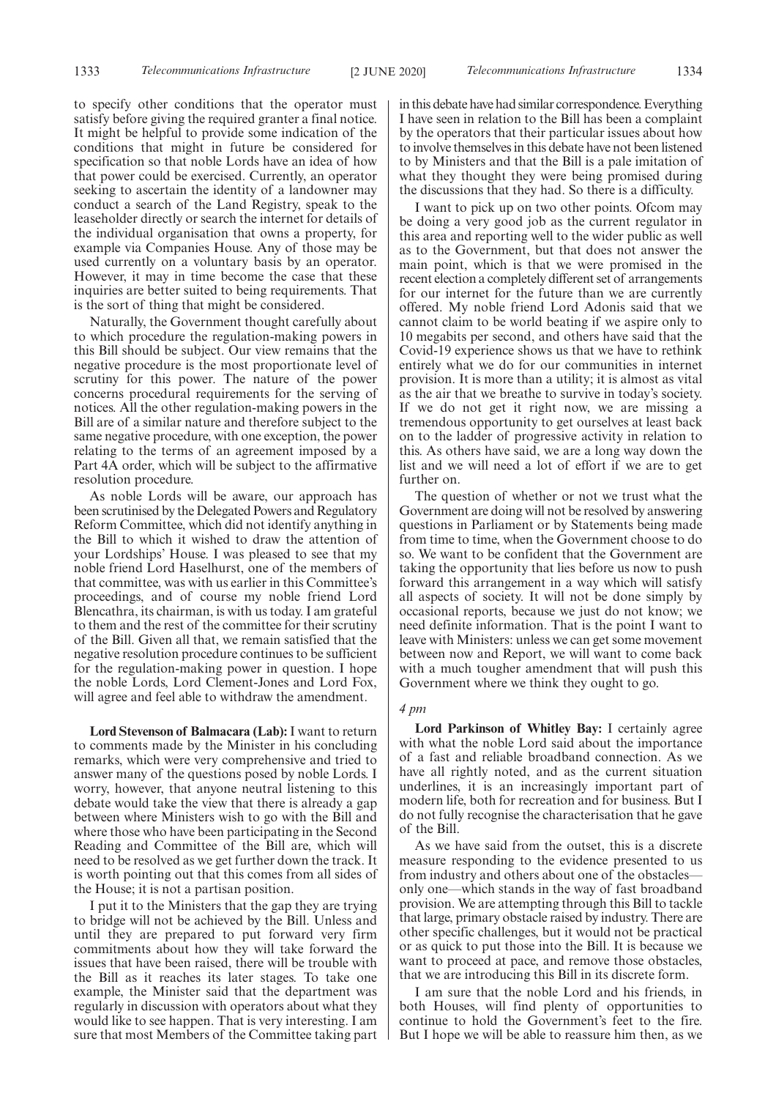to specify other conditions that the operator must satisfy before giving the required granter a final notice. It might be helpful to provide some indication of the conditions that might in future be considered for specification so that noble Lords have an idea of how that power could be exercised. Currently, an operator seeking to ascertain the identity of a landowner may conduct a search of the Land Registry, speak to the leaseholder directly or search the internet for details of the individual organisation that owns a property, for example via Companies House. Any of those may be used currently on a voluntary basis by an operator. However, it may in time become the case that these inquiries are better suited to being requirements. That is the sort of thing that might be considered.

Naturally, the Government thought carefully about to which procedure the regulation-making powers in this Bill should be subject. Our view remains that the negative procedure is the most proportionate level of scrutiny for this power. The nature of the power concerns procedural requirements for the serving of notices. All the other regulation-making powers in the Bill are of a similar nature and therefore subject to the same negative procedure, with one exception, the power relating to the terms of an agreement imposed by a Part 4A order, which will be subject to the affirmative resolution procedure.

As noble Lords will be aware, our approach has been scrutinised by the Delegated Powers and Regulatory Reform Committee, which did not identify anything in the Bill to which it wished to draw the attention of your Lordships' House. I was pleased to see that my noble friend Lord Haselhurst, one of the members of that committee, was with us earlier in this Committee's proceedings, and of course my noble friend Lord Blencathra, its chairman, is with us today. I am grateful to them and the rest of the committee for their scrutiny of the Bill. Given all that, we remain satisfied that the negative resolution procedure continues to be sufficient for the regulation-making power in question. I hope the noble Lords, Lord Clement-Jones and Lord Fox, will agree and feel able to withdraw the amendment.

**Lord Stevenson of Balmacara (Lab):**I want to return to comments made by the Minister in his concluding remarks, which were very comprehensive and tried to answer many of the questions posed by noble Lords. I worry, however, that anyone neutral listening to this debate would take the view that there is already a gap between where Ministers wish to go with the Bill and where those who have been participating in the Second Reading and Committee of the Bill are, which will need to be resolved as we get further down the track. It is worth pointing out that this comes from all sides of the House; it is not a partisan position.

I put it to the Ministers that the gap they are trying to bridge will not be achieved by the Bill. Unless and until they are prepared to put forward very firm commitments about how they will take forward the issues that have been raised, there will be trouble with the Bill as it reaches its later stages. To take one example, the Minister said that the department was regularly in discussion with operators about what they would like to see happen. That is very interesting. I am sure that most Members of the Committee taking part in this debate have had similar correspondence. Everything I have seen in relation to the Bill has been a complaint by the operators that their particular issues about how to involve themselves in this debate have not been listened to by Ministers and that the Bill is a pale imitation of what they thought they were being promised during the discussions that they had. So there is a difficulty.

I want to pick up on two other points. Ofcom may be doing a very good job as the current regulator in this area and reporting well to the wider public as well as to the Government, but that does not answer the main point, which is that we were promised in the recent election a completely different set of arrangements for our internet for the future than we are currently offered. My noble friend Lord Adonis said that we cannot claim to be world beating if we aspire only to 10 megabits per second, and others have said that the Covid-19 experience shows us that we have to rethink entirely what we do for our communities in internet provision. It is more than a utility; it is almost as vital as the air that we breathe to survive in today's society. If we do not get it right now, we are missing a tremendous opportunity to get ourselves at least back on to the ladder of progressive activity in relation to this. As others have said, we are a long way down the list and we will need a lot of effort if we are to get further on.

The question of whether or not we trust what the Government are doing will not be resolved by answering questions in Parliament or by Statements being made from time to time, when the Government choose to do so. We want to be confident that the Government are taking the opportunity that lies before us now to push forward this arrangement in a way which will satisfy all aspects of society. It will not be done simply by occasional reports, because we just do not know; we need definite information. That is the point I want to leave with Ministers: unless we can get some movement between now and Report, we will want to come back with a much tougher amendment that will push this Government where we think they ought to go.

#### *4 pm*

**Lord Parkinson of Whitley Bay:** I certainly agree with what the noble Lord said about the importance of a fast and reliable broadband connection. As we have all rightly noted, and as the current situation underlines, it is an increasingly important part of modern life, both for recreation and for business. But I do not fully recognise the characterisation that he gave of the Bill.

As we have said from the outset, this is a discrete measure responding to the evidence presented to us from industry and others about one of the obstacles only one—which stands in the way of fast broadband provision. We are attempting through this Bill to tackle that large, primary obstacle raised by industry. There are other specific challenges, but it would not be practical or as quick to put those into the Bill. It is because we want to proceed at pace, and remove those obstacles, that we are introducing this Bill in its discrete form.

I am sure that the noble Lord and his friends, in both Houses, will find plenty of opportunities to continue to hold the Government's feet to the fire. But I hope we will be able to reassure him then, as we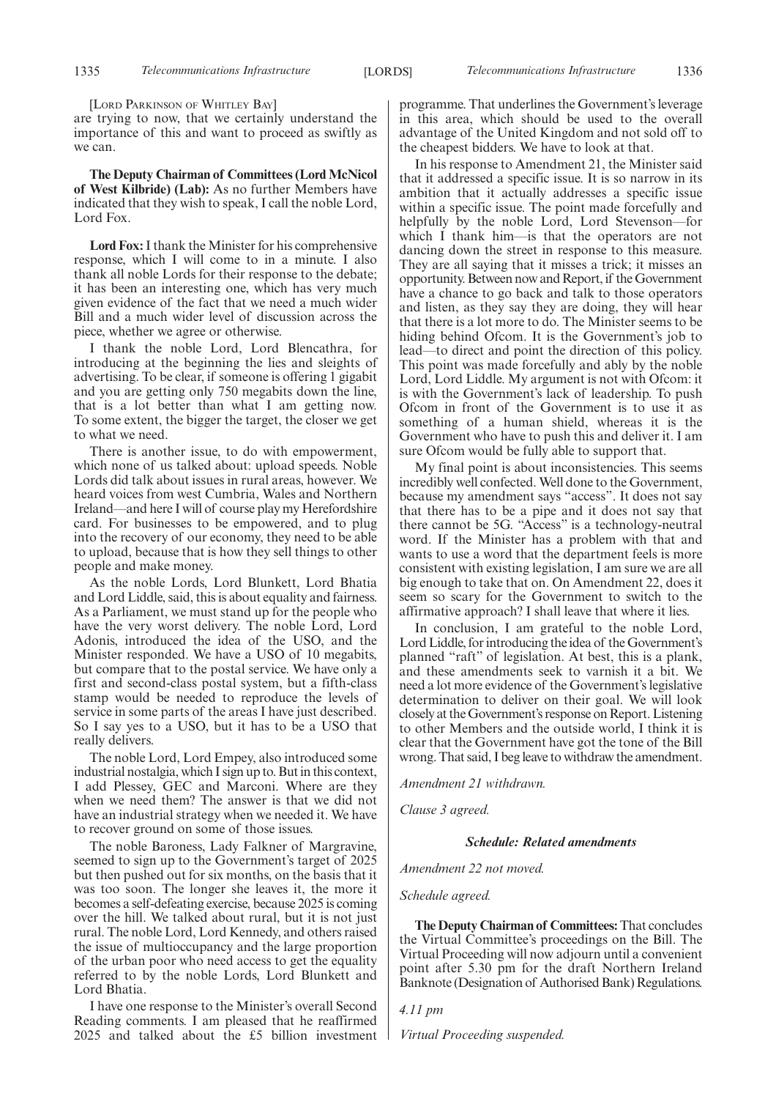[LORD PARKINSON OF WHITLEY BAY]

are trying to now, that we certainly understand the importance of this and want to proceed as swiftly as we can.

**The Deputy Chairman of Committees (Lord McNicol of West Kilbride) (Lab):** As no further Members have indicated that they wish to speak, I call the noble Lord, Lord Fox.

**Lord Fox:**I thank the Minister for his comprehensive response, which I will come to in a minute. I also thank all noble Lords for their response to the debate; it has been an interesting one, which has very much given evidence of the fact that we need a much wider Bill and a much wider level of discussion across the piece, whether we agree or otherwise.

I thank the noble Lord, Lord Blencathra, for introducing at the beginning the lies and sleights of advertising. To be clear, if someone is offering 1 gigabit and you are getting only 750 megabits down the line, that is a lot better than what I am getting now. To some extent, the bigger the target, the closer we get to what we need.

There is another issue, to do with empowerment, which none of us talked about: upload speeds. Noble Lords did talk about issues in rural areas, however. We heard voices from west Cumbria, Wales and Northern Ireland—and here I will of course play my Herefordshire card. For businesses to be empowered, and to plug into the recovery of our economy, they need to be able to upload, because that is how they sell things to other people and make money.

As the noble Lords, Lord Blunkett, Lord Bhatia and Lord Liddle, said, this is about equality and fairness. As a Parliament, we must stand up for the people who have the very worst delivery. The noble Lord, Lord Adonis, introduced the idea of the USO, and the Minister responded. We have a USO of 10 megabits, but compare that to the postal service. We have only a first and second-class postal system, but a fifth-class stamp would be needed to reproduce the levels of service in some parts of the areas I have just described. So I say yes to a USO, but it has to be a USO that really delivers.

The noble Lord, Lord Empey, also introduced some industrial nostalgia, which I sign up to. But in this context, I add Plessey, GEC and Marconi. Where are they when we need them? The answer is that we did not have an industrial strategy when we needed it. We have to recover ground on some of those issues.

The noble Baroness, Lady Falkner of Margravine, seemed to sign up to the Government's target of 2025 but then pushed out for six months, on the basis that it was too soon. The longer she leaves it, the more it becomes a self-defeating exercise, because 2025 is coming over the hill. We talked about rural, but it is not just rural. The noble Lord, Lord Kennedy, and others raised the issue of multioccupancy and the large proportion of the urban poor who need access to get the equality referred to by the noble Lords, Lord Blunkett and Lord Bhatia.

I have one response to the Minister's overall Second Reading comments. I am pleased that he reaffirmed 2025 and talked about the £5 billion investment programme. That underlines the Government's leverage in this area, which should be used to the overall advantage of the United Kingdom and not sold off to the cheapest bidders. We have to look at that.

In his response to Amendment 21, the Minister said that it addressed a specific issue. It is so narrow in its ambition that it actually addresses a specific issue within a specific issue. The point made forcefully and helpfully by the noble Lord, Lord Stevenson—for which I thank him—is that the operators are not dancing down the street in response to this measure. They are all saying that it misses a trick; it misses an opportunity. Between now and Report, if the Government have a chance to go back and talk to those operators and listen, as they say they are doing, they will hear that there is a lot more to do. The Minister seems to be hiding behind Ofcom. It is the Government's job to lead—to direct and point the direction of this policy. This point was made forcefully and ably by the noble Lord, Lord Liddle. My argument is not with Ofcom: it is with the Government's lack of leadership. To push Ofcom in front of the Government is to use it as something of a human shield, whereas it is the Government who have to push this and deliver it. I am sure Ofcom would be fully able to support that.

My final point is about inconsistencies. This seems incredibly well confected. Well done to the Government, because my amendment says "access". It does not say that there has to be a pipe and it does not say that there cannot be 5G. "Access" is a technology-neutral word. If the Minister has a problem with that and wants to use a word that the department feels is more consistent with existing legislation, I am sure we are all big enough to take that on. On Amendment 22, does it seem so scary for the Government to switch to the affirmative approach? I shall leave that where it lies.

In conclusion, I am grateful to the noble Lord, Lord Liddle, for introducing the idea of the Government's planned "raft" of legislation. At best, this is a plank, and these amendments seek to varnish it a bit. We need a lot more evidence of the Government's legislative determination to deliver on their goal. We will look closely at the Government's response on Report. Listening to other Members and the outside world, I think it is clear that the Government have got the tone of the Bill wrong. That said, I beg leave to withdraw the amendment.

*Amendment 21 withdrawn.*

*Clause 3 agreed.*

#### *Schedule: Related amendments*

*Amendment 22 not moved.*

*Schedule agreed.*

**The Deputy Chairman of Committees:**That concludes the Virtual Committee's proceedings on the Bill. The Virtual Proceeding will now adjourn until a convenient point after 5.30 pm for the draft Northern Ireland Banknote (Designation of Authorised Bank) Regulations.

*4.11 pm*

*Virtual Proceeding suspended.*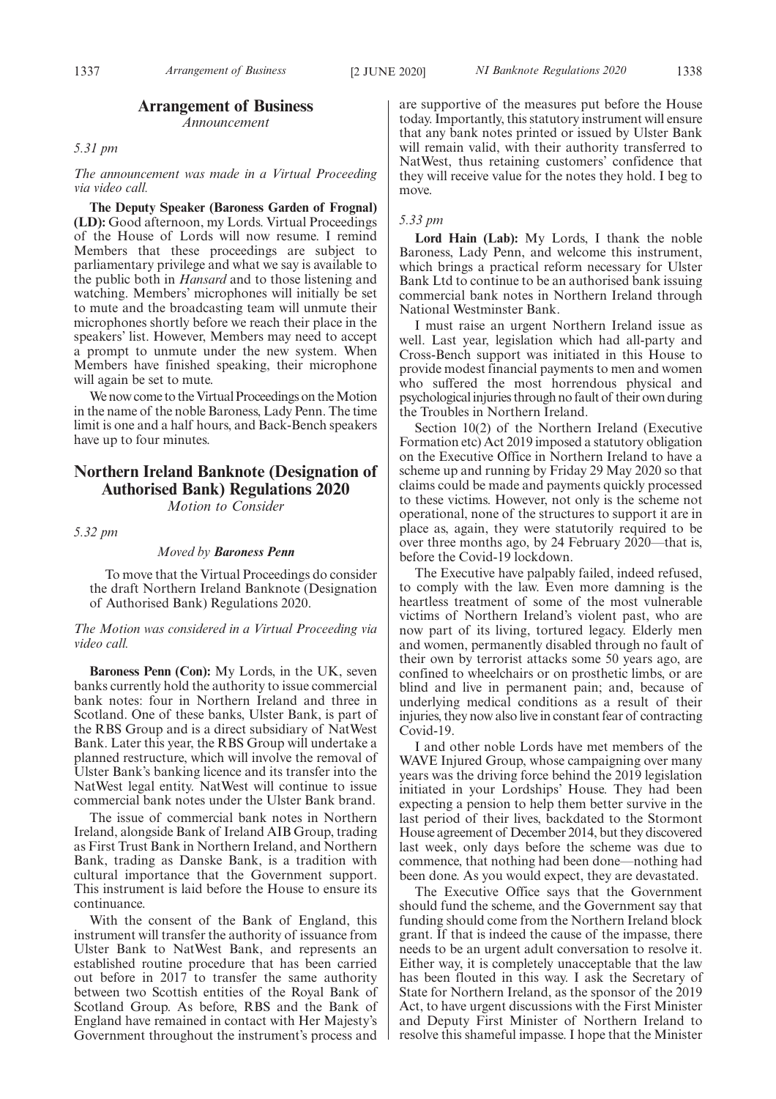## **Arrangement of Business**

*Announcement*

#### *5.31 pm*

#### *The announcement was made in a Virtual Proceeding via video call.*

**The Deputy Speaker (Baroness Garden of Frognal) (LD):** Good afternoon, my Lords. Virtual Proceedings of the House of Lords will now resume. I remind Members that these proceedings are subject to parliamentary privilege and what we say is available to the public both in *Hansard* and to those listening and watching. Members' microphones will initially be set to mute and the broadcasting team will unmute their microphones shortly before we reach their place in the speakers' list. However, Members may need to accept a prompt to unmute under the new system. When Members have finished speaking, their microphone will again be set to mute.

We now come to the Virtual Proceedings on the Motion in the name of the noble Baroness, Lady Penn. The time limit is one and a half hours, and Back-Bench speakers have up to four minutes.

## **Northern Ireland Banknote (Designation of Authorised Bank) Regulations 2020**

*Motion to Consider*

*5.32 pm*

#### *Moved by Baroness Penn*

To move that the Virtual Proceedings do consider the draft Northern Ireland Banknote (Designation of Authorised Bank) Regulations 2020.

#### *The Motion was considered in a Virtual Proceeding via video call.*

**Baroness Penn (Con):** My Lords, in the UK, seven banks currently hold the authority to issue commercial bank notes: four in Northern Ireland and three in Scotland. One of these banks, Ulster Bank, is part of the RBS Group and is a direct subsidiary of NatWest Bank. Later this year, the RBS Group will undertake a planned restructure, which will involve the removal of Ulster Bank's banking licence and its transfer into the NatWest legal entity. NatWest will continue to issue commercial bank notes under the Ulster Bank brand.

The issue of commercial bank notes in Northern Ireland, alongside Bank of Ireland AIB Group, trading as First Trust Bank in Northern Ireland, and Northern Bank, trading as Danske Bank, is a tradition with cultural importance that the Government support. This instrument is laid before the House to ensure its continuance.

With the consent of the Bank of England, this instrument will transfer the authority of issuance from Ulster Bank to NatWest Bank, and represents an established routine procedure that has been carried out before in 2017 to transfer the same authority between two Scottish entities of the Royal Bank of Scotland Group. As before, RBS and the Bank of England have remained in contact with Her Majesty's Government throughout the instrument's process and are supportive of the measures put before the House today. Importantly, this statutory instrument will ensure that any bank notes printed or issued by Ulster Bank will remain valid, with their authority transferred to NatWest, thus retaining customers' confidence that they will receive value for the notes they hold. I beg to move.

#### *5.33 pm*

**Lord Hain (Lab):** My Lords, I thank the noble Baroness, Lady Penn, and welcome this instrument, which brings a practical reform necessary for Ulster Bank Ltd to continue to be an authorised bank issuing commercial bank notes in Northern Ireland through National Westminster Bank.

I must raise an urgent Northern Ireland issue as well. Last year, legislation which had all-party and Cross-Bench support was initiated in this House to provide modest financial payments to men and women who suffered the most horrendous physical and psychological injuries through no fault of their own during the Troubles in Northern Ireland.

Section 10(2) of the Northern Ireland (Executive Formation etc) Act 2019 imposed a statutory obligation on the Executive Office in Northern Ireland to have a scheme up and running by Friday 29 May 2020 so that claims could be made and payments quickly processed to these victims. However, not only is the scheme not operational, none of the structures to support it are in place as, again, they were statutorily required to be over three months ago, by 24 February 2020—that is, before the Covid-19 lockdown.

The Executive have palpably failed, indeed refused, to comply with the law. Even more damning is the heartless treatment of some of the most vulnerable victims of Northern Ireland's violent past, who are now part of its living, tortured legacy. Elderly men and women, permanently disabled through no fault of their own by terrorist attacks some 50 years ago, are confined to wheelchairs or on prosthetic limbs, or are blind and live in permanent pain; and, because of underlying medical conditions as a result of their injuries, they now also live in constant fear of contracting Covid-19.

I and other noble Lords have met members of the WAVE Injured Group, whose campaigning over many years was the driving force behind the 2019 legislation initiated in your Lordships' House. They had been expecting a pension to help them better survive in the last period of their lives, backdated to the Stormont House agreement of December 2014, but they discovered last week, only days before the scheme was due to commence, that nothing had been done—nothing had been done. As you would expect, they are devastated.

The Executive Office says that the Government should fund the scheme, and the Government say that funding should come from the Northern Ireland block grant. If that is indeed the cause of the impasse, there needs to be an urgent adult conversation to resolve it. Either way, it is completely unacceptable that the law has been flouted in this way. I ask the Secretary of State for Northern Ireland, as the sponsor of the 2019 Act, to have urgent discussions with the First Minister and Deputy First Minister of Northern Ireland to resolve this shameful impasse. I hope that the Minister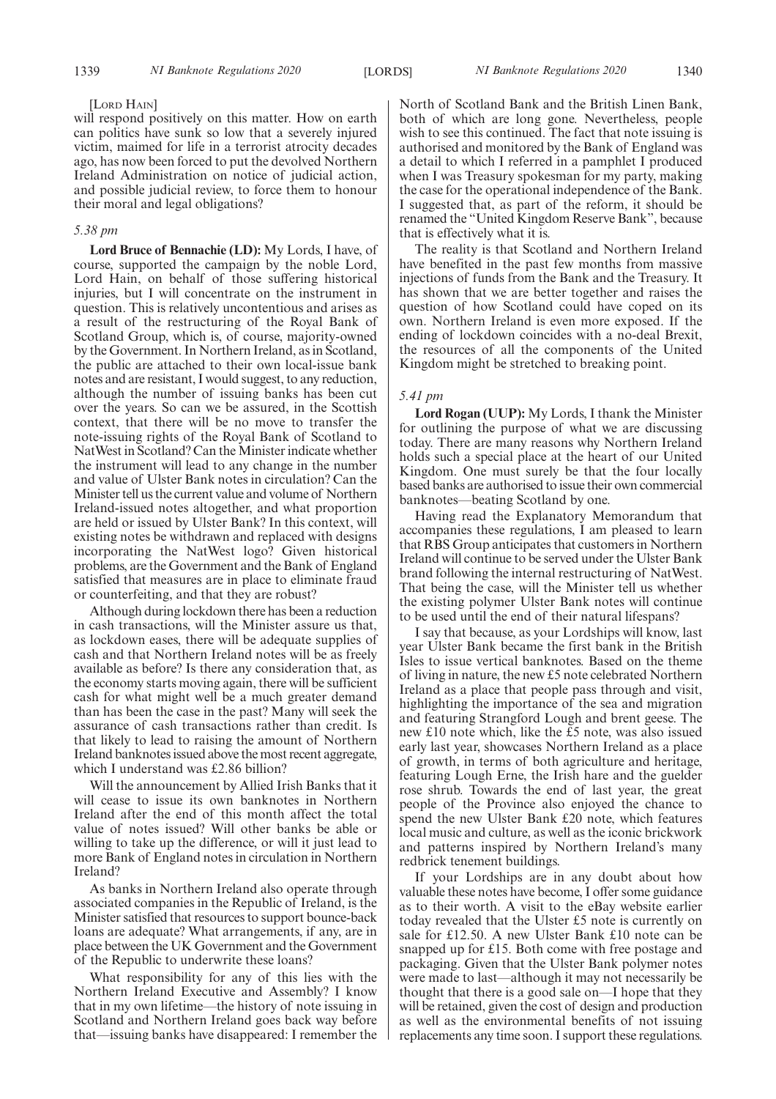#### [LORD HAIN]

will respond positively on this matter. How on earth can politics have sunk so low that a severely injured victim, maimed for life in a terrorist atrocity decades ago, has now been forced to put the devolved Northern Ireland Administration on notice of judicial action, and possible judicial review, to force them to honour their moral and legal obligations?

#### *5.38 pm*

**Lord Bruce of Bennachie (LD):** My Lords, I have, of course, supported the campaign by the noble Lord, Lord Hain, on behalf of those suffering historical injuries, but I will concentrate on the instrument in question. This is relatively uncontentious and arises as a result of the restructuring of the Royal Bank of Scotland Group, which is, of course, majority-owned by the Government. In Northern Ireland, as in Scotland, the public are attached to their own local-issue bank notes and are resistant, I would suggest, to any reduction, although the number of issuing banks has been cut over the years. So can we be assured, in the Scottish context, that there will be no move to transfer the note-issuing rights of the Royal Bank of Scotland to NatWest in Scotland? Can the Minister indicate whether the instrument will lead to any change in the number and value of Ulster Bank notes in circulation? Can the Minister tell us the current value and volume of Northern Ireland-issued notes altogether, and what proportion are held or issued by Ulster Bank? In this context, will existing notes be withdrawn and replaced with designs incorporating the NatWest logo? Given historical problems, are the Government and the Bank of England satisfied that measures are in place to eliminate fraud or counterfeiting, and that they are robust?

Although during lockdown there has been a reduction in cash transactions, will the Minister assure us that, as lockdown eases, there will be adequate supplies of cash and that Northern Ireland notes will be as freely available as before? Is there any consideration that, as the economy starts moving again, there will be sufficient cash for what might well be a much greater demand than has been the case in the past? Many will seek the assurance of cash transactions rather than credit. Is that likely to lead to raising the amount of Northern Ireland banknotes issued above the most recent aggregate, which I understand was £2.86 billion?

Will the announcement by Allied Irish Banks that it will cease to issue its own banknotes in Northern Ireland after the end of this month affect the total value of notes issued? Will other banks be able or willing to take up the difference, or will it just lead to more Bank of England notes in circulation in Northern Ireland?

As banks in Northern Ireland also operate through associated companies in the Republic of Ireland, is the Minister satisfied that resources to support bounce-back loans are adequate? What arrangements, if any, are in place between the UK Government and the Government of the Republic to underwrite these loans?

What responsibility for any of this lies with the Northern Ireland Executive and Assembly? I know that in my own lifetime—the history of note issuing in Scotland and Northern Ireland goes back way before that—issuing banks have disappeared: I remember the North of Scotland Bank and the British Linen Bank, both of which are long gone. Nevertheless, people wish to see this continued. The fact that note issuing is authorised and monitored by the Bank of England was a detail to which I referred in a pamphlet I produced when I was Treasury spokesman for my party, making the case for the operational independence of the Bank. I suggested that, as part of the reform, it should be renamed the "United Kingdom Reserve Bank", because that is effectively what it is.

The reality is that Scotland and Northern Ireland have benefited in the past few months from massive injections of funds from the Bank and the Treasury. It has shown that we are better together and raises the question of how Scotland could have coped on its own. Northern Ireland is even more exposed. If the ending of lockdown coincides with a no-deal Brexit, the resources of all the components of the United Kingdom might be stretched to breaking point.

#### *5.41 pm*

**Lord Rogan (UUP):** My Lords, I thank the Minister for outlining the purpose of what we are discussing today. There are many reasons why Northern Ireland holds such a special place at the heart of our United Kingdom. One must surely be that the four locally based banks are authorised to issue their own commercial banknotes—beating Scotland by one.

Having read the Explanatory Memorandum that accompanies these regulations, I am pleased to learn that RBS Group anticipates that customers in Northern Ireland will continue to be served under the Ulster Bank brand following the internal restructuring of NatWest. That being the case, will the Minister tell us whether the existing polymer Ulster Bank notes will continue to be used until the end of their natural lifespans?

I say that because, as your Lordships will know, last year Ulster Bank became the first bank in the British Isles to issue vertical banknotes. Based on the theme of living in nature, the new £5 note celebrated Northern Ireland as a place that people pass through and visit, highlighting the importance of the sea and migration and featuring Strangford Lough and brent geese. The new £10 note which, like the £5 note, was also issued early last year, showcases Northern Ireland as a place of growth, in terms of both agriculture and heritage, featuring Lough Erne, the Irish hare and the guelder rose shrub. Towards the end of last year, the great people of the Province also enjoyed the chance to spend the new Ulster Bank £20 note, which features local music and culture, as well as the iconic brickwork and patterns inspired by Northern Ireland's many redbrick tenement buildings.

If your Lordships are in any doubt about how valuable these notes have become, I offer some guidance as to their worth. A visit to the eBay website earlier today revealed that the Ulster £5 note is currently on sale for £12.50. A new Ulster Bank £10 note can be snapped up for £15. Both come with free postage and packaging. Given that the Ulster Bank polymer notes were made to last—although it may not necessarily be thought that there is a good sale on—I hope that they will be retained, given the cost of design and production as well as the environmental benefits of not issuing replacements any time soon. I support these regulations.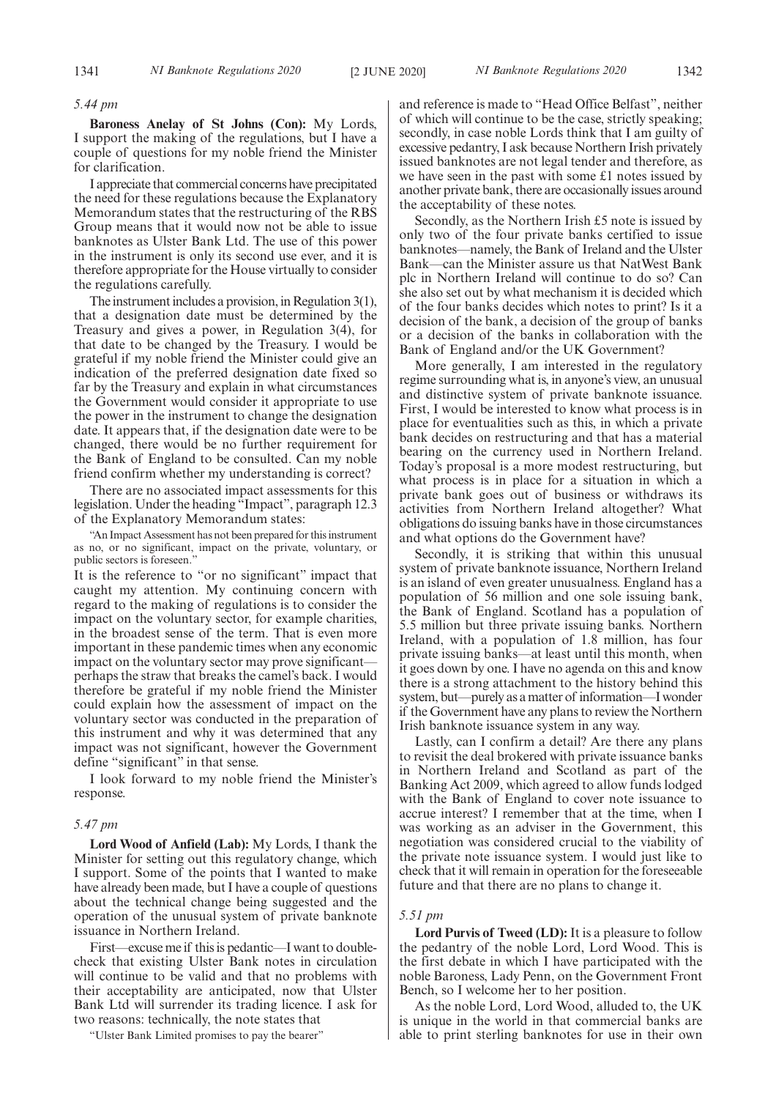#### *5.44 pm*

**Baroness Anelay of St Johns (Con):** My Lords, I support the making of the regulations, but I have a couple of questions for my noble friend the Minister for clarification.

I appreciate that commercial concerns have precipitated the need for these regulations because the Explanatory Memorandum states that the restructuring of the RBS Group means that it would now not be able to issue banknotes as Ulster Bank Ltd. The use of this power in the instrument is only its second use ever, and it is therefore appropriate for the House virtually to consider the regulations carefully.

The instrument includes a provision, in Regulation 3(1), that a designation date must be determined by the Treasury and gives a power, in Regulation 3(4), for that date to be changed by the Treasury. I would be grateful if my noble friend the Minister could give an indication of the preferred designation date fixed so far by the Treasury and explain in what circumstances the Government would consider it appropriate to use the power in the instrument to change the designation date. It appears that, if the designation date were to be changed, there would be no further requirement for the Bank of England to be consulted. Can my noble friend confirm whether my understanding is correct?

There are no associated impact assessments for this legislation. Under the heading "Impact", paragraph 12.3 of the Explanatory Memorandum states:

"An Impact Assessment has not been prepared for this instrument as no, or no significant, impact on the private, voluntary, or public sectors is foreseen."

It is the reference to "or no significant" impact that caught my attention. My continuing concern with regard to the making of regulations is to consider the impact on the voluntary sector, for example charities, in the broadest sense of the term. That is even more important in these pandemic times when any economic impact on the voluntary sector may prove significant perhaps the straw that breaks the camel's back. I would therefore be grateful if my noble friend the Minister could explain how the assessment of impact on the voluntary sector was conducted in the preparation of this instrument and why it was determined that any impact was not significant, however the Government define "significant" in that sense.

I look forward to my noble friend the Minister's response.

#### *5.47 pm*

**Lord Wood of Anfield (Lab):** My Lords, I thank the Minister for setting out this regulatory change, which I support. Some of the points that I wanted to make have already been made, but I have a couple of questions about the technical change being suggested and the operation of the unusual system of private banknote issuance in Northern Ireland.

First—excuse me if this is pedantic—I want to doublecheck that existing Ulster Bank notes in circulation will continue to be valid and that no problems with their acceptability are anticipated, now that Ulster Bank Ltd will surrender its trading licence. I ask for two reasons: technically, the note states that

"Ulster Bank Limited promises to pay the bearer"

and reference is made to "Head Office Belfast", neither of which will continue to be the case, strictly speaking; secondly, in case noble Lords think that I am guilty of excessive pedantry, I ask because Northern Irish privately issued banknotes are not legal tender and therefore, as we have seen in the past with some £1 notes issued by another private bank, there are occasionally issues around the acceptability of these notes.

Secondly, as the Northern Irish £5 note is issued by only two of the four private banks certified to issue banknotes—namely, the Bank of Ireland and the Ulster Bank—can the Minister assure us that NatWest Bank plc in Northern Ireland will continue to do so? Can she also set out by what mechanism it is decided which of the four banks decides which notes to print? Is it a decision of the bank, a decision of the group of banks or a decision of the banks in collaboration with the Bank of England and/or the UK Government?

More generally, I am interested in the regulatory regime surrounding what is, in anyone's view, an unusual and distinctive system of private banknote issuance. First, I would be interested to know what process is in place for eventualities such as this, in which a private bank decides on restructuring and that has a material bearing on the currency used in Northern Ireland. Today's proposal is a more modest restructuring, but what process is in place for a situation in which a private bank goes out of business or withdraws its activities from Northern Ireland altogether? What obligations do issuing banks have in those circumstances and what options do the Government have?

Secondly, it is striking that within this unusual system of private banknote issuance, Northern Ireland is an island of even greater unusualness. England has a population of 56 million and one sole issuing bank, the Bank of England. Scotland has a population of 5.5 million but three private issuing banks. Northern Ireland, with a population of 1.8 million, has four private issuing banks—at least until this month, when it goes down by one. I have no agenda on this and know there is a strong attachment to the history behind this system, but—purely as a matter of information—I wonder if the Government have any plans to review the Northern Irish banknote issuance system in any way.

Lastly, can I confirm a detail? Are there any plans to revisit the deal brokered with private issuance banks in Northern Ireland and Scotland as part of the Banking Act 2009, which agreed to allow funds lodged with the Bank of England to cover note issuance to accrue interest? I remember that at the time, when I was working as an adviser in the Government, this negotiation was considered crucial to the viability of the private note issuance system. I would just like to check that it will remain in operation for the foreseeable future and that there are no plans to change it.

#### *5.51 pm*

**Lord Purvis of Tweed (LD):** It is a pleasure to follow the pedantry of the noble Lord, Lord Wood. This is the first debate in which I have participated with the noble Baroness, Lady Penn, on the Government Front Bench, so I welcome her to her position.

As the noble Lord, Lord Wood, alluded to, the UK is unique in the world in that commercial banks are able to print sterling banknotes for use in their own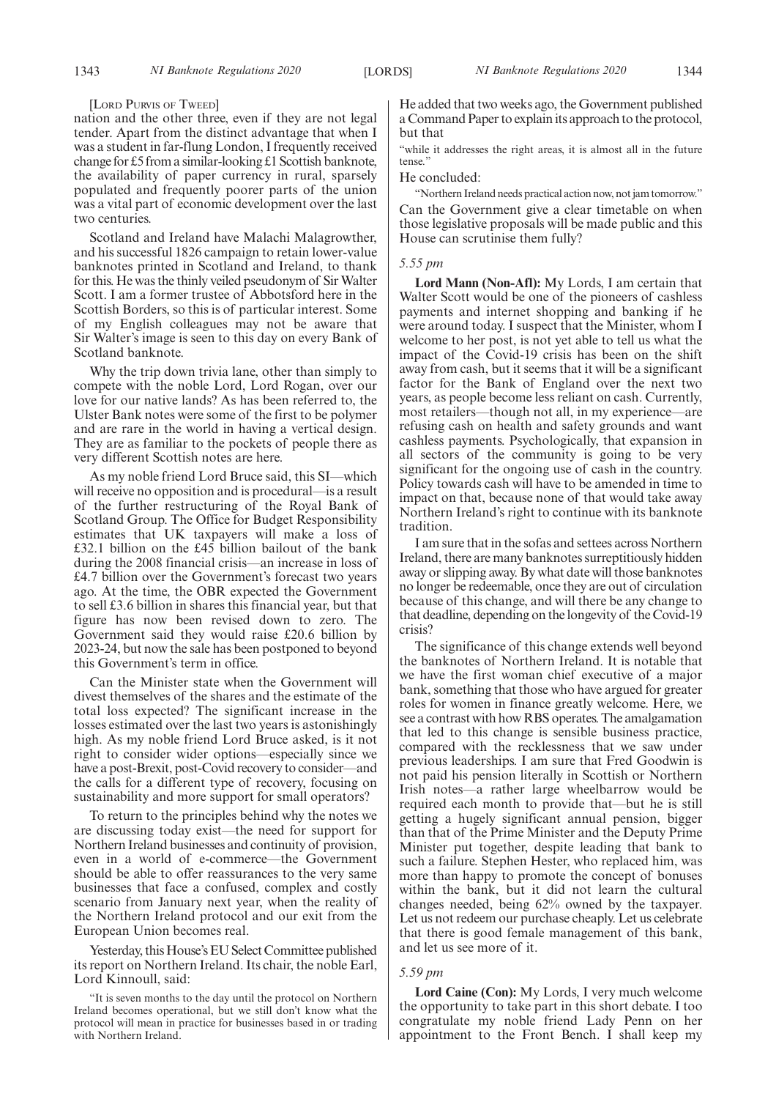#### [LORD PURVIS OF TWEED]

nation and the other three, even if they are not legal tender. Apart from the distinct advantage that when I was a student in far-flung London, I frequently received change for £5 from a similar-looking £1 Scottish banknote, the availability of paper currency in rural, sparsely populated and frequently poorer parts of the union was a vital part of economic development over the last two centuries.

Scotland and Ireland have Malachi Malagrowther, and his successful 1826 campaign to retain lower-value banknotes printed in Scotland and Ireland, to thank for this. He was the thinly veiled pseudonym of Sir Walter Scott. I am a former trustee of Abbotsford here in the Scottish Borders, so this is of particular interest. Some of my English colleagues may not be aware that Sir Walter's image is seen to this day on every Bank of Scotland banknote.

Why the trip down trivia lane, other than simply to compete with the noble Lord, Lord Rogan, over our love for our native lands? As has been referred to, the Ulster Bank notes were some of the first to be polymer and are rare in the world in having a vertical design. They are as familiar to the pockets of people there as very different Scottish notes are here.

As my noble friend Lord Bruce said, this SI—which will receive no opposition and is procedural—is a result of the further restructuring of the Royal Bank of Scotland Group. The Office for Budget Responsibility estimates that UK taxpayers will make a loss of £32.1 billion on the £45 billion bailout of the bank during the 2008 financial crisis—an increase in loss of £4.7 billion over the Government's forecast two years ago. At the time, the OBR expected the Government to sell £3.6 billion in shares this financial year, but that figure has now been revised down to zero. The Government said they would raise £20.6 billion by 2023-24, but now the sale has been postponed to beyond this Government's term in office.

Can the Minister state when the Government will divest themselves of the shares and the estimate of the total loss expected? The significant increase in the losses estimated over the last two years is astonishingly high. As my noble friend Lord Bruce asked, is it not right to consider wider options—especially since we have a post-Brexit, post-Covid recovery to consider—and the calls for a different type of recovery, focusing on sustainability and more support for small operators?

To return to the principles behind why the notes we are discussing today exist—the need for support for Northern Ireland businesses and continuity of provision, even in a world of e-commerce—the Government should be able to offer reassurances to the very same businesses that face a confused, complex and costly scenario from January next year, when the reality of the Northern Ireland protocol and our exit from the European Union becomes real.

Yesterday, this House's EU Select Committee published its report on Northern Ireland. Its chair, the noble Earl, Lord Kinnoull, said:

He added that two weeks ago, the Government published a Command Paper to explain its approach to the protocol, but that

"while it addresses the right areas, it is almost all in the future tense.'

He concluded:

"Northern Ireland needs practical action now, not jam tomorrow." Can the Government give a clear timetable on when those legislative proposals will be made public and this House can scrutinise them fully?

#### *5.55 pm*

**Lord Mann (Non-Afl):** My Lords, I am certain that Walter Scott would be one of the pioneers of cashless payments and internet shopping and banking if he were around today. I suspect that the Minister, whom I welcome to her post, is not yet able to tell us what the impact of the Covid-19 crisis has been on the shift away from cash, but it seems that it will be a significant factor for the Bank of England over the next two years, as people become less reliant on cash. Currently, most retailers—though not all, in my experience—are refusing cash on health and safety grounds and want cashless payments. Psychologically, that expansion in all sectors of the community is going to be very significant for the ongoing use of cash in the country. Policy towards cash will have to be amended in time to impact on that, because none of that would take away Northern Ireland's right to continue with its banknote tradition.

I am sure that in the sofas and settees across Northern Ireland, there are many banknotes surreptitiously hidden away or slipping away. By what date will those banknotes no longer be redeemable, once they are out of circulation because of this change, and will there be any change to that deadline, depending on the longevity of the Covid-19 crisis?

The significance of this change extends well beyond the banknotes of Northern Ireland. It is notable that we have the first woman chief executive of a major bank, something that those who have argued for greater roles for women in finance greatly welcome. Here, we see a contrast with how RBS operates. The amalgamation that led to this change is sensible business practice, compared with the recklessness that we saw under previous leaderships. I am sure that Fred Goodwin is not paid his pension literally in Scottish or Northern Irish notes—a rather large wheelbarrow would be required each month to provide that—but he is still getting a hugely significant annual pension, bigger than that of the Prime Minister and the Deputy Prime Minister put together, despite leading that bank to such a failure. Stephen Hester, who replaced him, was more than happy to promote the concept of bonuses within the bank, but it did not learn the cultural changes needed, being 62% owned by the taxpayer. Let us not redeem our purchase cheaply. Let us celebrate that there is good female management of this bank, and let us see more of it.

#### *5.59 pm*

**Lord Caine (Con):** My Lords, I very much welcome the opportunity to take part in this short debate. I too congratulate my noble friend Lady Penn on her appointment to the Front Bench. I shall keep my

<sup>&</sup>quot;It is seven months to the day until the protocol on Northern Ireland becomes operational, but we still don't know what the protocol will mean in practice for businesses based in or trading with Northern Ireland.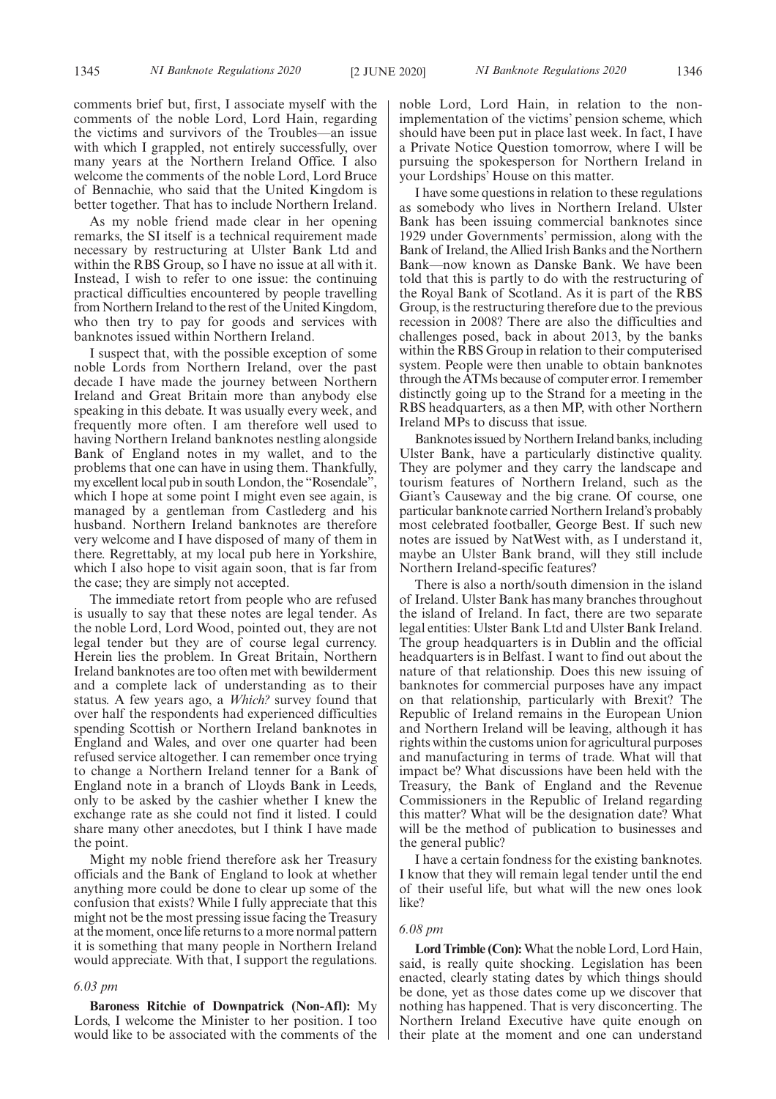comments brief but, first, I associate myself with the comments of the noble Lord, Lord Hain, regarding the victims and survivors of the Troubles—an issue with which I grappled, not entirely successfully, over many years at the Northern Ireland Office. I also welcome the comments of the noble Lord, Lord Bruce of Bennachie, who said that the United Kingdom is better together. That has to include Northern Ireland.

As my noble friend made clear in her opening remarks, the SI itself is a technical requirement made necessary by restructuring at Ulster Bank Ltd and within the RBS Group, so I have no issue at all with it. Instead, I wish to refer to one issue: the continuing practical difficulties encountered by people travelling from Northern Ireland to the rest of the United Kingdom, who then try to pay for goods and services with banknotes issued within Northern Ireland.

I suspect that, with the possible exception of some noble Lords from Northern Ireland, over the past decade I have made the journey between Northern Ireland and Great Britain more than anybody else speaking in this debate. It was usually every week, and frequently more often. I am therefore well used to having Northern Ireland banknotes nestling alongside Bank of England notes in my wallet, and to the problems that one can have in using them. Thankfully, my excellent local pub in south London, the "Rosendale" which I hope at some point I might even see again, is managed by a gentleman from Castlederg and his husband. Northern Ireland banknotes are therefore very welcome and I have disposed of many of them in there. Regrettably, at my local pub here in Yorkshire, which I also hope to visit again soon, that is far from the case; they are simply not accepted.

The immediate retort from people who are refused is usually to say that these notes are legal tender. As the noble Lord, Lord Wood, pointed out, they are not legal tender but they are of course legal currency. Herein lies the problem. In Great Britain, Northern Ireland banknotes are too often met with bewilderment and a complete lack of understanding as to their status. A few years ago, a *Which?* survey found that over half the respondents had experienced difficulties spending Scottish or Northern Ireland banknotes in England and Wales, and over one quarter had been refused service altogether. I can remember once trying to change a Northern Ireland tenner for a Bank of England note in a branch of Lloyds Bank in Leeds, only to be asked by the cashier whether I knew the exchange rate as she could not find it listed. I could share many other anecdotes, but I think I have made the point.

Might my noble friend therefore ask her Treasury officials and the Bank of England to look at whether anything more could be done to clear up some of the confusion that exists? While I fully appreciate that this might not be the most pressing issue facing the Treasury at the moment, once life returns to a more normal pattern it is something that many people in Northern Ireland would appreciate. With that, I support the regulations.

#### *6.03 pm*

**Baroness Ritchie of Downpatrick (Non-Afl):** My Lords, I welcome the Minister to her position. I too would like to be associated with the comments of the noble Lord, Lord Hain, in relation to the nonimplementation of the victims' pension scheme, which should have been put in place last week. In fact, I have a Private Notice Question tomorrow, where I will be pursuing the spokesperson for Northern Ireland in your Lordships' House on this matter.

I have some questions in relation to these regulations as somebody who lives in Northern Ireland. Ulster Bank has been issuing commercial banknotes since 1929 under Governments' permission, along with the Bank of Ireland, the Allied Irish Banks and the Northern Bank—now known as Danske Bank. We have been told that this is partly to do with the restructuring of the Royal Bank of Scotland. As it is part of the RBS Group, is the restructuring therefore due to the previous recession in 2008? There are also the difficulties and challenges posed, back in about 2013, by the banks within the RBS Group in relation to their computerised system. People were then unable to obtain banknotes through the ATMs because of computer error. I remember distinctly going up to the Strand for a meeting in the RBS headquarters, as a then MP, with other Northern Ireland MPs to discuss that issue.

Banknotes issued by Northern Ireland banks, including Ulster Bank, have a particularly distinctive quality. They are polymer and they carry the landscape and tourism features of Northern Ireland, such as the Giant's Causeway and the big crane. Of course, one particular banknote carried Northern Ireland's probably most celebrated footballer, George Best. If such new notes are issued by NatWest with, as I understand it, maybe an Ulster Bank brand, will they still include Northern Ireland-specific features?

There is also a north/south dimension in the island of Ireland. Ulster Bank has many branches throughout the island of Ireland. In fact, there are two separate legal entities: Ulster Bank Ltd and Ulster Bank Ireland. The group headquarters is in Dublin and the official headquarters is in Belfast. I want to find out about the nature of that relationship. Does this new issuing of banknotes for commercial purposes have any impact on that relationship, particularly with Brexit? The Republic of Ireland remains in the European Union and Northern Ireland will be leaving, although it has rights within the customs union for agricultural purposes and manufacturing in terms of trade. What will that impact be? What discussions have been held with the Treasury, the Bank of England and the Revenue Commissioners in the Republic of Ireland regarding this matter? What will be the designation date? What will be the method of publication to businesses and the general public?

I have a certain fondness for the existing banknotes. I know that they will remain legal tender until the end of their useful life, but what will the new ones look like?

#### *6.08 pm*

**Lord Trimble (Con):**What the noble Lord, Lord Hain, said, is really quite shocking. Legislation has been enacted, clearly stating dates by which things should be done, yet as those dates come up we discover that nothing has happened. That is very disconcerting. The Northern Ireland Executive have quite enough on their plate at the moment and one can understand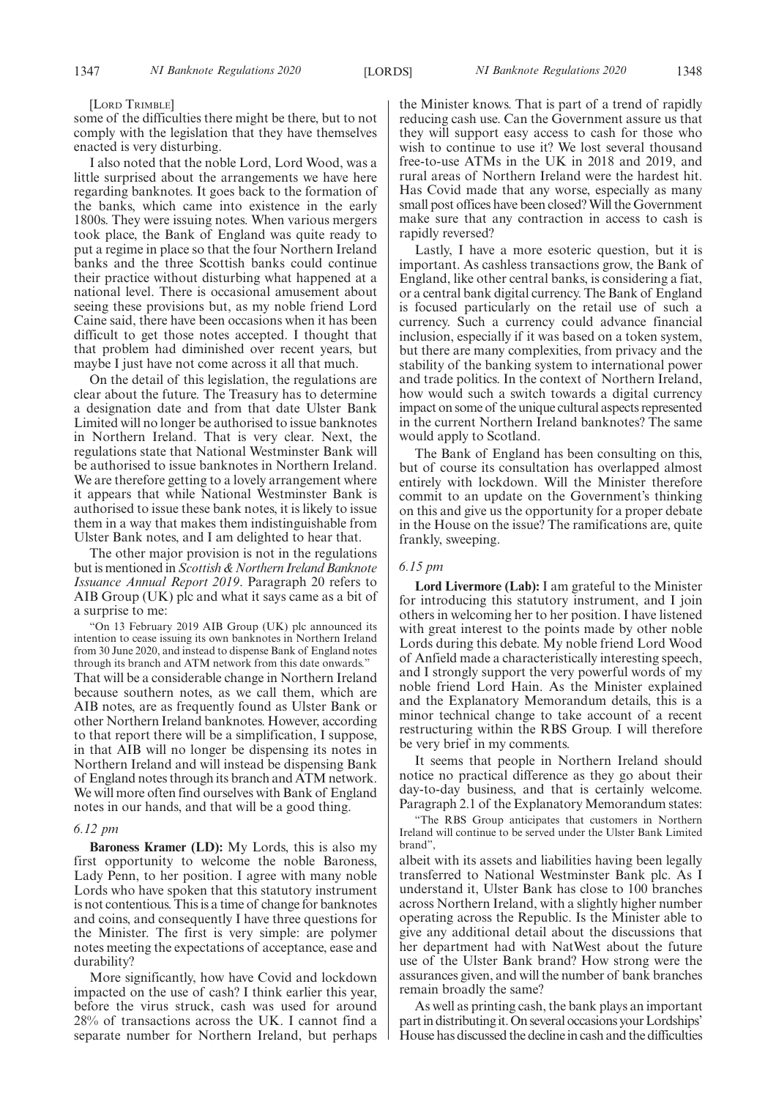[LORD TRIMBLE]

some of the difficulties there might be there, but to not comply with the legislation that they have themselves enacted is very disturbing.

I also noted that the noble Lord, Lord Wood, was a little surprised about the arrangements we have here regarding banknotes. It goes back to the formation of the banks, which came into existence in the early 1800s. They were issuing notes. When various mergers took place, the Bank of England was quite ready to put a regime in place so that the four Northern Ireland banks and the three Scottish banks could continue their practice without disturbing what happened at a national level. There is occasional amusement about seeing these provisions but, as my noble friend Lord Caine said, there have been occasions when it has been difficult to get those notes accepted. I thought that that problem had diminished over recent years, but maybe I just have not come across it all that much.

On the detail of this legislation, the regulations are clear about the future. The Treasury has to determine a designation date and from that date Ulster Bank Limited will no longer be authorised to issue banknotes in Northern Ireland. That is very clear. Next, the regulations state that National Westminster Bank will be authorised to issue banknotes in Northern Ireland. We are therefore getting to a lovely arrangement where it appears that while National Westminster Bank is authorised to issue these bank notes, it is likely to issue them in a way that makes them indistinguishable from Ulster Bank notes, and I am delighted to hear that.

The other major provision is not in the regulations but is mentioned in *Scottish & Northern Ireland Banknote Issuance Annual Report 2019*. Paragraph 20 refers to AIB Group (UK) plc and what it says came as a bit of a surprise to me:

"On 13 February 2019 AIB Group (UK) plc announced its intention to cease issuing its own banknotes in Northern Ireland from 30 June 2020, and instead to dispense Bank of England notes through its branch and ATM network from this date onwards." That will be a considerable change in Northern Ireland because southern notes, as we call them, which are AIB notes, are as frequently found as Ulster Bank or other Northern Ireland banknotes. However, according to that report there will be a simplification, I suppose, in that AIB will no longer be dispensing its notes in Northern Ireland and will instead be dispensing Bank of England notes through its branch and ATM network. We will more often find ourselves with Bank of England notes in our hands, and that will be a good thing.

#### *6.12 pm*

**Baroness Kramer (LD):** My Lords, this is also my first opportunity to welcome the noble Baroness, Lady Penn, to her position. I agree with many noble Lords who have spoken that this statutory instrument is not contentious. This is a time of change for banknotes and coins, and consequently I have three questions for the Minister. The first is very simple: are polymer notes meeting the expectations of acceptance, ease and durability?

More significantly, how have Covid and lockdown impacted on the use of cash? I think earlier this year, before the virus struck, cash was used for around 28% of transactions across the UK. I cannot find a separate number for Northern Ireland, but perhaps the Minister knows. That is part of a trend of rapidly reducing cash use. Can the Government assure us that they will support easy access to cash for those who wish to continue to use it? We lost several thousand free-to-use ATMs in the UK in 2018 and 2019, and rural areas of Northern Ireland were the hardest hit. Has Covid made that any worse, especially as many small post offices have been closed? Will the Government make sure that any contraction in access to cash is rapidly reversed?

Lastly, I have a more esoteric question, but it is important. As cashless transactions grow, the Bank of England, like other central banks, is considering a fiat, or a central bank digital currency. The Bank of England is focused particularly on the retail use of such a currency. Such a currency could advance financial inclusion, especially if it was based on a token system, but there are many complexities, from privacy and the stability of the banking system to international power and trade politics. In the context of Northern Ireland, how would such a switch towards a digital currency impact on some of the unique cultural aspects represented in the current Northern Ireland banknotes? The same would apply to Scotland.

The Bank of England has been consulting on this, but of course its consultation has overlapped almost entirely with lockdown. Will the Minister therefore commit to an update on the Government's thinking on this and give us the opportunity for a proper debate in the House on the issue? The ramifications are, quite frankly, sweeping.

#### *6.15 pm*

**Lord Livermore (Lab):** I am grateful to the Minister for introducing this statutory instrument, and I join others in welcoming her to her position. I have listened with great interest to the points made by other noble Lords during this debate. My noble friend Lord Wood of Anfield made a characteristically interesting speech, and I strongly support the very powerful words of my noble friend Lord Hain. As the Minister explained and the Explanatory Memorandum details, this is a minor technical change to take account of a recent restructuring within the RBS Group. I will therefore be very brief in my comments.

It seems that people in Northern Ireland should notice no practical difference as they go about their day-to-day business, and that is certainly welcome. Paragraph 2.1 of the Explanatory Memorandum states:

"The RBS Group anticipates that customers in Northern Ireland will continue to be served under the Ulster Bank Limited brand",

albeit with its assets and liabilities having been legally transferred to National Westminster Bank plc. As I understand it, Ulster Bank has close to 100 branches across Northern Ireland, with a slightly higher number operating across the Republic. Is the Minister able to give any additional detail about the discussions that her department had with NatWest about the future use of the Ulster Bank brand? How strong were the assurances given, and will the number of bank branches remain broadly the same?

As well as printing cash, the bank plays an important part in distributing it. On several occasions your Lordships' House has discussed the decline in cash and the difficulties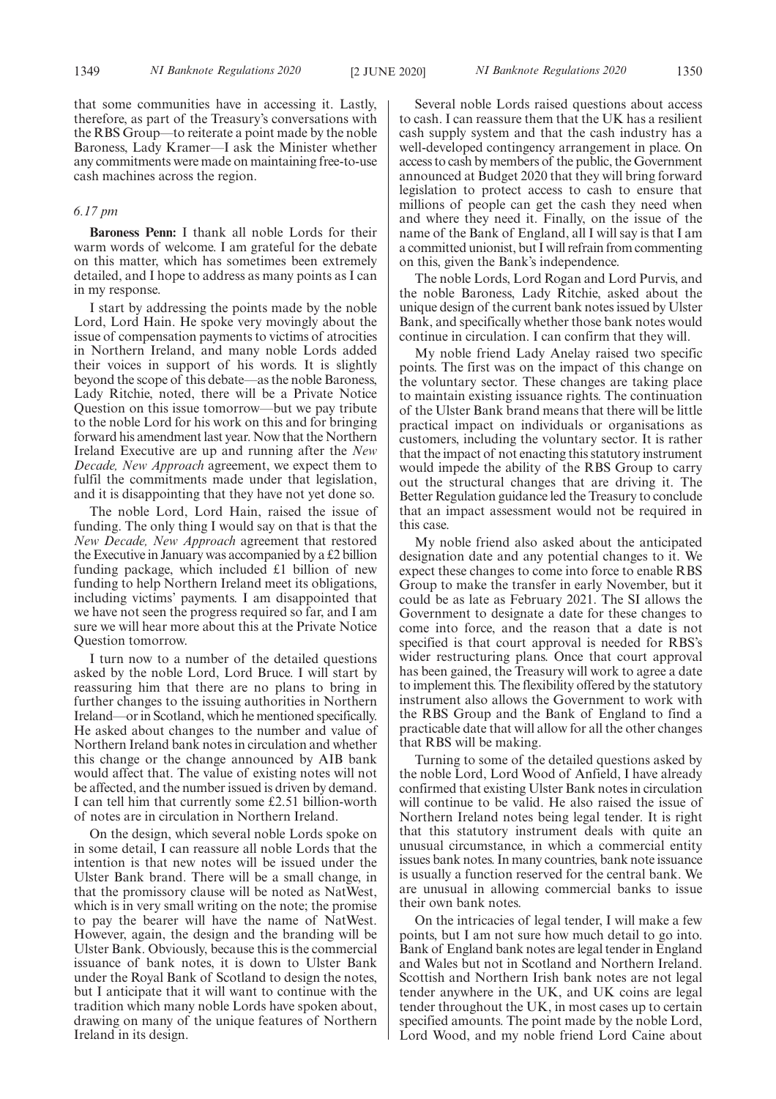that some communities have in accessing it. Lastly, therefore, as part of the Treasury's conversations with the RBS Group—to reiterate a point made by the noble Baroness, Lady Kramer—I ask the Minister whether any commitments were made on maintaining free-to-use cash machines across the region.

#### *6.17 pm*

**Baroness Penn:** I thank all noble Lords for their warm words of welcome. I am grateful for the debate on this matter, which has sometimes been extremely detailed, and I hope to address as many points as I can in my response.

I start by addressing the points made by the noble Lord, Lord Hain. He spoke very movingly about the issue of compensation payments to victims of atrocities in Northern Ireland, and many noble Lords added their voices in support of his words. It is slightly beyond the scope of this debate—as the noble Baroness, Lady Ritchie, noted, there will be a Private Notice Question on this issue tomorrow—but we pay tribute to the noble Lord for his work on this and for bringing forward his amendment last year. Now that the Northern Ireland Executive are up and running after the *New Decade, New Approach* agreement, we expect them to fulfil the commitments made under that legislation, and it is disappointing that they have not yet done so.

The noble Lord, Lord Hain, raised the issue of funding. The only thing I would say on that is that the *New Decade, New Approach* agreement that restored the Executive in January was accompanied by a £2 billion funding package, which included £1 billion of new funding to help Northern Ireland meet its obligations, including victims' payments. I am disappointed that we have not seen the progress required so far, and I am sure we will hear more about this at the Private Notice Question tomorrow.

I turn now to a number of the detailed questions asked by the noble Lord, Lord Bruce. I will start by reassuring him that there are no plans to bring in further changes to the issuing authorities in Northern Ireland—or in Scotland, which he mentioned specifically. He asked about changes to the number and value of Northern Ireland bank notes in circulation and whether this change or the change announced by AIB bank would affect that. The value of existing notes will not be affected, and the number issued is driven by demand. I can tell him that currently some £2.51 billion-worth of notes are in circulation in Northern Ireland.

On the design, which several noble Lords spoke on in some detail, I can reassure all noble Lords that the intention is that new notes will be issued under the Ulster Bank brand. There will be a small change, in that the promissory clause will be noted as NatWest, which is in very small writing on the note; the promise to pay the bearer will have the name of NatWest. However, again, the design and the branding will be Ulster Bank. Obviously, because this is the commercial issuance of bank notes, it is down to Ulster Bank under the Royal Bank of Scotland to design the notes, but I anticipate that it will want to continue with the tradition which many noble Lords have spoken about, drawing on many of the unique features of Northern Ireland in its design.

Several noble Lords raised questions about access to cash. I can reassure them that the UK has a resilient cash supply system and that the cash industry has a well-developed contingency arrangement in place. On access to cash by members of the public, the Government announced at Budget 2020 that they will bring forward legislation to protect access to cash to ensure that millions of people can get the cash they need when and where they need it. Finally, on the issue of the name of the Bank of England, all I will say is that I am a committed unionist, but I will refrain from commenting on this, given the Bank's independence.

The noble Lords, Lord Rogan and Lord Purvis, and the noble Baroness, Lady Ritchie, asked about the unique design of the current bank notes issued by Ulster Bank, and specifically whether those bank notes would continue in circulation. I can confirm that they will.

My noble friend Lady Anelay raised two specific points. The first was on the impact of this change on the voluntary sector. These changes are taking place to maintain existing issuance rights. The continuation of the Ulster Bank brand means that there will be little practical impact on individuals or organisations as customers, including the voluntary sector. It is rather that the impact of not enacting this statutory instrument would impede the ability of the RBS Group to carry out the structural changes that are driving it. The Better Regulation guidance led the Treasury to conclude that an impact assessment would not be required in this case.

My noble friend also asked about the anticipated designation date and any potential changes to it. We expect these changes to come into force to enable RBS Group to make the transfer in early November, but it could be as late as February 2021. The SI allows the Government to designate a date for these changes to come into force, and the reason that a date is not specified is that court approval is needed for RBS's wider restructuring plans. Once that court approval has been gained, the Treasury will work to agree a date to implement this. The flexibility offered by the statutory instrument also allows the Government to work with the RBS Group and the Bank of England to find a practicable date that will allow for all the other changes that RBS will be making.

Turning to some of the detailed questions asked by the noble Lord, Lord Wood of Anfield, I have already confirmed that existing Ulster Bank notes in circulation will continue to be valid. He also raised the issue of Northern Ireland notes being legal tender. It is right that this statutory instrument deals with quite an unusual circumstance, in which a commercial entity issues bank notes. In many countries, bank note issuance is usually a function reserved for the central bank. We are unusual in allowing commercial banks to issue their own bank notes.

On the intricacies of legal tender, I will make a few points, but I am not sure how much detail to go into. Bank of England bank notes are legal tender in England and Wales but not in Scotland and Northern Ireland. Scottish and Northern Irish bank notes are not legal tender anywhere in the UK, and UK coins are legal tender throughout the UK, in most cases up to certain specified amounts. The point made by the noble Lord, Lord Wood, and my noble friend Lord Caine about